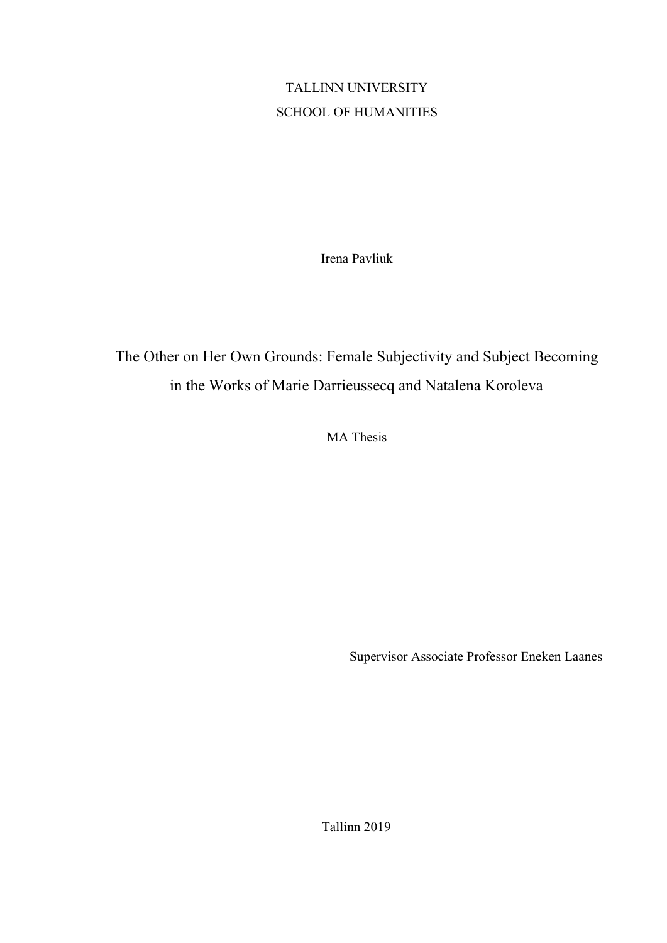#### TALLINN UNIVERSITY SCHOOL OF HUMANITIES

Irena Pavliuk

## The Other on Her Own Grounds: Female Subjectivity and Subject Becoming in the Works of Marie Darrieussecq and Natalena Koroleva

MA Thesis

Supervisor Associate Professor Eneken Laanes

Tallinn 2019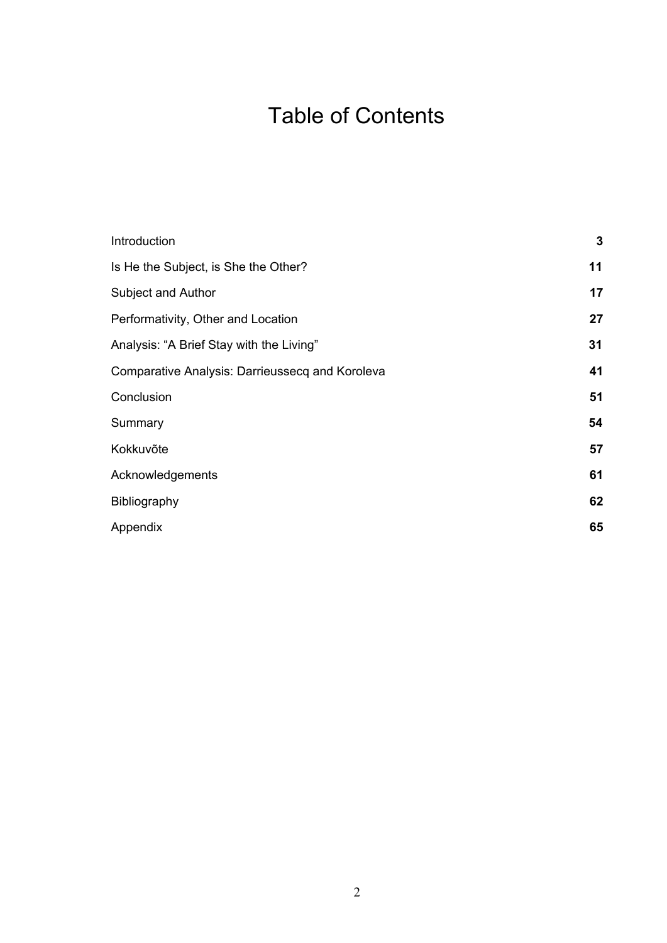# Table of Contents

| Introduction                                    | $\mathbf 3$ |
|-------------------------------------------------|-------------|
| Is He the Subject, is She the Other?            | 11          |
| Subject and Author                              | 17          |
| Performativity, Other and Location              | 27          |
| Analysis: "A Brief Stay with the Living"        | 31          |
| Comparative Analysis: Darrieussecq and Koroleva | 41          |
| Conclusion                                      | 51          |
| Summary                                         | 54          |
| Kokkuvõte                                       | 57          |
| Acknowledgements                                | 61          |
| Bibliography                                    | 62          |
| Appendix                                        | 65          |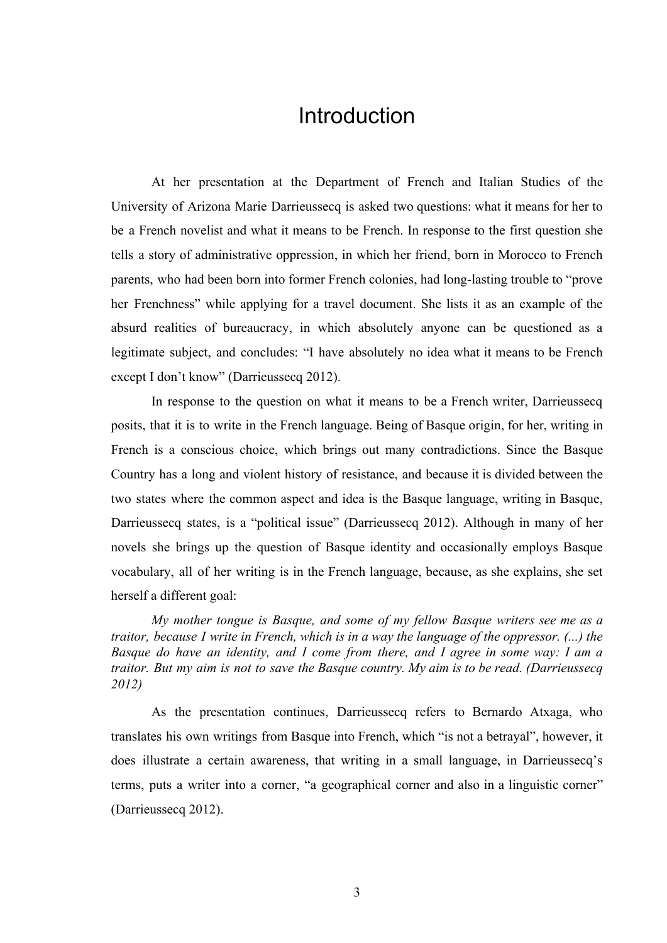#### Introduction

At her presentation at the Department of French and Italian Studies of the University of Arizona Marie Darrieussecq is asked two questions: what it means for her to be a French novelist and what it means to be French. In response to the first question she tells a story of administrative oppression, in which her friend, born in Morocco to French parents, who had been born into former French colonies, had long-lasting trouble to "prove her Frenchness" while applying for a travel document. She lists it as an example of the absurd realities of bureaucracy, in which absolutely anyone can be questioned as a legitimate subject, and concludes: "I have absolutely no idea what it means to be French except I don't know" (Darrieussecq 2012).

In response to the question on what it means to be a French writer, Darrieussecq posits, that it is to write in the French language. Being of Basque origin, for her, writing in French is a conscious choice, which brings out many contradictions. Since the Basque Country has a long and violent history of resistance, and because it is divided between the two states where the common aspect and idea is the Basque language, writing in Basque, Darrieussecq states, is a "political issue" (Darrieussecq 2012). Although in many of her novels she brings up the question of Basque identity and occasionally employs Basque vocabulary, all of her writing is in the French language, because, as she explains, she set herself a different goal:

*My mother tongue is Basque, and some of my fellow Basque writers see me as a traitor, because I write in French, which is in a way the language of the oppressor. (...) the Basque do have an identity, and I come from there, and I agree in some way: I am a traitor. But my aim is not to save the Basque country. My aim is to be read. (Darrieussecq 2012)*

As the presentation continues, Darrieussecq refers to Bernardo Atxaga, who translates his own writings from Basque into French, which "is not a betrayal", however, it does illustrate a certain awareness, that writing in a small language, in Darrieussecq's terms, puts a writer into a corner, "a geographical corner and also in a linguistic corner" (Darrieussecq 2012).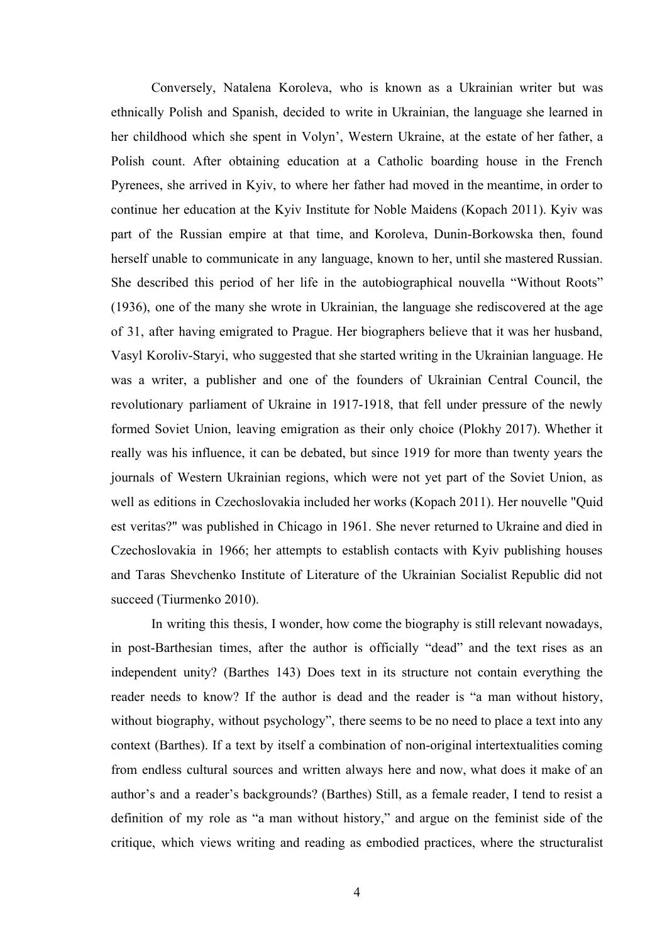Conversely, Natalena Koroleva, who is known as a Ukrainian writer but was ethnically Polish and Spanish, decided to write in Ukrainian, the language she learned in her childhood which she spent in Volyn', Western Ukraine, at the estate of her father, a Polish count. After obtaining education at a Catholic boarding house in the French Pyrenees, she arrived in Kyiv, to where her father had moved in the meantime, in order to continue her education at the Kyiv Institute for Noble Maidens (Kopach 2011). Kyiv was part of the Russian empire at that time, and Koroleva, Dunin-Borkowska then, found herself unable to communicate in any language, known to her, until she mastered Russian. She described this period of her life in the autobiographical nouvella "Without Roots" (1936), one of the many she wrote in Ukrainian, the language she rediscovered at the age of 31, after having emigrated to Prague. Her biographers believe that it was her husband, Vasyl Koroliv-Staryi, who suggested that she started writing in the Ukrainian language. He was a writer, a publisher and one of the founders of Ukrainian Central Council, the revolutionary parliament of Ukraine in 1917-1918, that fell under pressure of the newly formed Soviet Union, leaving emigration as their only choice (Plokhy 2017). Whether it really was his influence, it can be debated, but since 1919 for more than twenty years the journals of Western Ukrainian regions, which were not yet part of the Soviet Union, as well as editions in Czechoslovakia included her works (Kopach 2011). Her nouvelle "Quid est veritas?" was published in Chicago in 1961. She never returned to Ukraine and died in Czechoslovakia in 1966; her attempts to establish contacts with Kyiv publishing houses and Taras Shevchenko Institute of Literature of the Ukrainian Socialist Republic did not succeed (Tiurmenko 2010).

In writing this thesis, I wonder, how come the biography is still relevant nowadays, in post-Barthesian times, after the author is officially "dead" and the text rises as an independent unity? (Barthes 143) Does text in its structure not contain everything the reader needs to know? If the author is dead and the reader is "a man without history, without biography, without psychology", there seems to be no need to place a text into any context (Barthes). If a text by itself a combination of non-original intertextualities coming from endless cultural sources and written always here and now, what does it make of an author's and a reader's backgrounds? (Barthes) Still, as a female reader, I tend to resist a definition of my role as "a man without history," and argue on the feminist side of the critique, which views writing and reading as embodied practices, where the structuralist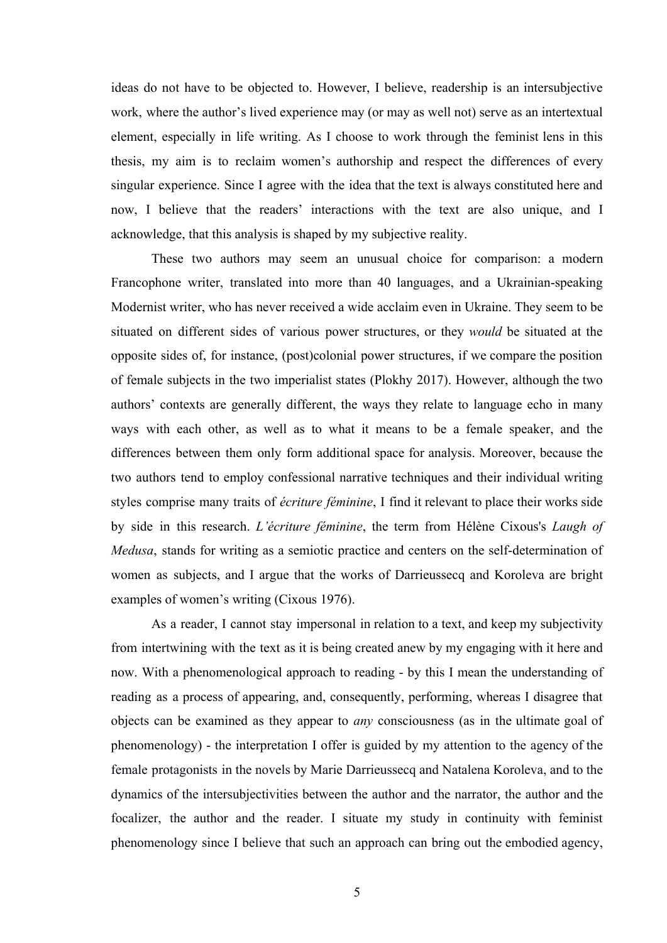ideas do not have to be objected to. However, I believe, readership is an intersubjective work, where the author's lived experience may (or may as well not) serve as an intertextual element, especially in life writing. As I choose to work through the feminist lens in this thesis, my aim is to reclaim women's authorship and respect the differences of every singular experience. Since I agree with the idea that the text is always constituted here and now, I believe that the readers' interactions with the text are also unique, and I acknowledge, that this analysis is shaped by my subjective reality.

These two authors may seem an unusual choice for comparison: a modern Francophone writer, translated into more than 40 languages, and a Ukrainian-speaking Modernist writer, who has never received a wide acclaim even in Ukraine. They seem to be situated on different sides of various power structures, or they *would* be situated at the opposite sides of, for instance, (post)colonial power structures, if we compare the position of female subjects in the two imperialist states (Plokhy 2017). However, although the two authors' contexts are generally different, the ways they relate to language echo in many ways with each other, as well as to what it means to be a female speaker, and the differences between them only form additional space for analysis. Moreover, because the two authors tend to employ confessional narrative techniques and their individual writing styles comprise many traits of *écriture féminine*, I find it relevant to place their works side by side in this research. *L'écriture féminine*, the term from Hélène Cixous's *Laugh of Medusa*, stands for writing as a semiotic practice and centers on the self-determination of women as subjects, and I argue that the works of Darrieussecq and Koroleva are bright examples of women's writing (Cixous 1976).

As a reader, I cannot stay impersonal in relation to a text, and keep my subjectivity from intertwining with the text as it is being created anew by my engaging with it here and now. With a phenomenological approach to reading - by this I mean the understanding of reading as a process of appearing, and, consequently, performing, whereas I disagree that objects can be examined as they appear to *any* consciousness (as in the ultimate goal of phenomenology) - the interpretation I offer is guided by my attention to the agency of the female protagonists in the novels by Marie Darrieussecq and Natalena Koroleva, and to the dynamics of the intersubjectivities between the author and the narrator, the author and the focalizer, the author and the reader. I situate my study in continuity with feminist phenomenology since I believe that such an approach can bring out the embodied agency,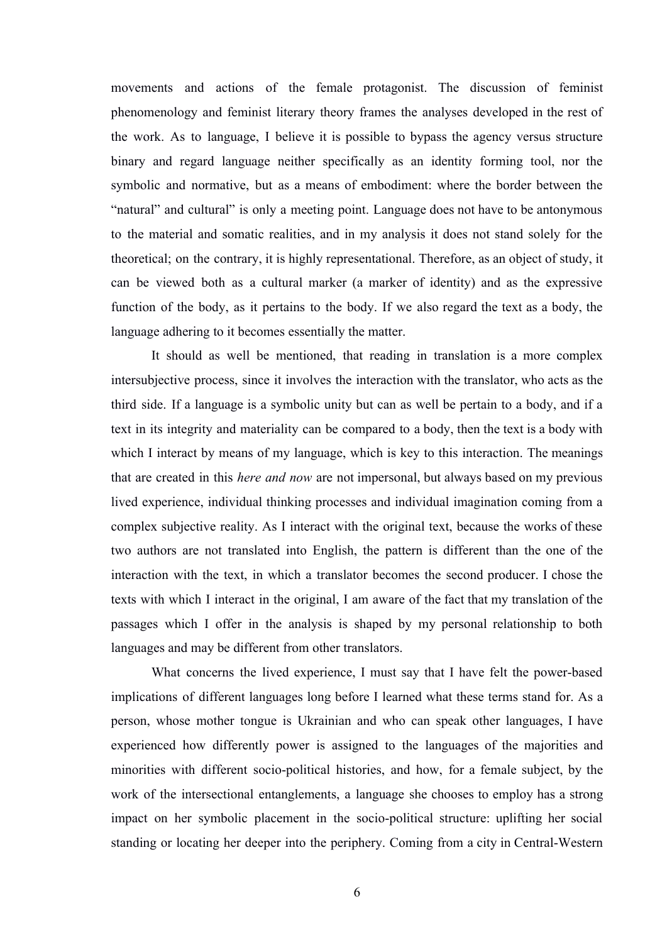movements and actions of the female protagonist. The discussion of feminist phenomenology and feminist literary theory frames the analyses developed in the rest of the work. As to language, I believe it is possible to bypass the agency versus structure binary and regard language neither specifically as an identity forming tool, nor the symbolic and normative, but as a means of embodiment: where the border between the "natural" and cultural" is only a meeting point. Language does not have to be antonymous to the material and somatic realities, and in my analysis it does not stand solely for the theoretical; on the contrary, it is highly representational. Therefore, as an object of study, it can be viewed both as a cultural marker (a marker of identity) and as the expressive function of the body, as it pertains to the body. If we also regard the text as a body, the language adhering to it becomes essentially the matter.

It should as well be mentioned, that reading in translation is a more complex intersubjective process, since it involves the interaction with the translator, who acts as the third side. If a language is a symbolic unity but can as well be pertain to a body, and if a text in its integrity and materiality can be compared to a body, then the text is a body with which I interact by means of my language, which is key to this interaction. The meanings that are created in this *here and now* are not impersonal, but always based on my previous lived experience, individual thinking processes and individual imagination coming from a complex subjective reality. As I interact with the original text, because the works of these two authors are not translated into English, the pattern is different than the one of the interaction with the text, in which a translator becomes the second producer. I chose the texts with which I interact in the original, I am aware of the fact that my translation of the passages which I offer in the analysis is shaped by my personal relationship to both languages and may be different from other translators.

What concerns the lived experience, I must say that I have felt the power-based implications of different languages long before I learned what these terms stand for. As a person, whose mother tongue is Ukrainian and who can speak other languages, I have experienced how differently power is assigned to the languages of the majorities and minorities with different socio-political histories, and how, for a female subject, by the work of the intersectional entanglements, a language she chooses to employ has a strong impact on her symbolic placement in the socio-political structure: uplifting her social standing or locating her deeper into the periphery. Coming from a city in Central-Western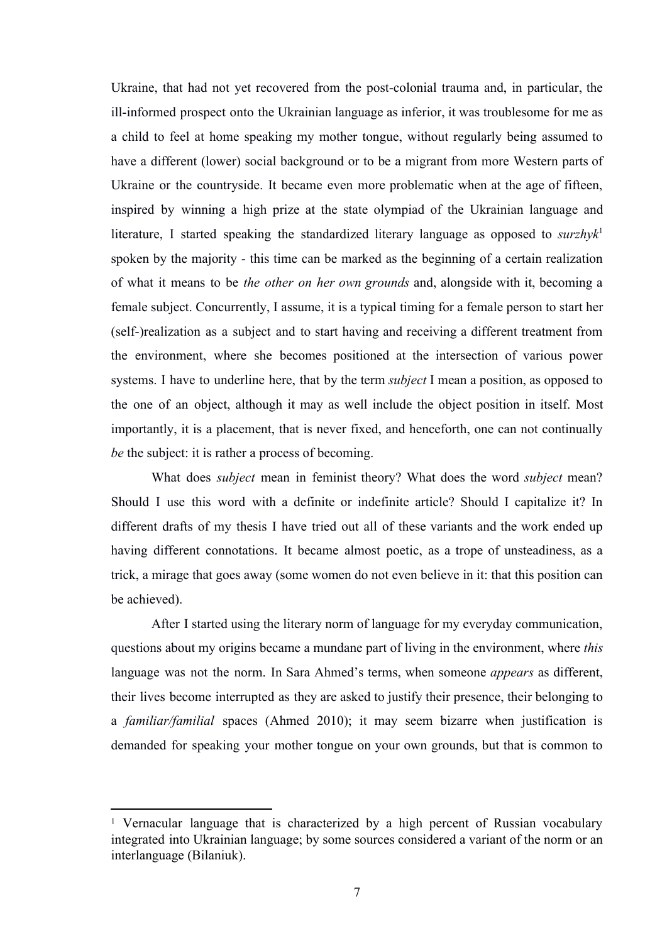Ukraine, that had not yet recovered from the post-colonial trauma and, in particular, the ill-informed prospect onto the Ukrainian language as inferior, it was troublesome for me as a child to feel at home speaking my mother tongue, without regularly being assumed to have a different (lower) social background or to be a migrant from more Western parts of Ukraine or the countryside. It became even more problematic when at the age of fifteen, inspired by winning a high prize at the state olympiad of the Ukrainian language and literature, I started speaking the standardized literary language as opposed to *surzhyk*<sup>1</sup> spoken by the majority - this time can be marked as the beginning of a certain realization of what it means to be *the other on her own grounds* and, alongside with it, becoming a female subject. Concurrently, I assume, it is a typical timing for a female person to start her (self-)realization as a subject and to start having and receiving a different treatment from the environment, where she becomes positioned at the intersection of various power systems. I have to underline here, that by the term *subject* I mean a position, as opposed to the one of an object, although it may as well include the object position in itself. Most importantly, it is a placement, that is never fixed, and henceforth, one can not continually *be* the subject: it is rather a process of becoming.

What does *subject* mean in feminist theory? What does the word *subject* mean? Should I use this word with a definite or indefinite article? Should I capitalize it? In different drafts of my thesis I have tried out all of these variants and the work ended up having different connotations. It became almost poetic, as a trope of unsteadiness, as a trick, a mirage that goes away (some women do not even believe in it: that this position can be achieved).

After I started using the literary norm of language for my everyday communication, questions about my origins became a mundane part of living in the environment, where *this* language was not the norm. In Sara Ahmed's terms, when someone *appears* as different, their lives become interrupted as they are asked to justify their presence, their belonging to a *familiar/familial* spaces (Ahmed 2010); it may seem bizarre when justification is demanded for speaking your mother tongue on your own grounds, but that is common to

<sup>&</sup>lt;sup>1</sup> Vernacular language that is characterized by a high percent of Russian vocabulary integrated into Ukrainian language; by some sources considered a variant of the norm or an interlanguage (Bilaniuk).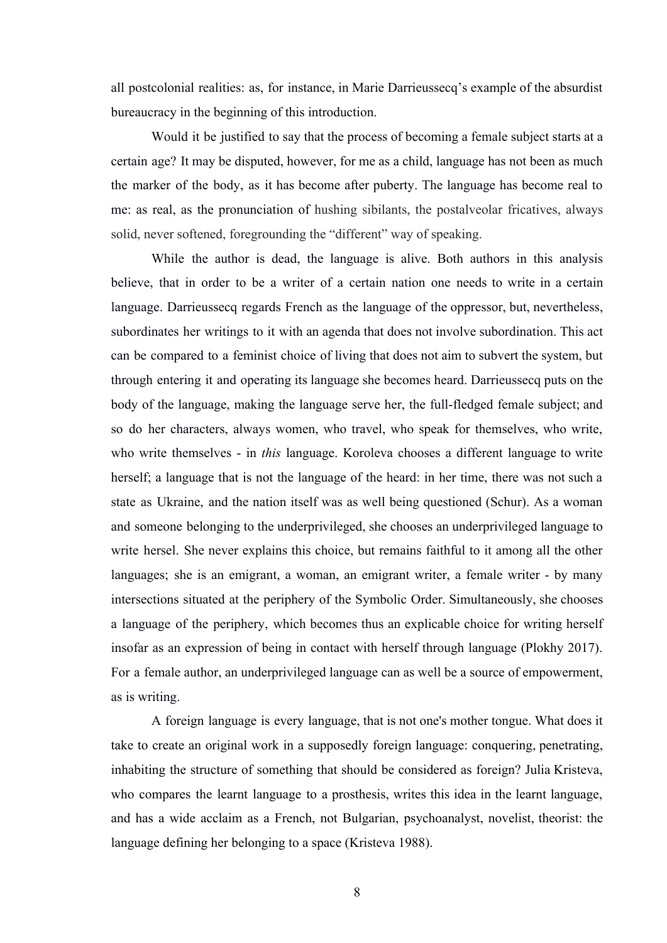all postcolonial realities: as, for instance, in Marie Darrieussecq's example of the absurdist bureaucracy in the beginning of this introduction.

Would it be justified to say that the process of becoming a female subject starts at a certain age? It may be disputed, however, for me as a child, language has not been as much the marker of the body, as it has become after puberty. The language has become real to me: as real, as the pronunciation of hushing sibilants, the postalveolar fricatives, always solid, never softened, foregrounding the "different" way of speaking.

While the author is dead, the language is alive. Both authors in this analysis believe, that in order to be a writer of a certain nation one needs to write in a certain language. Darrieussecq regards French as the language of the oppressor, but, nevertheless, subordinates her writings to it with an agenda that does not involve subordination. This act can be compared to a feminist choice of living that does not aim to subvert the system, but through entering it and operating its language she becomes heard. Darrieussecq puts on the body of the language, making the language serve her, the full-fledged female subject; and so do her characters, always women, who travel, who speak for themselves, who write, who write themselves - in *this* language. Koroleva chooses a different language to write herself; a language that is not the language of the heard: in her time, there was not such a state as Ukraine, and the nation itself was as well being questioned (Schur). As a woman and someone belonging to the underprivileged, she chooses an underprivileged language to write hersel. She never explains this choice, but remains faithful to it among all the other languages; she is an emigrant, a woman, an emigrant writer, a female writer - by many intersections situated at the periphery of the Symbolic Order. Simultaneously, she chooses a language of the periphery, which becomes thus an explicable choice for writing herself insofar as an expression of being in contact with herself through language (Plokhy 2017). For a female author, an underprivileged language can as well be a source of empowerment, as is writing.

A foreign language is every language, that is not one's mother tongue. What does it take to create an original work in a supposedly foreign language: conquering, penetrating, inhabiting the structure of something that should be considered as foreign? Julia Kristeva, who compares the learnt language to a prosthesis, writes this idea in the learnt language, and has a wide acclaim as a French, not Bulgarian, psychoanalyst, novelist, theorist: the language defining her belonging to a space (Kristeva 1988).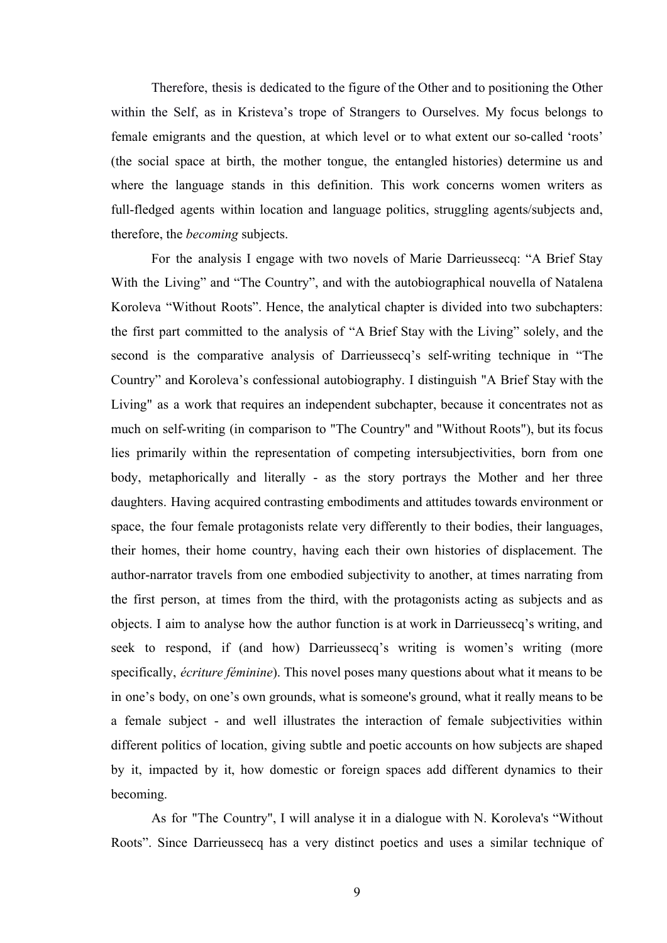Therefore, thesis is dedicated to the figure of the Other and to positioning the Other within the Self, as in Kristeva's trope of Strangers to Ourselves. My focus belongs to female emigrants and the question, at which level or to what extent our so-called 'roots' (the social space at birth, the mother tongue, the entangled histories) determine us and where the language stands in this definition. This work concerns women writers as full-fledged agents within location and language politics, struggling agents/subjects and, therefore, the *becoming* subjects.

For the analysis I engage with two novels of Marie Darrieussecq: "A Brief Stay With the Living" and "The Country", and with the autobiographical nouvella of Natalena Koroleva "Without Roots". Hence, the analytical chapter is divided into two subchapters: the first part committed to the analysis of "A Brief Stay with the Living" solely, and the second is the comparative analysis of Darrieussecq's self-writing technique in "The Country" and Koroleva's confessional autobiography. I distinguish "A Brief Stay with the Living" as a work that requires an independent subchapter, because it concentrates not as much on self-writing (in comparison to "The Country" and "Without Roots"), but its focus lies primarily within the representation of competing intersubjectivities, born from one body, metaphorically and literally - as the story portrays the Mother and her three daughters. Having acquired contrasting embodiments and attitudes towards environment or space, the four female protagonists relate very differently to their bodies, their languages, their homes, their home country, having each their own histories of displacement. The author-narrator travels from one embodied subjectivity to another, at times narrating from the first person, at times from the third, with the protagonists acting as subjects and as objects. I aim to analyse how the author function is at work in Darrieussecq's writing, and seek to respond, if (and how) Darrieussecq's writing is women's writing (more specifically, *écriture féminine*). This novel poses many questions about what it means to be in one's body, on one's own grounds, what is someone's ground, what it really means to be a female subject - and well illustrates the interaction of female subjectivities within different politics of location, giving subtle and poetic accounts on how subjects are shaped by it, impacted by it, how domestic or foreign spaces add different dynamics to their becoming.

As for "The Country", I will analyse it in a dialogue with N. Koroleva's "Without Roots". Since Darrieussecq has a very distinct poetics and uses a similar technique of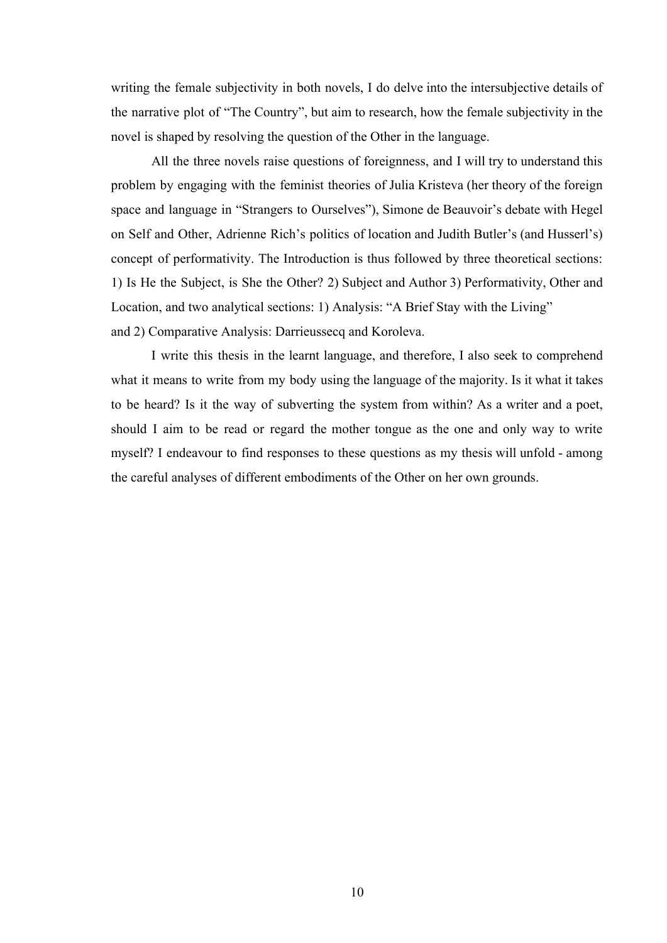writing the female subjectivity in both novels, I do delve into the intersubjective details of the narrative plot of "The Country", but aim to research, how the female subjectivity in the novel is shaped by resolving the question of the Other in the language.

All the three novels raise questions of foreignness, and I will try to understand this problem by engaging with the feminist theories of Julia Kristeva (her theory of the foreign space and language in "Strangers to Ourselves"), Simone de Beauvoir's debate with Hegel on Self and Other, Adrienne Rich's politics of location and Judith Butler's (and Husserl's) concept of performativity. The Introduction is thus followed by three theoretical sections: 1) Is He the Subject, is She the Other? 2) Subject and Author 3) Performativity, Other and Location, and two analytical sections: 1) Analysis: "A Brief Stay with the Living" and 2) Comparative Analysis: Darrieussecq and Koroleva.

I write this thesis in the learnt language, and therefore, I also seek to comprehend what it means to write from my body using the language of the majority. Is it what it takes to be heard? Is it the way of subverting the system from within? As a writer and a poet, should I aim to be read or regard the mother tongue as the one and only way to write myself? I endeavour to find responses to these questions as my thesis will unfold - among the careful analyses of different embodiments of the Other on her own grounds.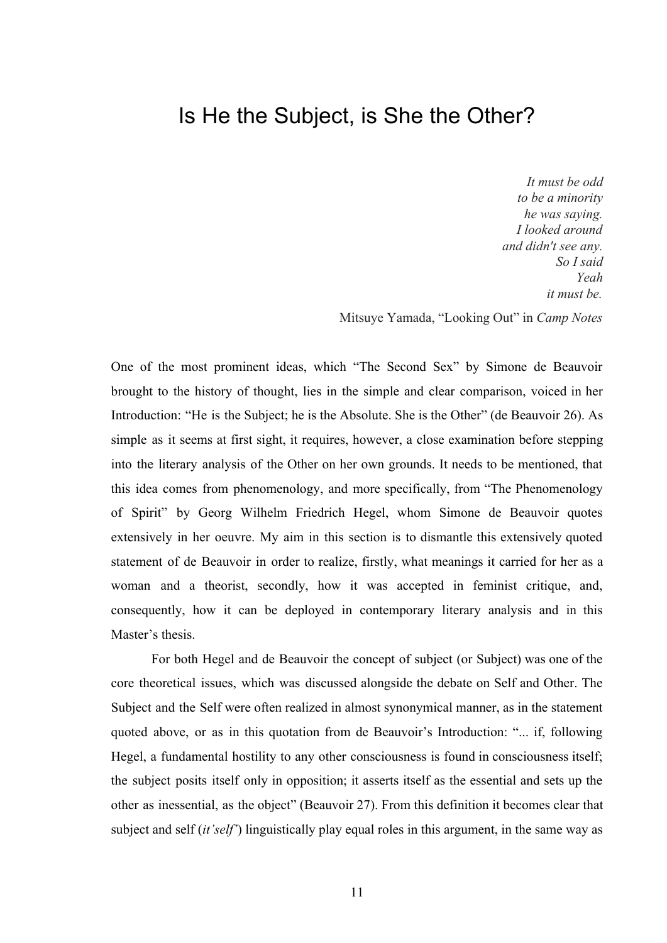#### Is He the Subject, is She the Other?

*It must be odd to be a minority he was saying. I looked around and didn't see any. So I said Yeah it must be.*

Mitsuye Yamada, "Looking Out" in *Camp Notes*

One of the most prominent ideas, which "The Second Sex" by Simone de Beauvoir brought to the history of thought, lies in the simple and clear comparison, voiced in her Introduction: "He is the Subject; he is the Absolute. She is the Other" (de Beauvoir 26). As simple as it seems at first sight, it requires, however, a close examination before stepping into the literary analysis of the Other on her own grounds. It needs to be mentioned, that this idea comes from phenomenology, and more specifically, from "The Phenomenology of Spirit" by Georg Wilhelm Friedrich Hegel, whom Simone de Beauvoir quotes extensively in her oeuvre. My aim in this section is to dismantle this extensively quoted statement of de Beauvoir in order to realize, firstly, what meanings it carried for her as a woman and a theorist, secondly, how it was accepted in feminist critique, and, consequently, how it can be deployed in contemporary literary analysis and in this Master's thesis.

For both Hegel and de Beauvoir the concept of subject (or Subject) was one of the core theoretical issues, which was discussed alongside the debate on Self and Other. The Subject and the Self were often realized in almost synonymical manner, as in the statement quoted above, or as in this quotation from de Beauvoir's Introduction: "... if, following Hegel, a fundamental hostility to any other consciousness is found in consciousness itself; the subject posits itself only in opposition; it asserts itself as the essential and sets up the other as inessential, as the object" (Beauvoir 27). From this definition it becomes clear that subject and self (*it'self'*) linguistically play equal roles in this argument, in the same way as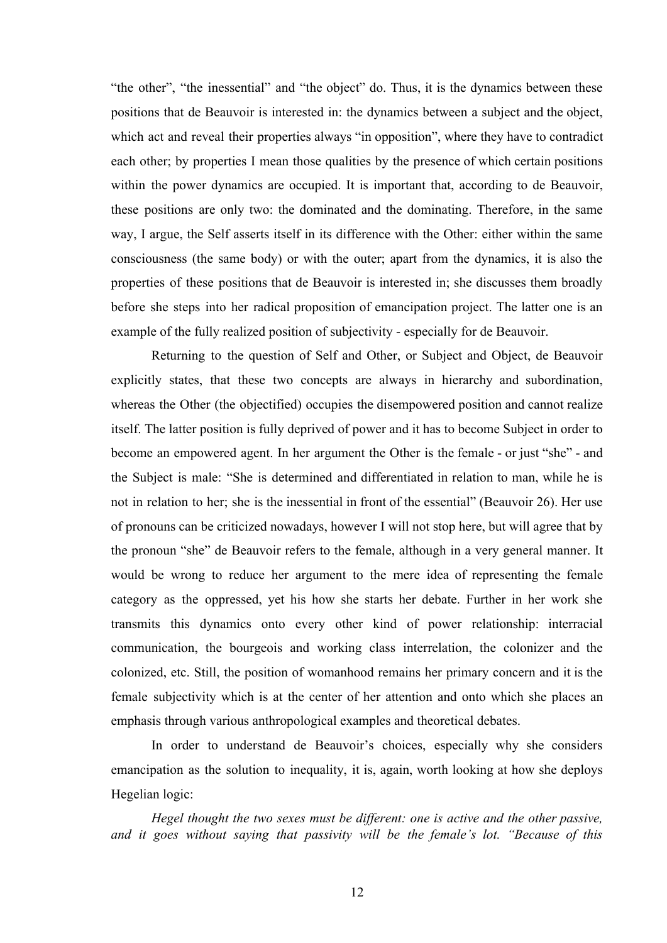"the other", "the inessential" and "the object" do. Thus, it is the dynamics between these positions that de Beauvoir is interested in: the dynamics between a subject and the object, which act and reveal their properties always "in opposition", where they have to contradict each other; by properties I mean those qualities by the presence of which certain positions within the power dynamics are occupied. It is important that, according to de Beauvoir, these positions are only two: the dominated and the dominating. Therefore, in the same way, I argue, the Self asserts itself in its difference with the Other: either within the same consciousness (the same body) or with the outer; apart from the dynamics, it is also the properties of these positions that de Beauvoir is interested in; she discusses them broadly before she steps into her radical proposition of emancipation project. The latter one is an example of the fully realized position of subjectivity - especially for de Beauvoir.

Returning to the question of Self and Other, or Subject and Object, de Beauvoir explicitly states, that these two concepts are always in hierarchy and subordination, whereas the Other (the objectified) occupies the disempowered position and cannot realize itself. The latter position is fully deprived of power and it has to become Subject in order to become an empowered agent. In her argument the Other is the female - or just "she" - and the Subject is male: "She is determined and differentiated in relation to man, while he is not in relation to her; she is the inessential in front of the essential" (Beauvoir 26). Her use of pronouns can be criticized nowadays, however I will not stop here, but will agree that by the pronoun "she" de Beauvoir refers to the female, although in a very general manner. It would be wrong to reduce her argument to the mere idea of representing the female category as the oppressed, yet his how she starts her debate. Further in her work she transmits this dynamics onto every other kind of power relationship: interracial communication, the bourgeois and working class interrelation, the colonizer and the colonized, etc. Still, the position of womanhood remains her primary concern and it is the female subjectivity which is at the center of her attention and onto which she places an emphasis through various anthropological examples and theoretical debates.

In order to understand de Beauvoir's choices, especially why she considers emancipation as the solution to inequality, it is, again, worth looking at how she deploys Hegelian logic:

*Hegel thought the two sexes must be different: one is active and the other passive, and it goes without saying that passivity will be the female's lot. "Because of this*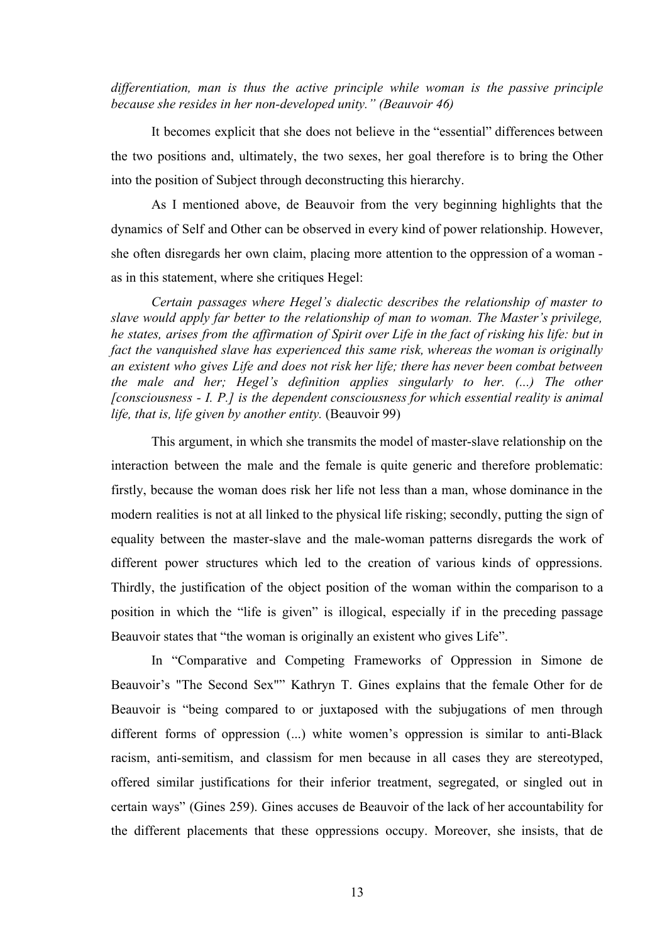*differentiation, man is thus the active principle while woman is the passive principle because she resides in her non-developed unity." (Beauvoir 46)*

It becomes explicit that she does not believe in the "essential" differences between the two positions and, ultimately, the two sexes, her goal therefore is to bring the Other into the position of Subject through deconstructing this hierarchy.

As I mentioned above, de Beauvoir from the very beginning highlights that the dynamics of Self and Other can be observed in every kind of power relationship. However, she often disregards her own claim, placing more attention to the oppression of a woman as in this statement, where she critiques Hegel:

*Certain passages where Hegel's dialectic describes the relationship of master to slave would apply far better to the relationship of man to woman. The Master's privilege,* he states, arises from the affirmation of Spirit over Life in the fact of risking his life: but in *fact the vanquished slave has experienced this same risk, whereas the woman is originally an existent who gives Life and does not risk her life; there has never been combat between the male and her; Hegel's definition applies singularly to her. (...) The other [consciousness - I. P.] is the dependent consciousness for which essential reality is animal life, that is, life given by another entity.* (Beauvoir 99)

This argument, in which she transmits the model of master-slave relationship on the interaction between the male and the female is quite generic and therefore problematic: firstly, because the woman does risk her life not less than a man, whose dominance in the modern realities is not at all linked to the physical life risking; secondly, putting the sign of equality between the master-slave and the male-woman patterns disregards the work of different power structures which led to the creation of various kinds of oppressions. Thirdly, the justification of the object position of the woman within the comparison to a position in which the "life is given" is illogical, especially if in the preceding passage Beauvoir states that "the woman is originally an existent who gives Life".

In "Comparative and Competing Frameworks of Oppression in Simone de Beauvoir's "The Second Sex"" Kathryn T. Gines explains that the female Other for de Beauvoir is "being compared to or juxtaposed with the subjugations of men through different forms of oppression (...) white women's oppression is similar to anti-Black racism, anti-semitism, and classism for men because in all cases they are stereotyped, offered similar justifications for their inferior treatment, segregated, or singled out in certain ways" (Gines 259). Gines accuses de Beauvoir of the lack of her accountability for the different placements that these oppressions occupy. Moreover, she insists, that de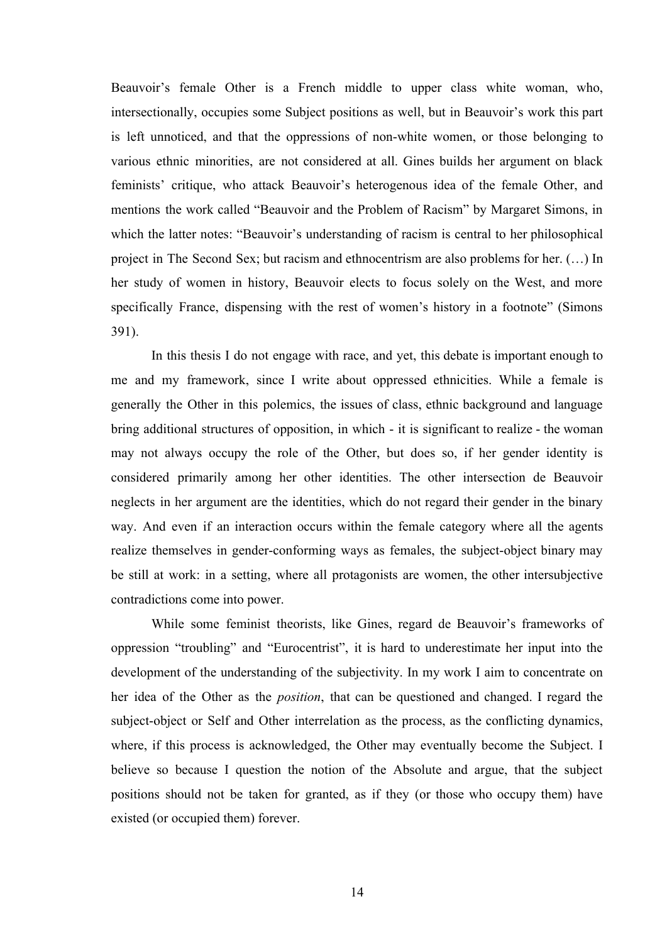Beauvoir's female Other is a French middle to upper class white woman, who, intersectionally, occupies some Subject positions as well, but in Beauvoir's work this part is left unnoticed, and that the oppressions of non-white women, or those belonging to various ethnic minorities, are not considered at all. Gines builds her argument on black feminists' critique, who attack Beauvoir's heterogenous idea of the female Other, and mentions the work called "Beauvoir and the Problem of Racism" by Margaret Simons, in which the latter notes: "Beauvoir's understanding of racism is central to her philosophical project in The Second Sex; but racism and ethnocentrism are also problems for her. (…) In her study of women in history, Beauvoir elects to focus solely on the West, and more specifically France, dispensing with the rest of women's history in a footnote" (Simons 391).

In this thesis I do not engage with race, and yet, this debate is important enough to me and my framework, since I write about oppressed ethnicities. While a female is generally the Other in this polemics, the issues of class, ethnic background and language bring additional structures of opposition, in which - it is significant to realize - the woman may not always occupy the role of the Other, but does so, if her gender identity is considered primarily among her other identities. The other intersection de Beauvoir neglects in her argument are the identities, which do not regard their gender in the binary way. And even if an interaction occurs within the female category where all the agents realize themselves in gender-conforming ways as females, the subject-object binary may be still at work: in a setting, where all protagonists are women, the other intersubjective contradictions come into power.

While some feminist theorists, like Gines, regard de Beauvoir's frameworks of oppression "troubling" and "Eurocentrist", it is hard to underestimate her input into the development of the understanding of the subjectivity. In my work I aim to concentrate on her idea of the Other as the *position*, that can be questioned and changed. I regard the subject-object or Self and Other interrelation as the process, as the conflicting dynamics, where, if this process is acknowledged, the Other may eventually become the Subject. I believe so because I question the notion of the Absolute and argue, that the subject positions should not be taken for granted, as if they (or those who occupy them) have existed (or occupied them) forever.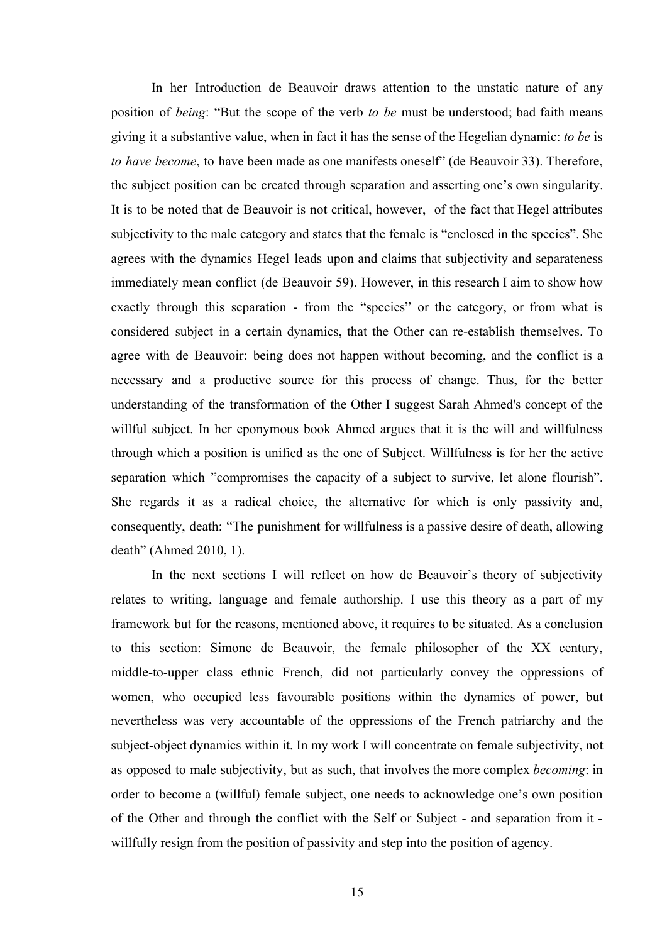In her Introduction de Beauvoir draws attention to the unstatic nature of any position of *being*: "But the scope of the verb *to be* must be understood; bad faith means giving it a substantive value, when in fact it has the sense of the Hegelian dynamic: *to be* is *to have become*, to have been made as one manifests oneself" (de Beauvoir 33). Therefore, the subject position can be created through separation and asserting one's own singularity. It is to be noted that de Beauvoir is not critical, however, of the fact that Hegel attributes subjectivity to the male category and states that the female is "enclosed in the species". She agrees with the dynamics Hegel leads upon and claims that subjectivity and separateness immediately mean conflict (de Beauvoir 59). However, in this research I aim to show how exactly through this separation - from the "species" or the category, or from what is considered subject in a certain dynamics, that the Other can re-establish themselves. To agree with de Beauvoir: being does not happen without becoming, and the conflict is a necessary and a productive source for this process of change. Thus, for the better understanding of the transformation of the Other I suggest Sarah Ahmed's concept of the willful subject. In her eponymous book Ahmed argues that it is the will and willfulness through which a position is unified as the one of Subject. Willfulness is for her the active separation which "compromises the capacity of a subject to survive, let alone flourish". She regards it as a radical choice, the alternative for which is only passivity and, consequently, death: "The punishment for willfulness is a passive desire of death, allowing death" (Ahmed 2010, 1).

In the next sections I will reflect on how de Beauvoir's theory of subjectivity relates to writing, language and female authorship. I use this theory as a part of my framework but for the reasons, mentioned above, it requires to be situated. As a conclusion to this section: Simone de Beauvoir, the female philosopher of the XX century, middle-to-upper class ethnic French, did not particularly convey the oppressions of women, who occupied less favourable positions within the dynamics of power, but nevertheless was very accountable of the oppressions of the French patriarchy and the subject-object dynamics within it. In my work I will concentrate on female subjectivity, not as opposed to male subjectivity, but as such, that involves the more complex *becoming*: in order to become a (willful) female subject, one needs to acknowledge one's own position of the Other and through the conflict with the Self or Subject - and separation from it willfully resign from the position of passivity and step into the position of agency.

15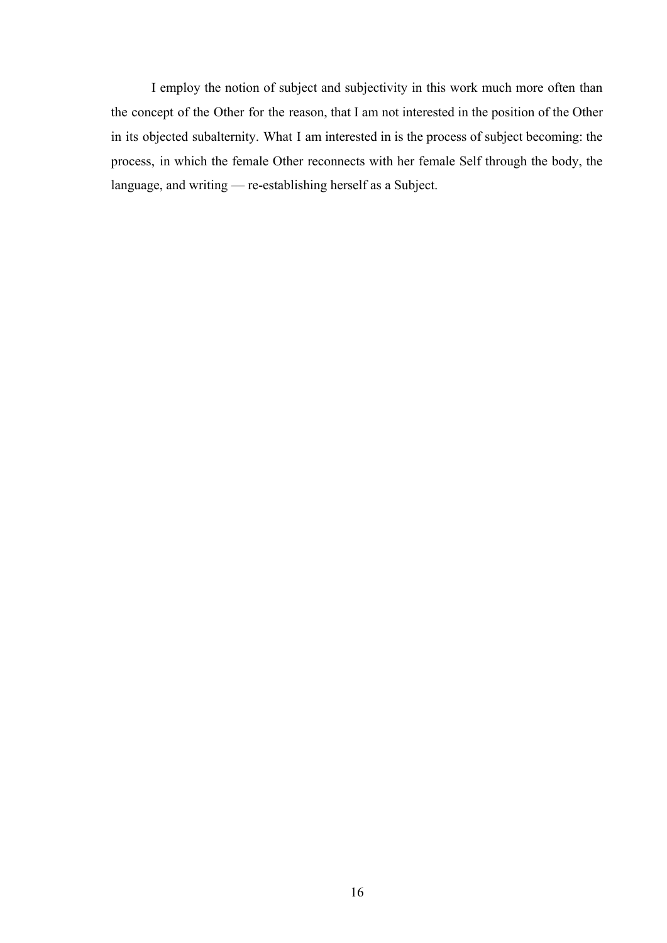I employ the notion of subject and subjectivity in this work much more often than the concept of the Other for the reason, that I am not interested in the position of the Other in its objected subalternity. What I am interested in is the process of subject becoming: the process, in which the female Other reconnects with her female Self through the body, the language, and writing — re-establishing herself as a Subject.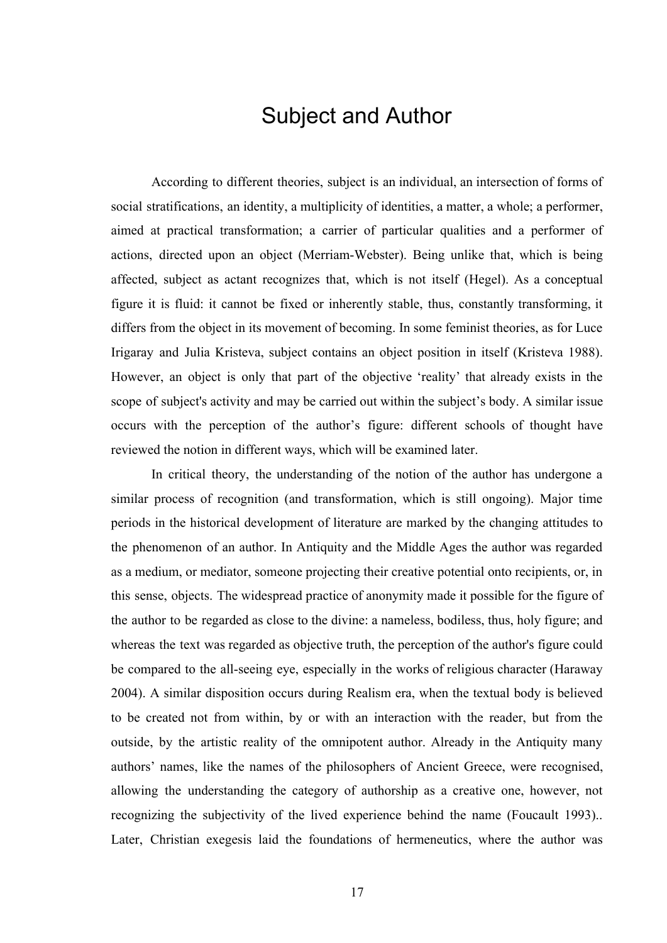#### Subject and Author

According to different theories, subject is an individual, an intersection of forms of social stratifications, an identity, a multiplicity of identities, a matter, a whole; a performer, aimed at practical transformation; a carrier of particular qualities and a performer of actions, directed upon an object (Merriam-Webster). Being unlike that, which is being affected, subject as actant recognizes that, which is not itself (Hegel). As a conceptual figure it is fluid: it cannot be fixed or inherently stable, thus, constantly transforming, it differs from the object in its movement of becoming. In some feminist theories, as for Luce Irigaray and Julia Kristeva, subject contains an object position in itself (Kristeva 1988). However, an object is only that part of the objective 'reality' that already exists in the scope of subject's activity and may be carried out within the subject's body. A similar issue occurs with the perception of the author's figure: different schools of thought have reviewed the notion in different ways, which will be examined later.

In critical theory, the understanding of the notion of the author has undergone a similar process of recognition (and transformation, which is still ongoing). Major time periods in the historical development of literature are marked by the changing attitudes to the phenomenon of an author. In Antiquity and the Middle Ages the author was regarded as a medium, or mediator, someone projecting their creative potential onto recipients, or, in this sense, objects. The widespread practice of anonymity made it possible for the figure of the author to be regarded as close to the divine: a nameless, bodiless, thus, holy figure; and whereas the text was regarded as objective truth, the perception of the author's figure could be compared to the all-seeing eye, especially in the works of religious character (Haraway 2004). A similar disposition occurs during Realism era, when the textual body is believed to be created not from within, by or with an interaction with the reader, but from the outside, by the artistic reality of the omnipotent author. Already in the Antiquity many authors' names, like the names of the philosophers of Ancient Greece, were recognised, allowing the understanding the category of authorship as a creative one, however, not recognizing the subjectivity of the lived experience behind the name (Foucault 1993).. Later, Christian exegesis laid the foundations of hermeneutics, where the author was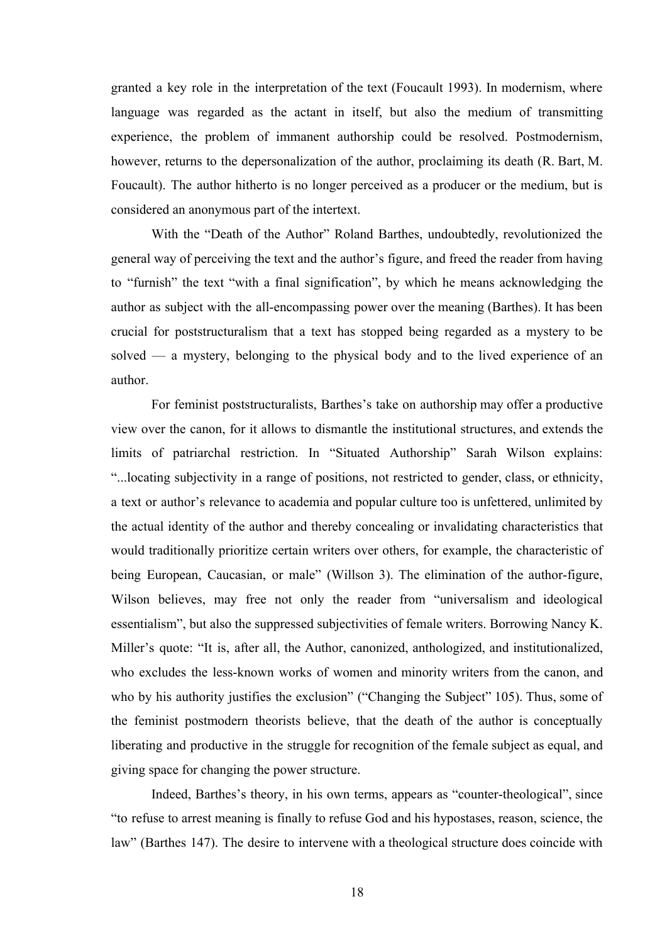granted a key role in the interpretation of the text (Foucault 1993). In modernism, where language was regarded as the actant in itself, but also the medium of transmitting experience, the problem of immanent authorship could be resolved. Postmodernism, however, returns to the depersonalization of the author, proclaiming its death (R. Bart, M. Foucault). The author hitherto is no longer perceived as a producer or the medium, but is considered an anonymous part of the intertext.

With the "Death of the Author" Roland Barthes, undoubtedly, revolutionized the general way of perceiving the text and the author's figure, and freed the reader from having to "furnish" the text "with a final signification", by which he means acknowledging the author as subject with the all-encompassing power over the meaning (Barthes). It has been crucial for poststructuralism that a text has stopped being regarded as a mystery to be solved — a mystery, belonging to the physical body and to the lived experience of an author.

For feminist poststructuralists, Barthes's take on authorship may offer a productive view over the canon, for it allows to dismantle the institutional structures, and extends the limits of patriarchal restriction. In "Situated Authorship" Sarah Wilson explains: "...locating subjectivity in a range of positions, not restricted to gender, class, or ethnicity, a text or author's relevance to academia and popular culture too is unfettered, unlimited by the actual identity of the author and thereby concealing or invalidating characteristics that would traditionally prioritize certain writers over others, for example, the characteristic of being European, Caucasian, or male" (Willson 3). The elimination of the author-figure, Wilson believes, may free not only the reader from "universalism and ideological essentialism", but also the suppressed subjectivities of female writers. Borrowing Nancy K. Miller's quote: "It is, after all, the Author, canonized, anthologized, and institutionalized, who excludes the less-known works of women and minority writers from the canon, and who by his authority justifies the exclusion" ("Changing the Subject" 105). Thus, some of the feminist postmodern theorists believe, that the death of the author is conceptually liberating and productive in the struggle for recognition of the female subject as equal, and giving space for changing the power structure.

Indeed, Barthes's theory, in his own terms, appears as "counter-theological", since "to refuse to arrest meaning is finally to refuse God and his hypostases, reason, science, the law" (Barthes 147). The desire to intervene with a theological structure does coincide with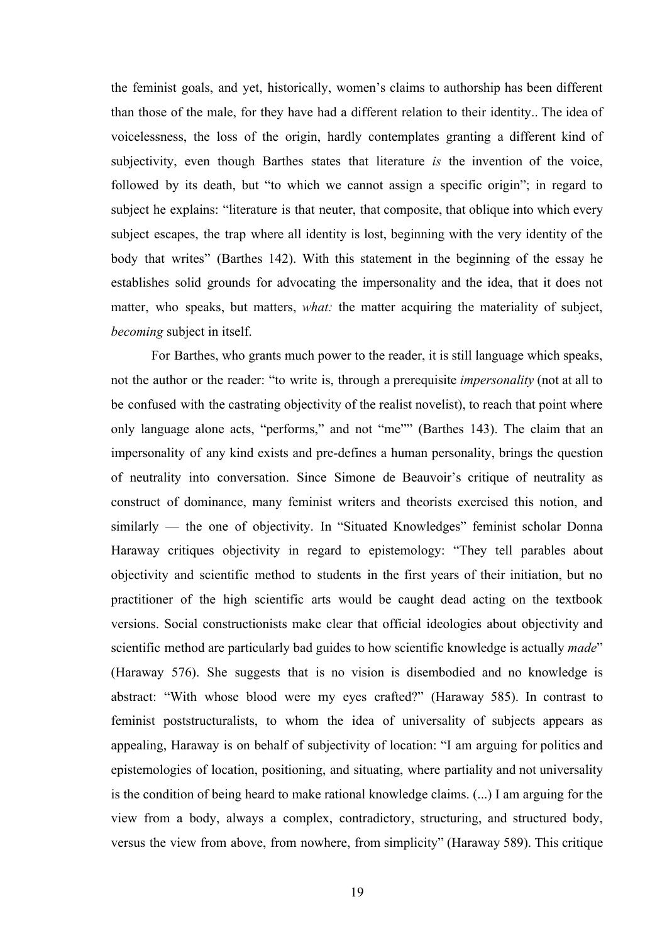the feminist goals, and yet, historically, women's claims to authorship has been different than those of the male, for they have had a different relation to their identity.. The idea of voicelessness, the loss of the origin, hardly contemplates granting a different kind of subjectivity, even though Barthes states that literature *is* the invention of the voice, followed by its death, but "to which we cannot assign a specific origin"; in regard to subject he explains: "literature is that neuter, that composite, that oblique into which every subject escapes, the trap where all identity is lost, beginning with the very identity of the body that writes" (Barthes 142). With this statement in the beginning of the essay he establishes solid grounds for advocating the impersonality and the idea, that it does not matter, who speaks, but matters, *what:* the matter acquiring the materiality of subject, *becoming* subject in itself.

For Barthes, who grants much power to the reader, it is still language which speaks, not the author or the reader: "to write is, through a prerequisite *impersonality* (not at all to be confused with the castrating objectivity of the realist novelist), to reach that point where only language alone acts, "performs," and not "me"" (Barthes 143). The claim that an impersonality of any kind exists and pre-defines a human personality, brings the question of neutrality into conversation. Since Simone de Beauvoir's critique of neutrality as construct of dominance, many feminist writers and theorists exercised this notion, and similarly — the one of objectivity. In "Situated Knowledges" feminist scholar Donna Haraway critiques objectivity in regard to epistemology: "They tell parables about objectivity and scientific method to students in the first years of their initiation, but no practitioner of the high scientific arts would be caught dead acting on the textbook versions. Social constructionists make clear that official ideologies about objectivity and scientific method are particularly bad guides to how scientific knowledge is actually *made*" (Haraway 576). She suggests that is no vision is disembodied and no knowledge is abstract: "With whose blood were my eyes crafted?" (Haraway 585). In contrast to feminist poststructuralists, to whom the idea of universality of subjects appears as appealing, Haraway is on behalf of subjectivity of location: "I am arguing for politics and epistemologies of location, positioning, and situating, where partiality and not universality is the condition of being heard to make rational knowledge claims. (...) I am arguing for the view from a body, always a complex, contradictory, structuring, and structured body, versus the view from above, from nowhere, from simplicity" (Haraway 589). This critique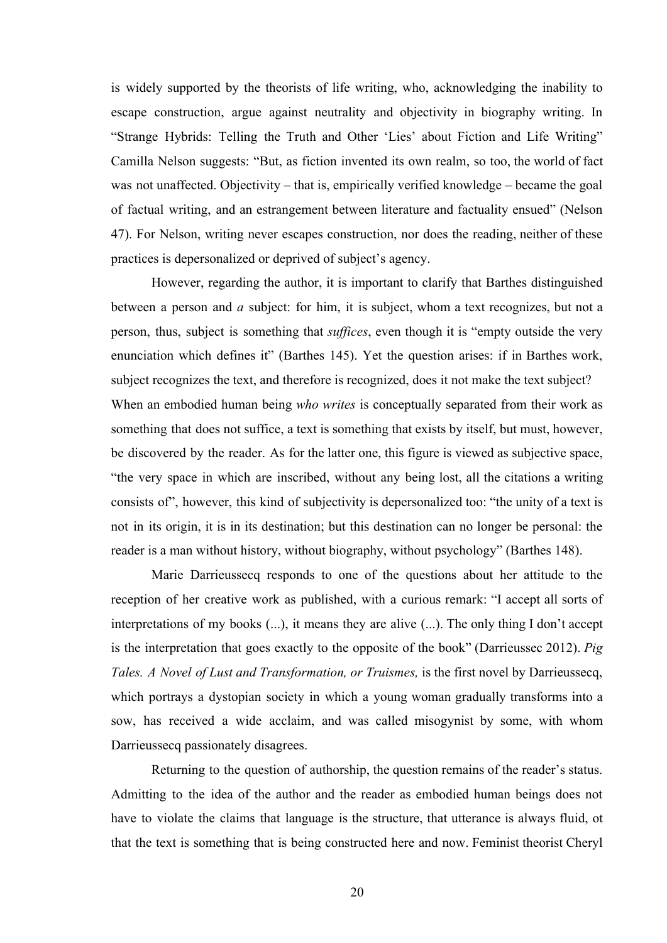is widely supported by the theorists of life writing, who, acknowledging the inability to escape construction, argue against neutrality and objectivity in biography writing. In "Strange Hybrids: Telling the Truth and Other 'Lies' about Fiction and Life Writing" Camilla Nelson suggests: "But, as fiction invented its own realm, so too, the world of fact was not unaffected. Objectivity – that is, empirically verified knowledge – became the goal of factual writing, and an estrangement between literature and factuality ensued" (Nelson 47). For Nelson, writing never escapes construction, nor does the reading, neither of these practices is depersonalized or deprived of subject's agency.

However, regarding the author, it is important to clarify that Barthes distinguished between a person and *a* subject: for him, it is subject, whom a text recognizes, but not a person, thus, subject is something that *suffices*, even though it is "empty outside the very enunciation which defines it" (Barthes 145). Yet the question arises: if in Barthes work, subject recognizes the text, and therefore is recognized, does it not make the text subject? When an embodied human being *who writes* is conceptually separated from their work as something that does not suffice, a text is something that exists by itself, but must, however, be discovered by the reader. As for the latter one, this figure is viewed as subjective space, "the very space in which are inscribed, without any being lost, all the citations a writing consists of", however, this kind of subjectivity is depersonalized too: "the unity of a text is not in its origin, it is in its destination; but this destination can no longer be personal: the reader is a man without history, without biography, without psychology" (Barthes 148).

Marie Darrieussecq responds to one of the questions about her attitude to the reception of her creative work as published, with a curious remark: "I accept all sorts of interpretations of my books (...), it means they are alive (...). The only thing I don't accept is the interpretation that goes exactly to the opposite of the book" (Darrieussec 2012). *Pig Tales. A Novel of Lust and Transformation, or Truismes,* is the first novel by Darrieussecq, which portrays a dystopian society in which a young woman gradually transforms into a sow, has received a wide acclaim, and was called misogynist by some, with whom Darrieussecq passionately disagrees.

Returning to the question of authorship, the question remains of the reader's status. Admitting to the idea of the author and the reader as embodied human beings does not have to violate the claims that language is the structure, that utterance is always fluid, ot that the text is something that is being constructed here and now. Feminist theorist Cheryl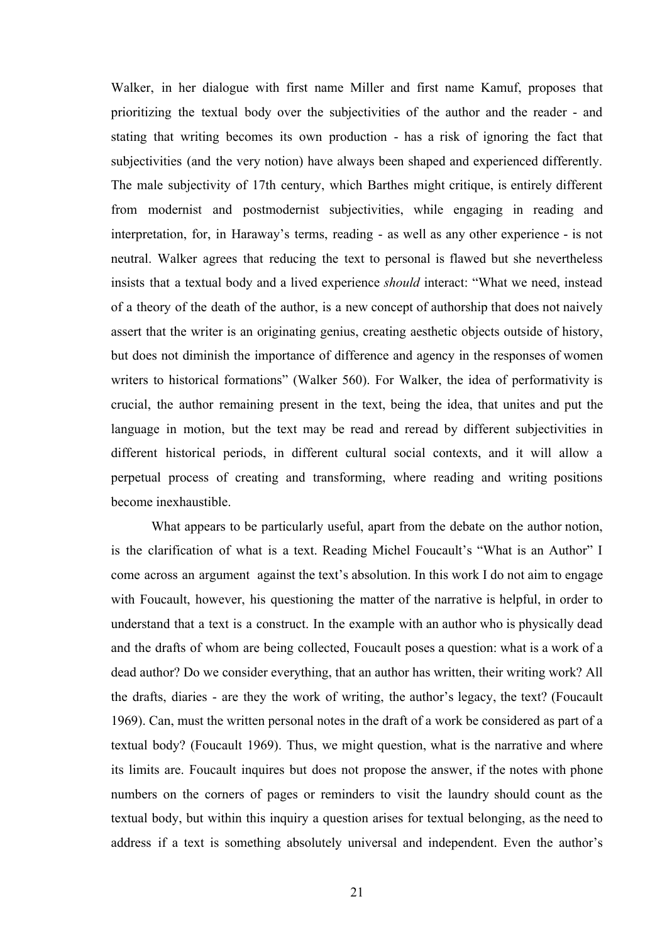Walker, in her dialogue with first name Miller and first name Kamuf, proposes that prioritizing the textual body over the subjectivities of the author and the reader - and stating that writing becomes its own production - has a risk of ignoring the fact that subjectivities (and the very notion) have always been shaped and experienced differently. The male subjectivity of 17th century, which Barthes might critique, is entirely different from modernist and postmodernist subjectivities, while engaging in reading and interpretation, for, in Haraway's terms, reading - as well as any other experience - is not neutral. Walker agrees that reducing the text to personal is flawed but she nevertheless insists that a textual body and a lived experience *should* interact: "What we need, instead of a theory of the death of the author, is a new concept of authorship that does not naively assert that the writer is an originating genius, creating aesthetic objects outside of history, but does not diminish the importance of difference and agency in the responses of women writers to historical formations" (Walker 560). For Walker, the idea of performativity is crucial, the author remaining present in the text, being the idea, that unites and put the language in motion, but the text may be read and reread by different subjectivities in different historical periods, in different cultural social contexts, and it will allow a perpetual process of creating and transforming, where reading and writing positions become inexhaustible.

What appears to be particularly useful, apart from the debate on the author notion, is the clarification of what is a text. Reading Michel Foucault's "What is an Author" I come across an argument against the text's absolution. In this work I do not aim to engage with Foucault, however, his questioning the matter of the narrative is helpful, in order to understand that a text is a construct. In the example with an author who is physically dead and the drafts of whom are being collected, Foucault poses a question: what is a work of a dead author? Do we consider everything, that an author has written, their writing work? All the drafts, diaries - are they the work of writing, the author's legacy, the text? (Foucault 1969). Can, must the written personal notes in the draft of a work be considered as part of a textual body? (Foucault 1969). Thus, we might question, what is the narrative and where its limits are. Foucault inquires but does not propose the answer, if the notes with phone numbers on the corners of pages or reminders to visit the laundry should count as the textual body, but within this inquiry a question arises for textual belonging, as the need to address if a text is something absolutely universal and independent. Even the author's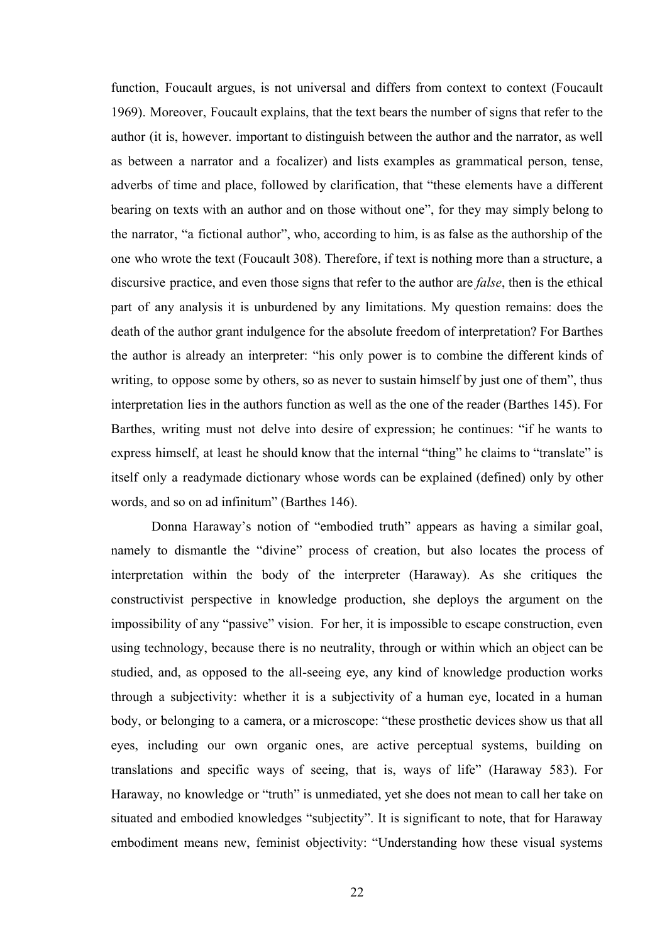function, Foucault argues, is not universal and differs from context to context (Foucault 1969). Moreover, Foucault explains, that the text bears the number of signs that refer to the author (it is, however. important to distinguish between the author and the narrator, as well as between a narrator and a focalizer) and lists examples as grammatical person, tense, adverbs of time and place, followed by clarification, that "these elements have a different bearing on texts with an author and on those without one", for they may simply belong to the narrator, "a fictional author", who, according to him, is as false as the authorship of the one who wrote the text (Foucault 308). Therefore, if text is nothing more than a structure, a discursive practice, and even those signs that refer to the author are *false*, then is the ethical part of any analysis it is unburdened by any limitations. My question remains: does the death of the author grant indulgence for the absolute freedom of interpretation? For Barthes the author is already an interpreter: "his only power is to combine the different kinds of writing, to oppose some by others, so as never to sustain himself by just one of them", thus interpretation lies in the authors function as well as the one of the reader (Barthes 145). For Barthes, writing must not delve into desire of expression; he continues: "if he wants to express himself, at least he should know that the internal "thing" he claims to "translate" is itself only a readymade dictionary whose words can be explained (defined) only by other words, and so on ad infinitum" (Barthes 146).

Donna Haraway's notion of "embodied truth" appears as having a similar goal, namely to dismantle the "divine" process of creation, but also locates the process of interpretation within the body of the interpreter (Haraway). As she critiques the constructivist perspective in knowledge production, she deploys the argument on the impossibility of any "passive" vision. For her, it is impossible to escape construction, even using technology, because there is no neutrality, through or within which an object can be studied, and, as opposed to the all-seeing eye, any kind of knowledge production works through a subjectivity: whether it is a subjectivity of a human eye, located in a human body, or belonging to a camera, or a microscope: "these prosthetic devices show us that all eyes, including our own organic ones, are active perceptual systems, building on translations and specific ways of seeing, that is, ways of life" (Haraway 583). For Haraway, no knowledge or "truth" is unmediated, yet she does not mean to call her take on situated and embodied knowledges "subjectity". It is significant to note, that for Haraway embodiment means new, feminist objectivity: "Understanding how these visual systems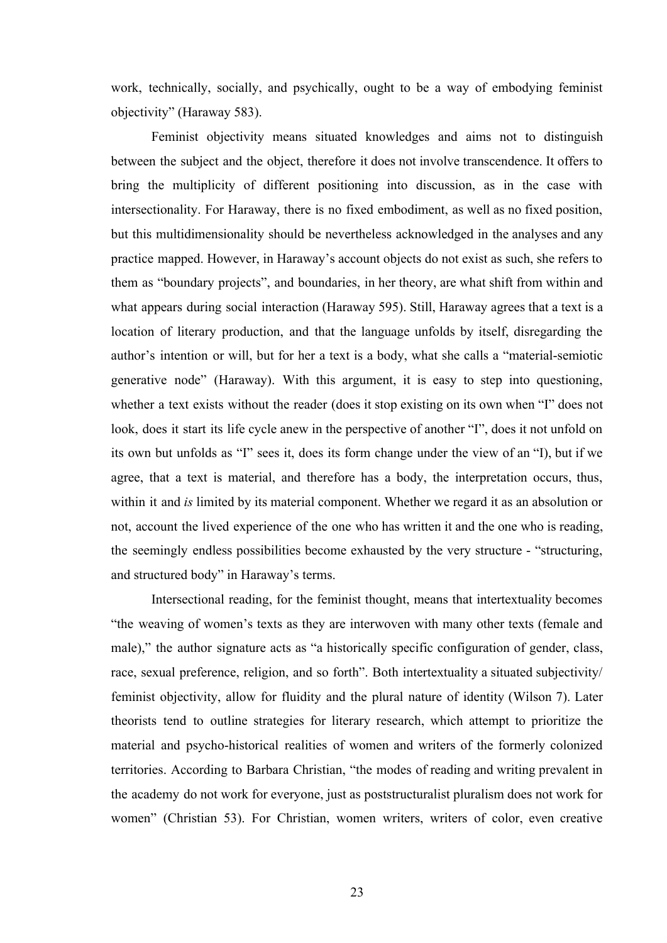work, technically, socially, and psychically, ought to be a way of embodying feminist objectivity" (Haraway 583).

Feminist objectivity means situated knowledges and aims not to distinguish between the subject and the object, therefore it does not involve transcendence. It offers to bring the multiplicity of different positioning into discussion, as in the case with intersectionality. For Haraway, there is no fixed embodiment, as well as no fixed position, but this multidimensionality should be nevertheless acknowledged in the analyses and any practice mapped. However, in Haraway's account objects do not exist as such, she refers to them as "boundary projects", and boundaries, in her theory, are what shift from within and what appears during social interaction (Haraway 595). Still, Haraway agrees that a text is a location of literary production, and that the language unfolds by itself, disregarding the author's intention or will, but for her a text is a body, what she calls a "material-semiotic generative node" (Haraway). With this argument, it is easy to step into questioning, whether a text exists without the reader (does it stop existing on its own when "I" does not look, does it start its life cycle anew in the perspective of another "I", does it not unfold on its own but unfolds as "I" sees it, does its form change under the view of an "I), but if we agree, that a text is material, and therefore has a body, the interpretation occurs, thus, within it and *is* limited by its material component. Whether we regard it as an absolution or not, account the lived experience of the one who has written it and the one who is reading, the seemingly endless possibilities become exhausted by the very structure - "structuring, and structured body" in Haraway's terms.

Intersectional reading, for the feminist thought, means that intertextuality becomes "the weaving of women's texts as they are interwoven with many other texts (female and male)," the author signature acts as "a historically specific configuration of gender, class, race, sexual preference, religion, and so forth". Both intertextuality a situated subjectivity/ feminist objectivity, allow for fluidity and the plural nature of identity (Wilson 7). Later theorists tend to outline strategies for literary research, which attempt to prioritize the material and psycho-historical realities of women and writers of the formerly colonized territories. According to Barbara Christian, "the modes of reading and writing prevalent in the academy do not work for everyone, just as poststructuralist pluralism does not work for women" (Christian 53). For Christian, women writers, writers of color, even creative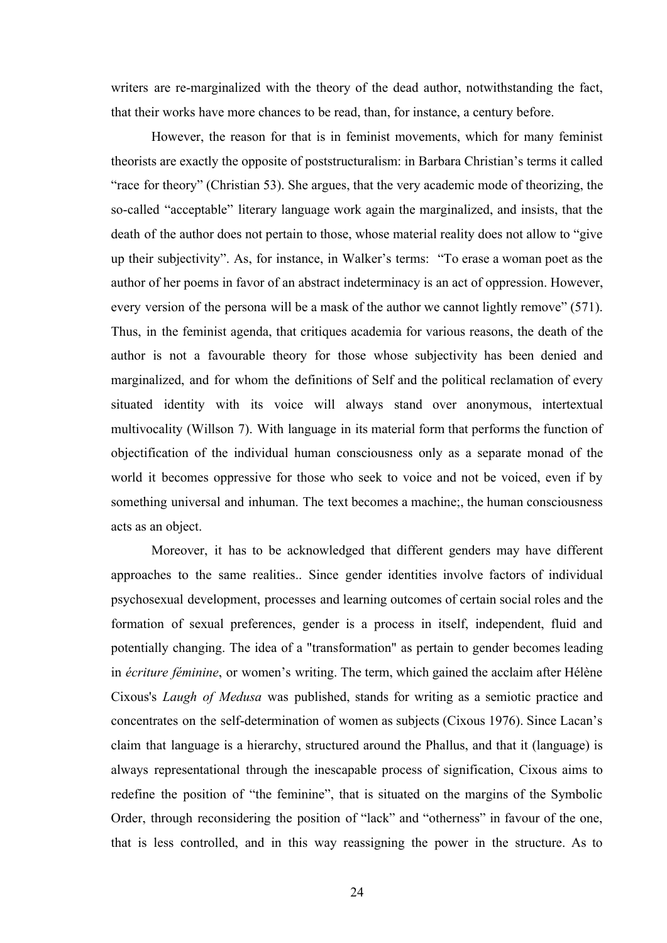writers are re-marginalized with the theory of the dead author, notwithstanding the fact, that their works have more chances to be read, than, for instance, a century before.

However, the reason for that is in feminist movements, which for many feminist theorists are exactly the opposite of poststructuralism: in Barbara Christian's terms it called "race for theory" (Christian 53). She argues, that the very academic mode of theorizing, the so-called "acceptable" literary language work again the marginalized, and insists, that the death of the author does not pertain to those, whose material reality does not allow to "give up their subjectivity". As, for instance, in Walker's terms: "To erase a woman poet as the author of her poems in favor of an abstract indeterminacy is an act of oppression. However, every version of the persona will be a mask of the author we cannot lightly remove" (571). Thus, in the feminist agenda, that critiques academia for various reasons, the death of the author is not a favourable theory for those whose subjectivity has been denied and marginalized, and for whom the definitions of Self and the political reclamation of every situated identity with its voice will always stand over anonymous, intertextual multivocality (Willson 7). With language in its material form that performs the function of objectification of the individual human consciousness only as a separate monad of the world it becomes oppressive for those who seek to voice and not be voiced, even if by something universal and inhuman. The text becomes a machine;, the human consciousness acts as an object.

Moreover, it has to be acknowledged that different genders may have different approaches to the same realities.. Since gender identities involve factors of individual psychosexual development, processes and learning outcomes of certain social roles and the formation of sexual preferences, gender is a process in itself, independent, fluid and potentially changing. The idea of a "transformation" as pertain to gender becomes leading in *écriture féminine*, or women's writing. The term, which gained the acclaim after Hélène Cixous's *Laugh of Medusa* was published, stands for writing as a semiotic practice and concentrates on the self-determination of women as subjects (Cixous 1976). Since Lacan's claim that language is a hierarchy, structured around the Phallus, and that it (language) is always representational through the inescapable process of signification, Cixous aims to redefine the position of "the feminine", that is situated on the margins of the Symbolic Order, through reconsidering the position of "lack" and "otherness" in favour of the one, that is less controlled, and in this way reassigning the power in the structure. As to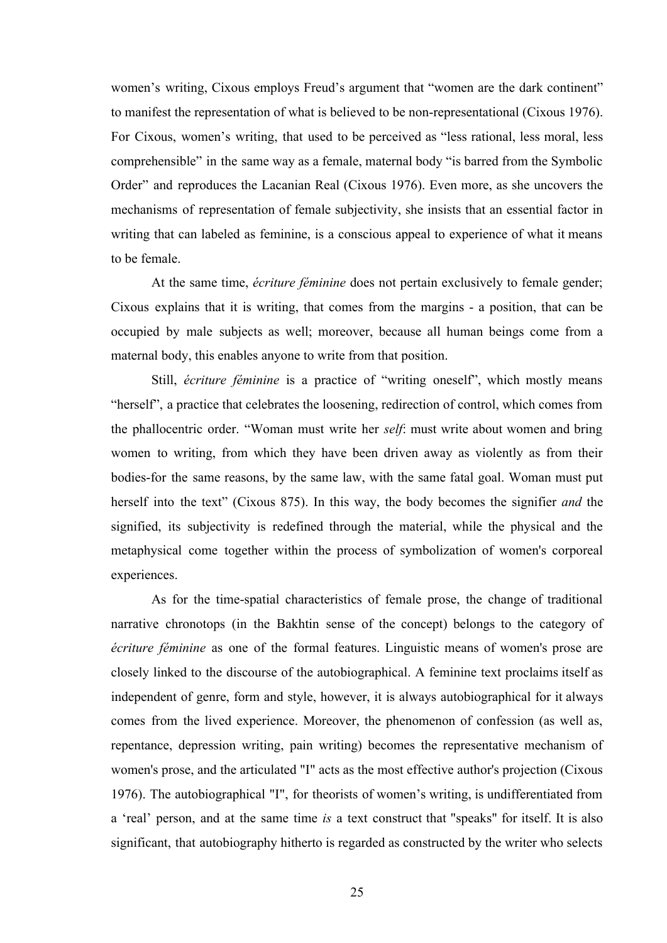women's writing, Cixous employs Freud's argument that "women are the dark continent" to manifest the representation of what is believed to be non-representational (Cixous 1976). For Cixous, women's writing, that used to be perceived as "less rational, less moral, less comprehensible" in the same way as a female, maternal body "is barred from the Symbolic Order" and reproduces the Lacanian Real (Cixous 1976). Even more, as she uncovers the mechanisms of representation of female subjectivity, she insists that an essential factor in writing that can labeled as feminine, is a conscious appeal to experience of what it means to be female.

At the same time, *écriture féminine* does not pertain exclusively to female gender; Cixous explains that it is writing, that comes from the margins - a position, that can be occupied by male subjects as well; moreover, because all human beings come from a maternal body, this enables anyone to write from that position.

Still, *écriture féminine* is a practice of "writing oneself", which mostly means "herself", a practice that celebrates the loosening, redirection of control, which comes from the phallocentric order. "Woman must write her *self*: must write about women and bring women to writing, from which they have been driven away as violently as from their bodies-for the same reasons, by the same law, with the same fatal goal. Woman must put herself into the text" (Cixous 875). In this way, the body becomes the signifier *and* the signified, its subjectivity is redefined through the material, while the physical and the metaphysical come together within the process of symbolization of women's corporeal experiences.

As for the time-spatial characteristics of female prose, the change of traditional narrative chronotops (in the Bakhtin sense of the concept) belongs to the category of *écriture féminine* as one of the formal features. Linguistic means of women's prose are closely linked to the discourse of the autobiographical. A feminine text proclaims itself as independent of genre, form and style, however, it is always autobiographical for it always comes from the lived experience. Moreover, the phenomenon of confession (as well as, repentance, depression writing, pain writing) becomes the representative mechanism of women's prose, and the articulated "I" acts as the most effective author's projection (Cixous 1976). The autobiographical "I", for theorists of women's writing, is undifferentiated from a 'real' person, and at the same time *is* a text construct that "speaks" for itself. It is also significant, that autobiography hitherto is regarded as constructed by the writer who selects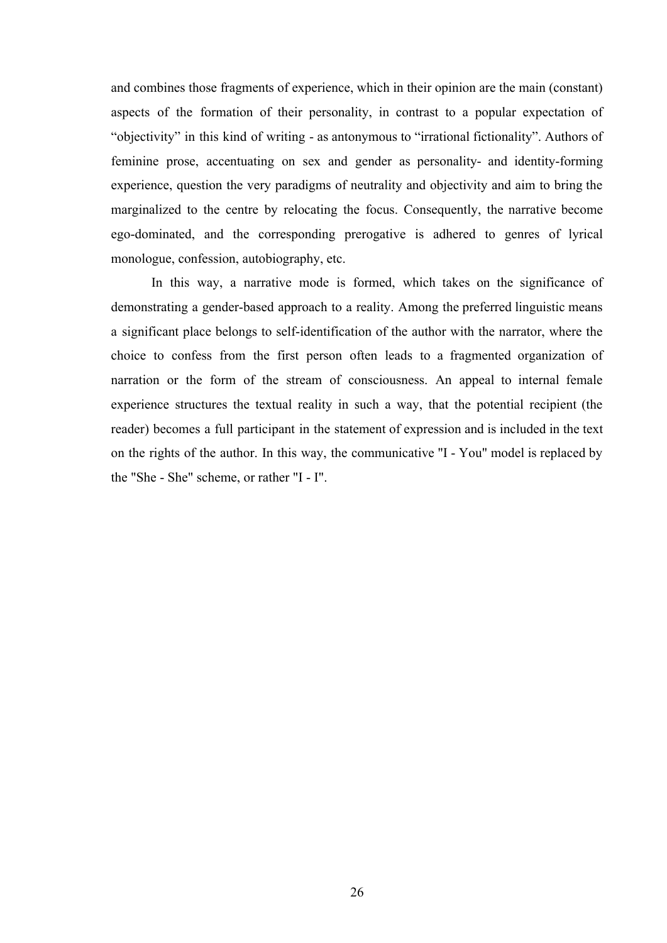and combines those fragments of experience, which in their opinion are the main (constant) aspects of the formation of their personality, in contrast to a popular expectation of "objectivity" in this kind of writing - as antonymous to "irrational fictionality". Authors of feminine prose, accentuating on sex and gender as personality- and identity-forming experience, question the very paradigms of neutrality and objectivity and aim to bring the marginalized to the centre by relocating the focus. Consequently, the narrative become ego-dominated, and the corresponding prerogative is adhered to genres of lyrical monologue, confession, autobiography, etc.

In this way, a narrative mode is formed, which takes on the significance of demonstrating a gender-based approach to a reality. Among the preferred linguistic means a significant place belongs to self-identification of the author with the narrator, where the choice to confess from the first person often leads to a fragmented organization of narration or the form of the stream of consciousness. An appeal to internal female experience structures the textual reality in such a way, that the potential recipient (the reader) becomes a full participant in the statement of expression and is included in the text on the rights of the author. In this way, the communicative "I - You" model is replaced by the "She - She" scheme, or rather "I - I".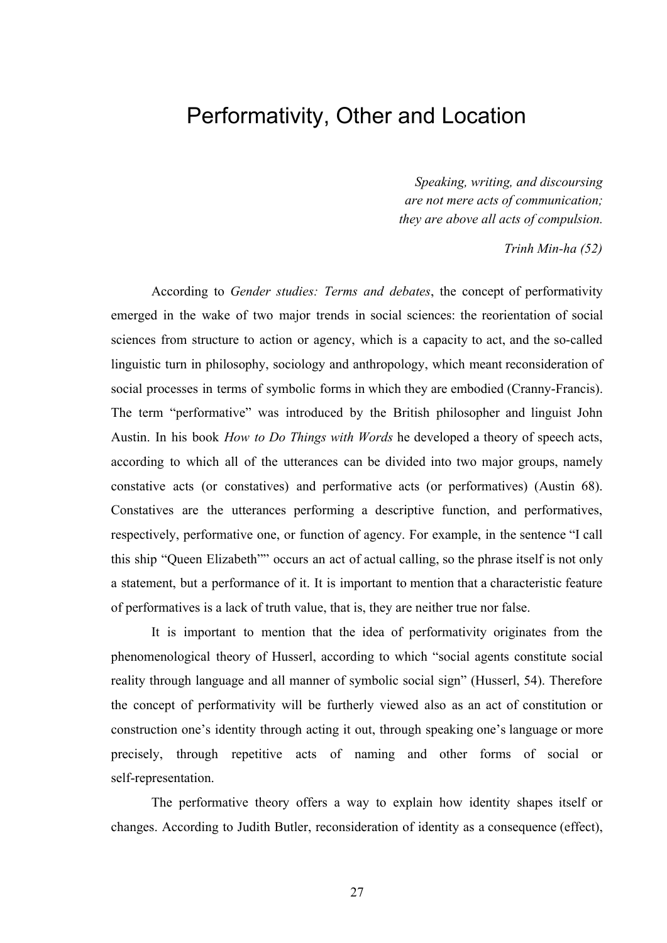#### Performativity, Other and Location

*Speaking, writing, and discoursing are not mere acts of communication; they are above all acts of compulsion.*

 *Trinh Min-ha (52)*

According to *Gender studies: Terms and debates*, the concept of performativity emerged in the wake of two major trends in social sciences: the reorientation of social sciences from structure to action or agency, which is a capacity to act, and the so-called linguistic turn in philosophy, sociology and anthropology, which meant reconsideration of social processes in terms of symbolic forms in which they are embodied (Cranny-Francis). The term "performative" was introduced by the British philosopher and linguist John Austin. In his book *How to Do Things with Words* he developed a theory of speech acts, according to which all of the utterances can be divided into two major groups, namely constative acts (or constatives) and performative acts (or performatives) (Austin 68). Constatives are the utterances performing a descriptive function, and performatives, respectively, performative one, or function of agency. For example, in the sentence "I call this ship "Queen Elizabeth"" occurs an act of actual calling, so the phrase itself is not only a statement, but a performance of it. It is important to mention that a characteristic feature of performatives is a lack of truth value, that is, they are neither true nor false.

It is important to mention that the idea of performativity originates from the phenomenological theory of Husserl, according to which "social agents constitute social reality through language and all manner of symbolic social sign" (Husserl, 54). Therefore the concept of performativity will be furtherly viewed also as an act of constitution or construction one's identity through acting it out, through speaking one's language or more precisely, through repetitive acts of naming and other forms of social or self-representation.

The performative theory offers a way to explain how identity shapes itself or changes. According to Judith Butler, reconsideration of identity as a consequence (effect),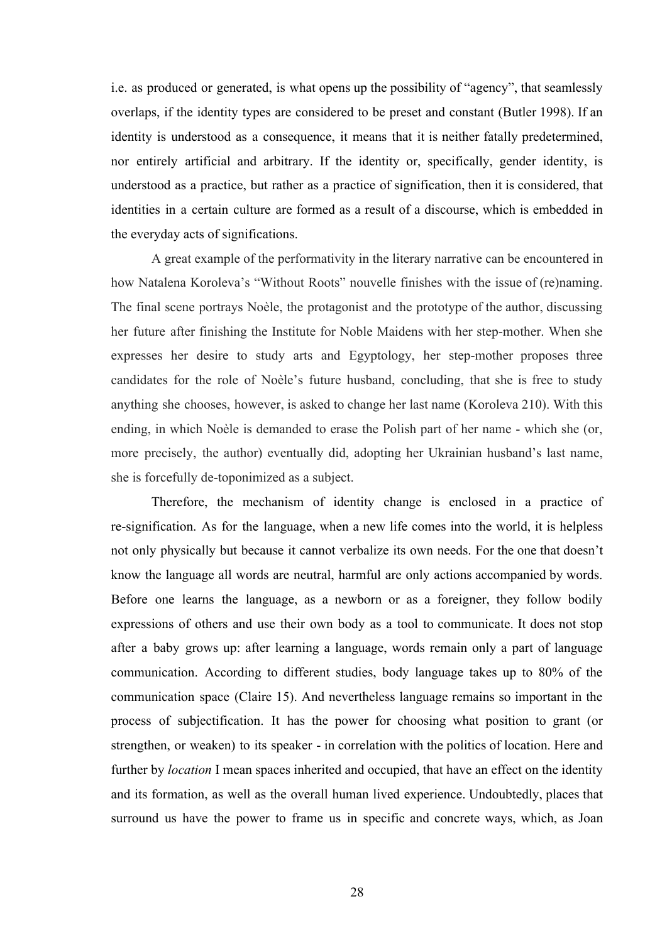i.e. as produced or generated, is what opens up the possibility of "agency", that seamlessly overlaps, if the identity types are considered to be preset and constant (Butler 1998). If an identity is understood as a consequence, it means that it is neither fatally predetermined, nor entirely artificial and arbitrary. If the identity or, specifically, gender identity, is understood as a practice, but rather as a practice of signification, then it is considered, that identities in a certain culture are formed as a result of a discourse, which is embedded in the everyday acts of significations.

A great example of the performativity in the literary narrative can be encountered in how Natalena Koroleva's "Without Roots" nouvelle finishes with the issue of (re)naming. The final scene portrays Noèle, the protagonist and the prototype of the author, discussing her future after finishing the Institute for Noble Maidens with her step-mother. When she expresses her desire to study arts and Egyptology, her step-mother proposes three candidates for the role of Noèle's future husband, concluding, that she is free to study anything she chooses, however, is asked to change her last name (Koroleva 210). With this ending, in which Noèle is demanded to erase the Polish part of her name - which she (or, more precisely, the author) eventually did, adopting her Ukrainian husband's last name, she is forcefully de-toponimized as a subject.

Therefore, the mechanism of identity change is enclosed in a practice of re-signification. As for the language, when a new life comes into the world, it is helpless not only physically but because it cannot verbalize its own needs. For the one that doesn't know the language all words are neutral, harmful are only actions accompanied by words. Before one learns the language, as a newborn or as a foreigner, they follow bodily expressions of others and use their own body as a tool to communicate. It does not stop after a baby grows up: after learning a language, words remain only a part of language communication. According to different studies, body language takes up to 80% of the communication space (Claire 15). And nevertheless language remains so important in the process of subjectification. It has the power for choosing what position to grant (or strengthen, or weaken) to its speaker - in correlation with the politics of location. Here and further by *location* I mean spaces inherited and occupied, that have an effect on the identity and its formation, as well as the overall human lived experience. Undoubtedly, places that surround us have the power to frame us in specific and concrete ways, which, as Joan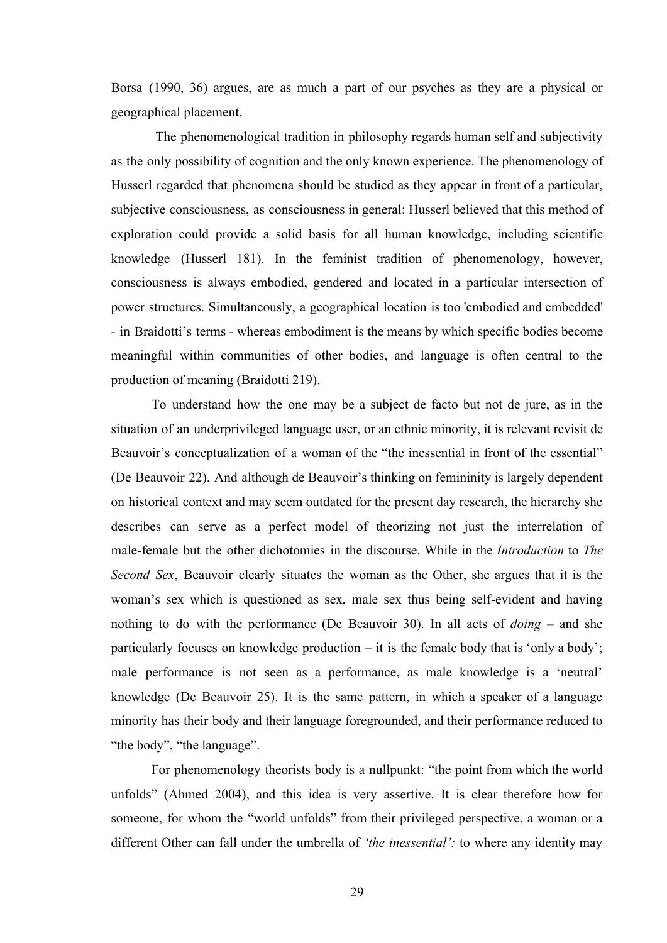Borsa (1990, 36) argues, are as much a part of our psyches as they are a physical or geographical placement.

The phenomenological tradition in philosophy regards human self and subjectivity as the only possibility of cognition and the only known experience. The phenomenology of Husserl regarded that phenomena should be studied as they appear in front of a particular, subjective consciousness, as consciousness in general: Husserl believed that this method of exploration could provide a solid basis for all human knowledge, including scientific knowledge (Husserl 181). In the feminist tradition of phenomenology, however, consciousness is always embodied, gendered and located in a particular intersection of power structures. Simultaneously, a geographical location is too 'embodied and embedded' - in Braidotti's terms - whereas embodiment is the means by which specific bodies become meaningful within communities of other bodies, and language is often central to the production of meaning (Braidotti 219).

To understand how the one may be a subject de facto but not de jure, as in the situation of an underprivileged language user, or an ethnic minority, it is relevant revisit de Beauvoir's conceptualization of a woman of the "the inessential in front of the essential" (De Beauvoir 22). And although de Beauvoir's thinking on femininity is largely dependent on historical context and may seem outdated for the present day research, the hierarchy she describes can serve as a perfect model of theorizing not just the interrelation of male-female but the other dichotomies in the discourse. While in the *Introduction* to *The Second Sex*, Beauvoir clearly situates the woman as the Other, she argues that it is the woman's sex which is questioned as sex, male sex thus being self-evident and having nothing to do with the performance (De Beauvoir 30). In all acts of *doing* – and she particularly focuses on knowledge production – it is the female body that is 'only a body'; male performance is not seen as a performance, as male knowledge is a 'neutral' knowledge (De Beauvoir 25). It is the same pattern, in which a speaker of a language minority has their body and their language foregrounded, and their performance reduced to "the body", "the language".

For phenomenology theorists body is a nullpunkt: "the point from which the world unfolds" (Ahmed 2004), and this idea is very assertive. It is clear therefore how for someone, for whom the "world unfolds" from their privileged perspective, a woman or a different Other can fall under the umbrella of *'the inessential':* to where any identity may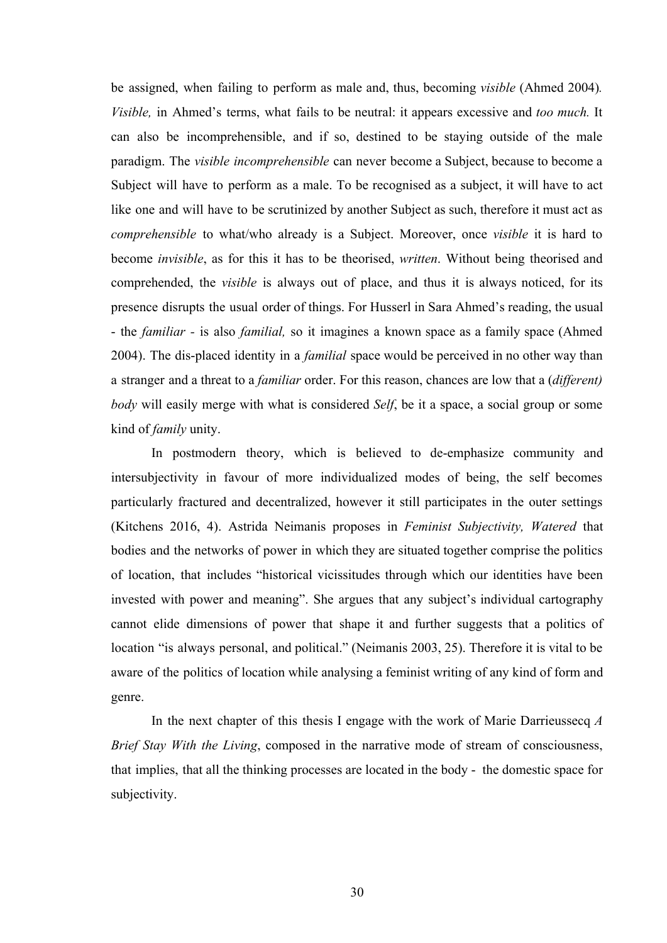be assigned, when failing to perform as male and, thus, becoming *visible* (Ahmed 2004)*. Visible,* in Ahmed's terms, what fails to be neutral: it appears excessive and *too much.* It can also be incomprehensible, and if so, destined to be staying outside of the male paradigm. The *visible incomprehensible* can never become a Subject, because to become a Subject will have to perform as a male. To be recognised as a subject, it will have to act like one and will have to be scrutinized by another Subject as such, therefore it must act as *comprehensible* to what/who already is a Subject. Moreover, once *visible* it is hard to become *invisible*, as for this it has to be theorised, *written*. Without being theorised and comprehended, the *visible* is always out of place, and thus it is always noticed, for its presence disrupts the usual order of things. For Husserl in Sara Ahmed's reading, the usual - the *familiar -* is also *familial,* so it imagines a known space as a family space (Ahmed 2004). The dis-placed identity in a *familial* space would be perceived in no other way than a stranger and a threat to a *familiar* order. For this reason, chances are low that a (*different) body* will easily merge with what is considered *Self*, be it a space, a social group or some kind of *family* unity.

In postmodern theory, which is believed to de-emphasize community and intersubjectivity in favour of more individualized modes of being, the self becomes particularly fractured and decentralized, however it still participates in the outer settings (Kitchens 2016, 4). Astrida Neimanis proposes in *Feminist Subjectivity, Watered* that bodies and the networks of power in which they are situated together comprise the politics of location, that includes "historical vicissitudes through which our identities have been invested with power and meaning". She argues that any subject's individual cartography cannot elide dimensions of power that shape it and further suggests that a politics of location "is always personal, and political." (Neimanis 2003, 25). Therefore it is vital to be aware of the politics of location while analysing a feminist writing of any kind of form and genre.

In the next chapter of this thesis I engage with the work of Marie Darrieussecq *A Brief Stay With the Living*, composed in the narrative mode of stream of consciousness, that implies, that all the thinking processes are located in the body - the domestic space for subjectivity.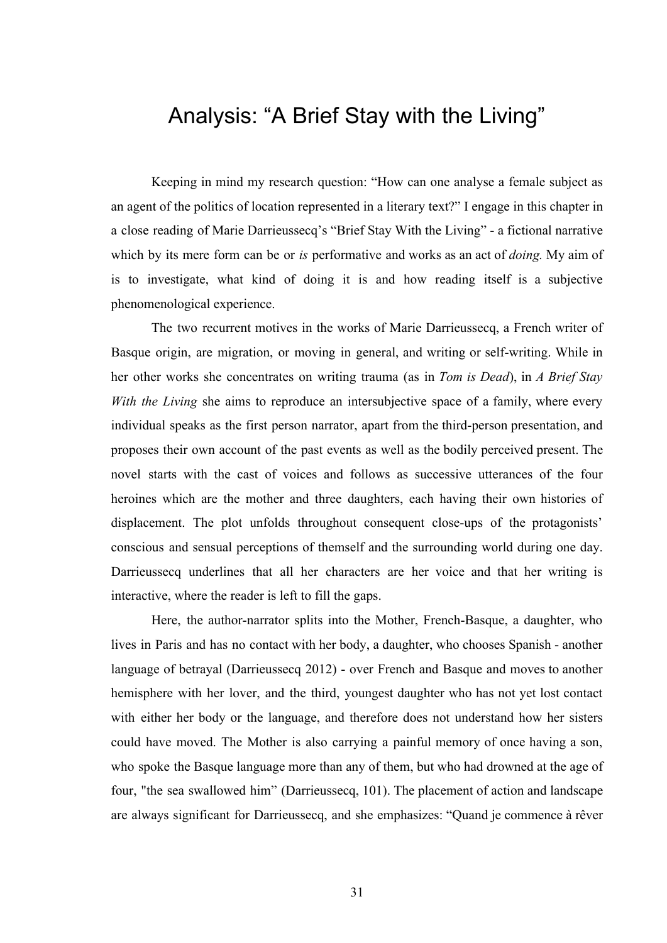### Analysis: "A Brief Stay with the Living"

Keeping in mind my research question: "How can one analyse a female subject as an agent of the politics of location represented in a literary text?" I engage in this chapter in a close reading of Marie Darrieussecq's "Brief Stay With the Living" - a fictional narrative which by its mere form can be or *is* performative and works as an act of *doing.* My aim of is to investigate, what kind of doing it is and how reading itself is a subjective phenomenological experience.

The two recurrent motives in the works of Marie Darrieussecq, a French writer of Basque origin, are migration, or moving in general, and writing or self-writing. While in her other works she concentrates on writing trauma (as in *Tom is Dead*), in *A Brief Stay With the Living* she aims to reproduce an intersubjective space of a family, where every individual speaks as the first person narrator, apart from the third-person presentation, and proposes their own account of the past events as well as the bodily perceived present. The novel starts with the cast of voices and follows as successive utterances of the four heroines which are the mother and three daughters, each having their own histories of displacement. The plot unfolds throughout consequent close-ups of the protagonists' conscious and sensual perceptions of themself and the surrounding world during one day. Darrieussecq underlines that all her characters are her voice and that her writing is interactive, where the reader is left to fill the gaps.

Here, the author-narrator splits into the Mother, French-Basque, a daughter, who lives in Paris and has no contact with her body, a daughter, who chooses Spanish - another language of betrayal (Darrieussecq 2012) - over French and Basque and moves to another hemisphere with her lover, and the third, youngest daughter who has not yet lost contact with either her body or the language, and therefore does not understand how her sisters could have moved. The Mother is also carrying a painful memory of once having a son, who spoke the Basque language more than any of them, but who had drowned at the age of four, "the sea swallowed him" (Darrieussecq, 101). The placement of action and landscape are always significant for Darrieussecq, and she emphasizes: "Quand je commence à rêver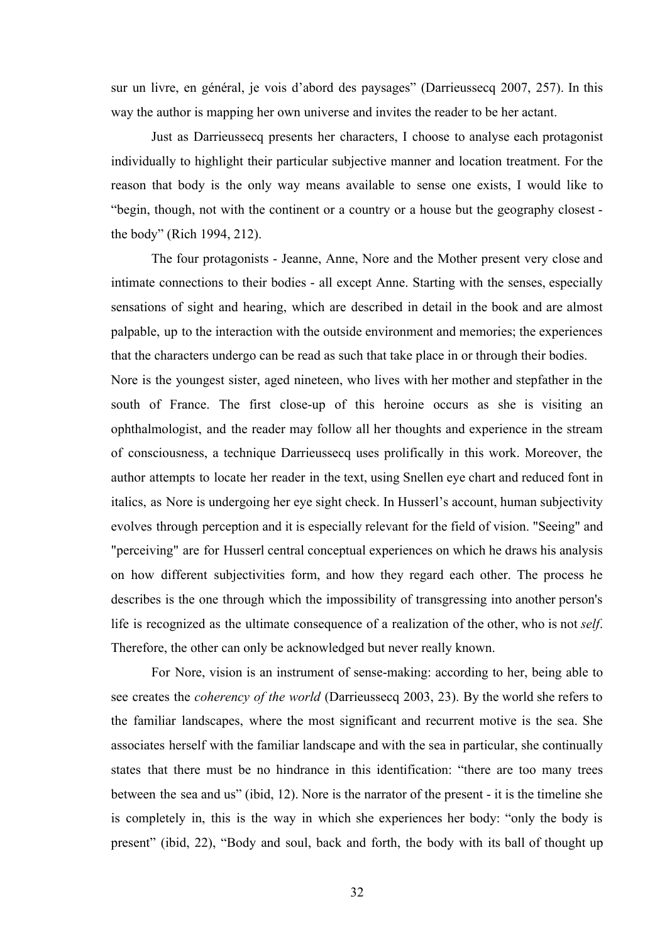sur un livre, en général, je vois d'abord des paysages" (Darrieussecq 2007, 257). In this way the author is mapping her own universe and invites the reader to be her actant.

Just as Darrieussecq presents her characters, I choose to analyse each protagonist individually to highlight their particular subjective manner and location treatment. For the reason that body is the only way means available to sense one exists, I would like to "begin, though, not with the continent or a country or a house but the geography closest the body" (Rich 1994, 212).

The four protagonists - Jeanne, Anne, Nore and the Mother present very close and intimate connections to their bodies - all except Anne. Starting with the senses, especially sensations of sight and hearing, which are described in detail in the book and are almost palpable, up to the interaction with the outside environment and memories; the experiences that the characters undergo can be read as such that take place in or through their bodies.

Nore is the youngest sister, aged nineteen, who lives with her mother and stepfather in the south of France. The first close-up of this heroine occurs as she is visiting an ophthalmologist, and the reader may follow all her thoughts and experience in the stream of consciousness, a technique Darrieussecq uses prolifically in this work. Moreover, the author attempts to locate her reader in the text, using Snellen eye chart and reduced font in italics, as Nore is undergoing her eye sight check. In Husserl's account, human subjectivity evolves through perception and it is especially relevant for the field of vision. "Seeing" and "perceiving" are for Husserl central conceptual experiences on which he draws his analysis on how different subjectivities form, and how they regard each other. The process he describes is the one through which the impossibility of transgressing into another person's life is recognized as the ultimate consequence of a realization of the other, who is not *self*. Therefore, the other can only be acknowledged but never really known.

For Nore, vision is an instrument of sense-making: according to her, being able to see creates the *coherency of the world* (Darrieussecq 2003, 23). By the world she refers to the familiar landscapes, where the most significant and recurrent motive is the sea. She associates herself with the familiar landscape and with the sea in particular, she continually states that there must be no hindrance in this identification: "there are too many trees between the sea and us" (ibid, 12). Nore is the narrator of the present - it is the timeline she is completely in, this is the way in which she experiences her body: "only the body is present" (ibid, 22), "Body and soul, back and forth, the body with its ball of thought up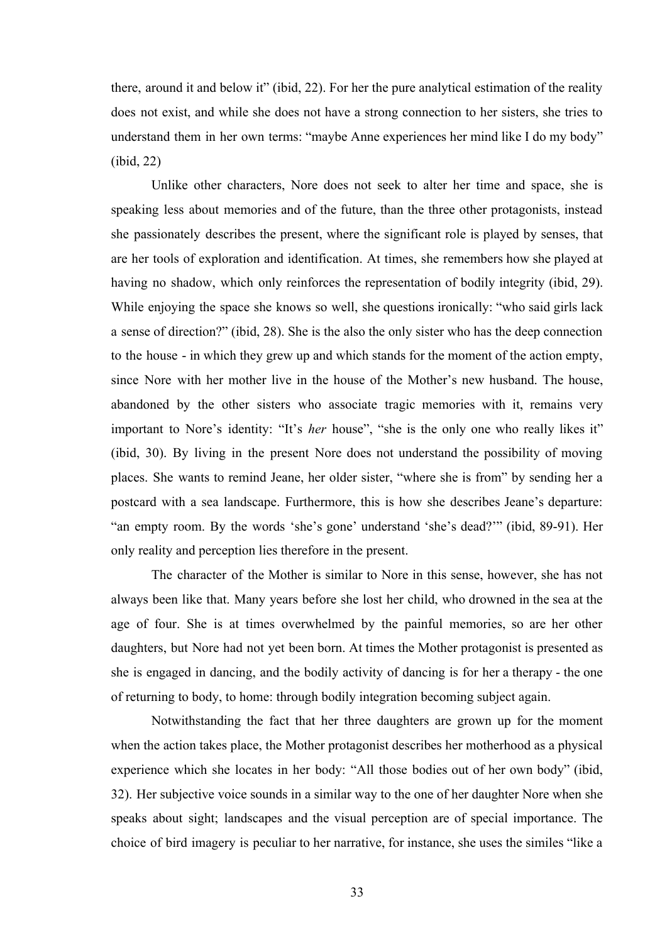there, around it and below it" (ibid, 22). For her the pure analytical estimation of the reality does not exist, and while she does not have a strong connection to her sisters, she tries to understand them in her own terms: "maybe Anne experiences her mind like I do my body" (ibid, 22)

Unlike other characters, Nore does not seek to alter her time and space, she is speaking less about memories and of the future, than the three other protagonists, instead she passionately describes the present, where the significant role is played by senses, that are her tools of exploration and identification. At times, she remembers how she played at having no shadow, which only reinforces the representation of bodily integrity (ibid, 29). While enjoying the space she knows so well, she questions ironically: "who said girls lack a sense of direction?" (ibid, 28). She is the also the only sister who has the deep connection to the house - in which they grew up and which stands for the moment of the action empty, since Nore with her mother live in the house of the Mother's new husband. The house, abandoned by the other sisters who associate tragic memories with it, remains very important to Nore's identity: "It's *her* house", "she is the only one who really likes it" (ibid, 30). By living in the present Nore does not understand the possibility of moving places. She wants to remind Jeane, her older sister, "where she is from" by sending her a postcard with a sea landscape. Furthermore, this is how she describes Jeane's departure: "an empty room. By the words 'she's gone' understand 'she's dead?'" (ibid, 89-91). Her only reality and perception lies therefore in the present.

The character of the Mother is similar to Nore in this sense, however, she has not always been like that. Many years before she lost her child, who drowned in the sea at the age of four. She is at times overwhelmed by the painful memories, so are her other daughters, but Nore had not yet been born. At times the Mother protagonist is presented as she is engaged in dancing, and the bodily activity of dancing is for her a therapy - the one of returning to body, to home: through bodily integration becoming subject again.

Notwithstanding the fact that her three daughters are grown up for the moment when the action takes place, the Mother protagonist describes her motherhood as a physical experience which she locates in her body: "All those bodies out of her own body" (ibid, 32). Her subjective voice sounds in a similar way to the one of her daughter Nore when she speaks about sight; landscapes and the visual perception are of special importance. The choice of bird imagery is peculiar to her narrative, for instance, she uses the similes "like a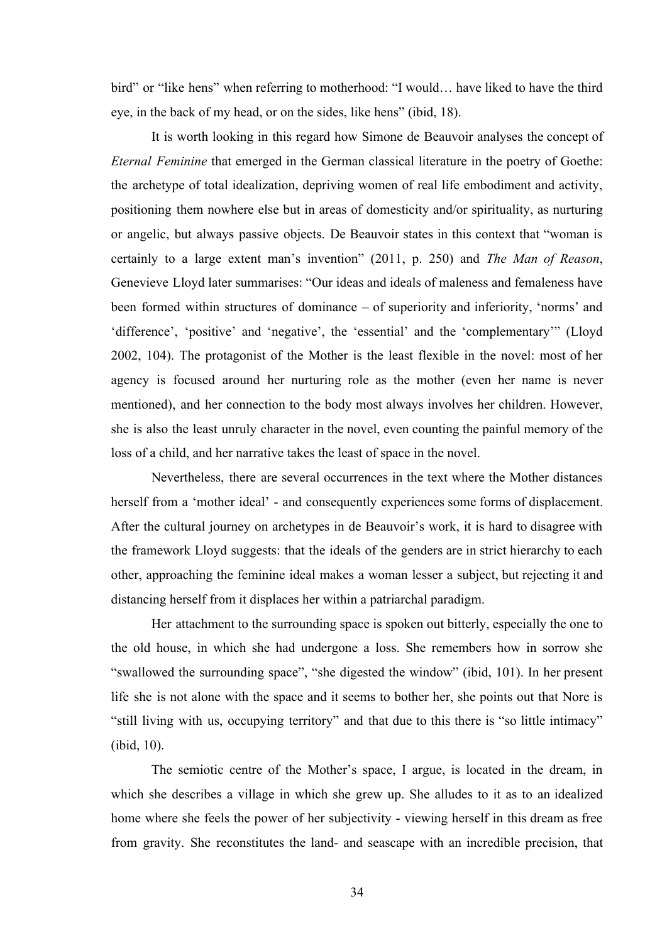bird" or "like hens" when referring to motherhood: "I would… have liked to have the third eye, in the back of my head, or on the sides, like hens" (ibid, 18).

It is worth looking in this regard how Simone de Beauvoir analyses the concept of *Eternal Feminine* that emerged in the German classical literature in the poetry of Goethe: the archetype of total idealization, depriving women of real life embodiment and activity, positioning them nowhere else but in areas of domesticity and/or spirituality, as nurturing or angelic, but always passive objects. De Beauvoir states in this context that "woman is certainly to a large extent man's invention" (2011, p. 250) and *The Man of Reason*, Genevieve Lloyd later summarises: "Our ideas and ideals of maleness and femaleness have been formed within structures of dominance – of superiority and inferiority, 'norms' and 'difference', 'positive' and 'negative', the 'essential' and the 'complementary'" (Lloyd 2002, 104). The protagonist of the Mother is the least flexible in the novel: most of her agency is focused around her nurturing role as the mother (even her name is never mentioned), and her connection to the body most always involves her children. However, she is also the least unruly character in the novel, even counting the painful memory of the loss of a child, and her narrative takes the least of space in the novel.

Nevertheless, there are several occurrences in the text where the Mother distances herself from a 'mother ideal' - and consequently experiences some forms of displacement. After the cultural journey on archetypes in de Beauvoir's work, it is hard to disagree with the framework Lloyd suggests: that the ideals of the genders are in strict hierarchy to each other, approaching the feminine ideal makes a woman lesser a subject, but rejecting it and distancing herself from it displaces her within a patriarchal paradigm.

Her attachment to the surrounding space is spoken out bitterly, especially the one to the old house, in which she had undergone a loss. She remembers how in sorrow she "swallowed the surrounding space", "she digested the window" (ibid, 101). In her present life she is not alone with the space and it seems to bother her, she points out that Nore is "still living with us, occupying territory" and that due to this there is "so little intimacy" (ibid, 10).

The semiotic centre of the Mother's space, I argue, is located in the dream, in which she describes a village in which she grew up. She alludes to it as to an idealized home where she feels the power of her subjectivity - viewing herself in this dream as free from gravity. She reconstitutes the land- and seascape with an incredible precision, that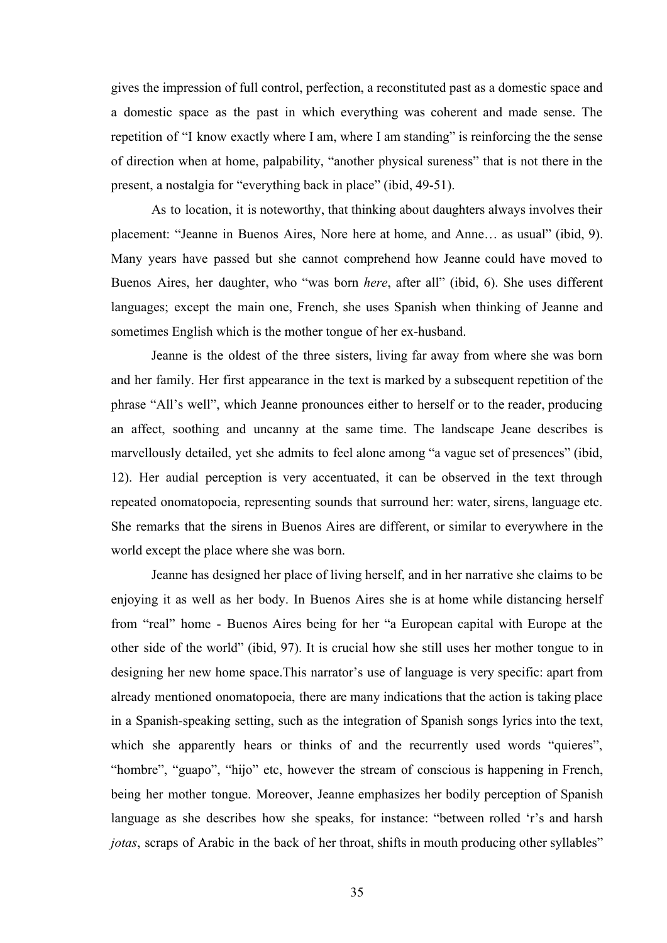gives the impression of full control, perfection, a reconstituted past as a domestic space and a domestic space as the past in which everything was coherent and made sense. The repetition of "I know exactly where I am, where I am standing" is reinforcing the the sense of direction when at home, palpability, "another physical sureness" that is not there in the present, a nostalgia for "everything back in place" (ibid, 49-51).

As to location, it is noteworthy, that thinking about daughters always involves their placement: "Jeanne in Buenos Aires, Nore here at home, and Anne… as usual" (ibid, 9). Many years have passed but she cannot comprehend how Jeanne could have moved to Buenos Aires, her daughter, who "was born *here*, after all" (ibid, 6). She uses different languages; except the main one, French, she uses Spanish when thinking of Jeanne and sometimes English which is the mother tongue of her ex-husband.

Jeanne is the oldest of the three sisters, living far away from where she was born and her family. Her first appearance in the text is marked by a subsequent repetition of the phrase "All's well", which Jeanne pronounces either to herself or to the reader, producing an affect, soothing and uncanny at the same time. The landscape Jeane describes is marvellously detailed, yet she admits to feel alone among "a vague set of presences" (ibid, 12). Her audial perception is very accentuated, it can be observed in the text through repeated onomatopoeia, representing sounds that surround her: water, sirens, language etc. She remarks that the sirens in Buenos Aires are different, or similar to everywhere in the world except the place where she was born.

Jeanne has designed her place of living herself, and in her narrative she claims to be enjoying it as well as her body. In Buenos Aires she is at home while distancing herself from "real" home - Buenos Aires being for her "a European capital with Europe at the other side of the world" (ibid, 97). It is crucial how she still uses her mother tongue to in designing her new home space.This narrator's use of language is very specific: apart from already mentioned onomatopoeia, there are many indications that the action is taking place in a Spanish-speaking setting, such as the integration of Spanish songs lyrics into the text, which she apparently hears or thinks of and the recurrently used words "quieres", "hombre", "guapo", "hijo" etc, however the stream of conscious is happening in French, being her mother tongue. Moreover, Jeanne emphasizes her bodily perception of Spanish language as she describes how she speaks, for instance: "between rolled 'r's and harsh *jotas*, scraps of Arabic in the back of her throat, shifts in mouth producing other syllables"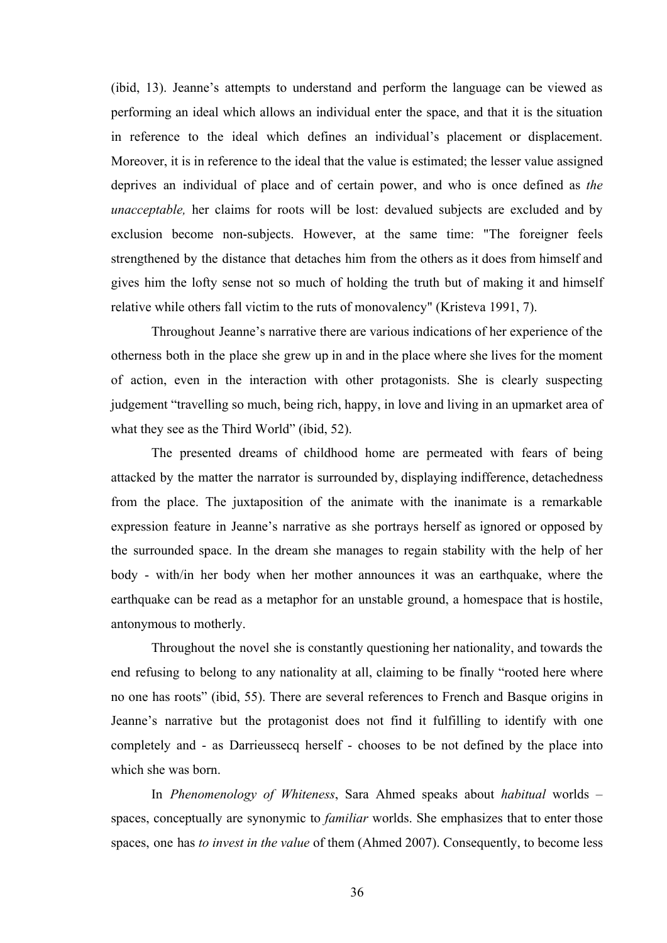(ibid, 13). Jeanne's attempts to understand and perform the language can be viewed as performing an ideal which allows an individual enter the space, and that it is the situation in reference to the ideal which defines an individual's placement or displacement. Moreover, it is in reference to the ideal that the value is estimated; the lesser value assigned deprives an individual of place and of certain power, and who is once defined as *the unacceptable,* her claims for roots will be lost: devalued subjects are excluded and by exclusion become non-subjects. However, at the same time: "The foreigner feels strengthened by the distance that detaches him from the others as it does from himself and gives him the lofty sense not so much of holding the truth but of making it and himself relative while others fall victim to the ruts of monovalency" (Kristeva 1991, 7).

Throughout Jeanne's narrative there are various indications of her experience of the otherness both in the place she grew up in and in the place where she lives for the moment of action, even in the interaction with other protagonists. She is clearly suspecting judgement "travelling so much, being rich, happy, in love and living in an upmarket area of what they see as the Third World" (ibid, 52).

The presented dreams of childhood home are permeated with fears of being attacked by the matter the narrator is surrounded by, displaying indifference, detachedness from the place. The juxtaposition of the animate with the inanimate is a remarkable expression feature in Jeanne's narrative as she portrays herself as ignored or opposed by the surrounded space. In the dream she manages to regain stability with the help of her body - with/in her body when her mother announces it was an earthquake, where the earthquake can be read as a metaphor for an unstable ground, a homespace that is hostile, antonymous to motherly.

Throughout the novel she is constantly questioning her nationality, and towards the end refusing to belong to any nationality at all, claiming to be finally "rooted here where no one has roots" (ibid, 55). There are several references to French and Basque origins in Jeanne's narrative but the protagonist does not find it fulfilling to identify with one completely and - as Darrieussecq herself - chooses to be not defined by the place into which she was born.

In *Phenomenology of Whiteness*, Sara Ahmed speaks about *habitual* worlds – spaces, conceptually are synonymic to *familiar* worlds. She emphasizes that to enter those spaces, one has *to invest in the value* of them (Ahmed 2007). Consequently, to become less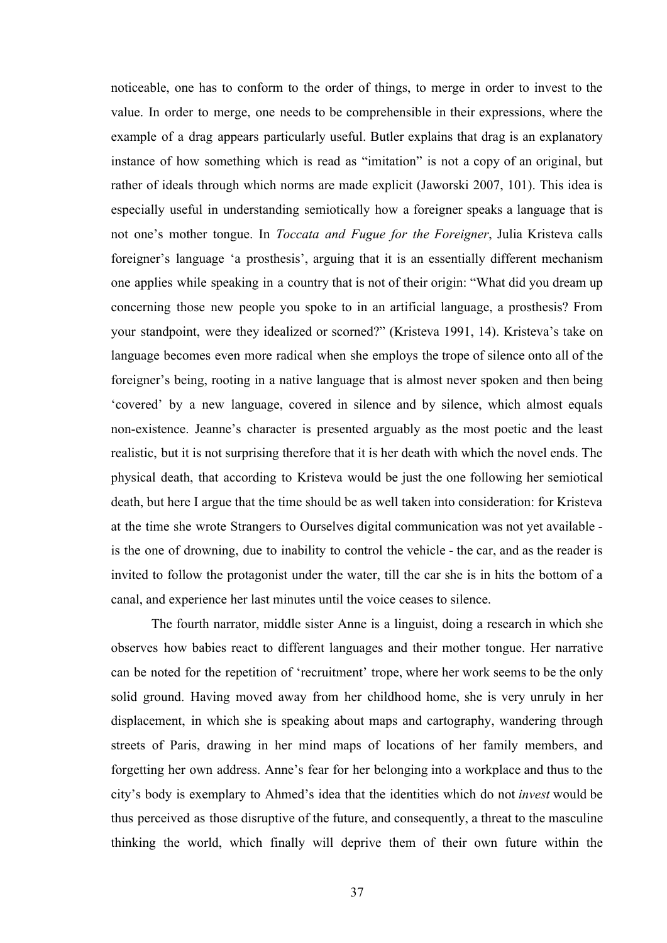noticeable, one has to conform to the order of things, to merge in order to invest to the value. In order to merge, one needs to be comprehensible in their expressions, where the example of a drag appears particularly useful. Butler explains that drag is an explanatory instance of how something which is read as "imitation" is not a copy of an original, but rather of ideals through which norms are made explicit (Jaworski 2007, 101). This idea is especially useful in understanding semiotically how a foreigner speaks a language that is not one's mother tongue. In *Toccata and Fugue for the Foreigner*, Julia Kristeva calls foreigner's language 'a prosthesis', arguing that it is an essentially different mechanism one applies while speaking in a country that is not of their origin: "What did you dream up concerning those new people you spoke to in an artificial language, a prosthesis? From your standpoint, were they idealized or scorned?" (Kristeva 1991, 14). Kristeva's take on language becomes even more radical when she employs the trope of silence onto all of the foreigner's being, rooting in a native language that is almost never spoken and then being 'covered' by a new language, covered in silence and by silence, which almost equals non-existence. Jeanne's character is presented arguably as the most poetic and the least realistic, but it is not surprising therefore that it is her death with which the novel ends. The physical death, that according to Kristeva would be just the one following her semiotical death, but here I argue that the time should be as well taken into consideration: for Kristeva at the time she wrote Strangers to Ourselves digital communication was not yet available is the one of drowning, due to inability to control the vehicle - the car, and as the reader is invited to follow the protagonist under the water, till the car she is in hits the bottom of a canal, and experience her last minutes until the voice ceases to silence.

The fourth narrator, middle sister Anne is a linguist, doing a research in which she observes how babies react to different languages and their mother tongue. Her narrative can be noted for the repetition of 'recruitment' trope, where her work seems to be the only solid ground. Having moved away from her childhood home, she is very unruly in her displacement, in which she is speaking about maps and cartography, wandering through streets of Paris, drawing in her mind maps of locations of her family members, and forgetting her own address. Anne's fear for her belonging into a workplace and thus to the city's body is exemplary to Ahmed's idea that the identities which do not *invest* would be thus perceived as those disruptive of the future, and consequently, a threat to the masculine thinking the world, which finally will deprive them of their own future within the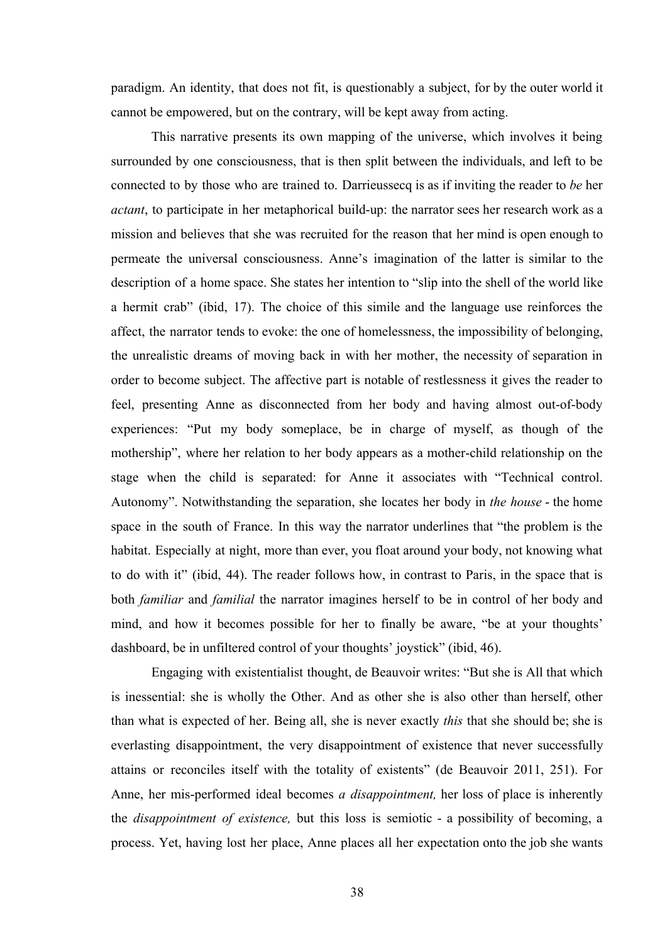paradigm. An identity, that does not fit, is questionably a subject, for by the outer world it cannot be empowered, but on the contrary, will be kept away from acting.

This narrative presents its own mapping of the universe, which involves it being surrounded by one consciousness, that is then split between the individuals, and left to be connected to by those who are trained to. Darrieussecq is as if inviting the reader to *be* her *actant*, to participate in her metaphorical build-up: the narrator sees her research work as a mission and believes that she was recruited for the reason that her mind is open enough to permeate the universal consciousness. Anne's imagination of the latter is similar to the description of a home space. She states her intention to "slip into the shell of the world like a hermit crab" (ibid, 17). The choice of this simile and the language use reinforces the affect, the narrator tends to evoke: the one of homelessness, the impossibility of belonging, the unrealistic dreams of moving back in with her mother, the necessity of separation in order to become subject. The affective part is notable of restlessness it gives the reader to feel, presenting Anne as disconnected from her body and having almost out-of-body experiences: "Put my body someplace, be in charge of myself, as though of the mothership", where her relation to her body appears as a mother-child relationship on the stage when the child is separated: for Anne it associates with "Technical control. Autonomy". Notwithstanding the separation, she locates her body in *the house* - the home space in the south of France. In this way the narrator underlines that "the problem is the habitat. Especially at night, more than ever, you float around your body, not knowing what to do with it" (ibid, 44). The reader follows how, in contrast to Paris, in the space that is both *familiar* and *familial* the narrator imagines herself to be in control of her body and mind, and how it becomes possible for her to finally be aware, "be at your thoughts' dashboard, be in unfiltered control of your thoughts' joystick" (ibid, 46).

Engaging with existentialist thought, de Beauvoir writes: "But she is All that which is inessential: she is wholly the Other. And as other she is also other than herself, other than what is expected of her. Being all, she is never exactly *this* that she should be; she is everlasting disappointment, the very disappointment of existence that never successfully attains or reconciles itself with the totality of existents" (de Beauvoir 2011, 251). For Anne, her mis-performed ideal becomes *a disappointment,* her loss of place is inherently the *disappointment of existence,* but this loss is semiotic - a possibility of becoming, a process. Yet, having lost her place, Anne places all her expectation onto the job she wants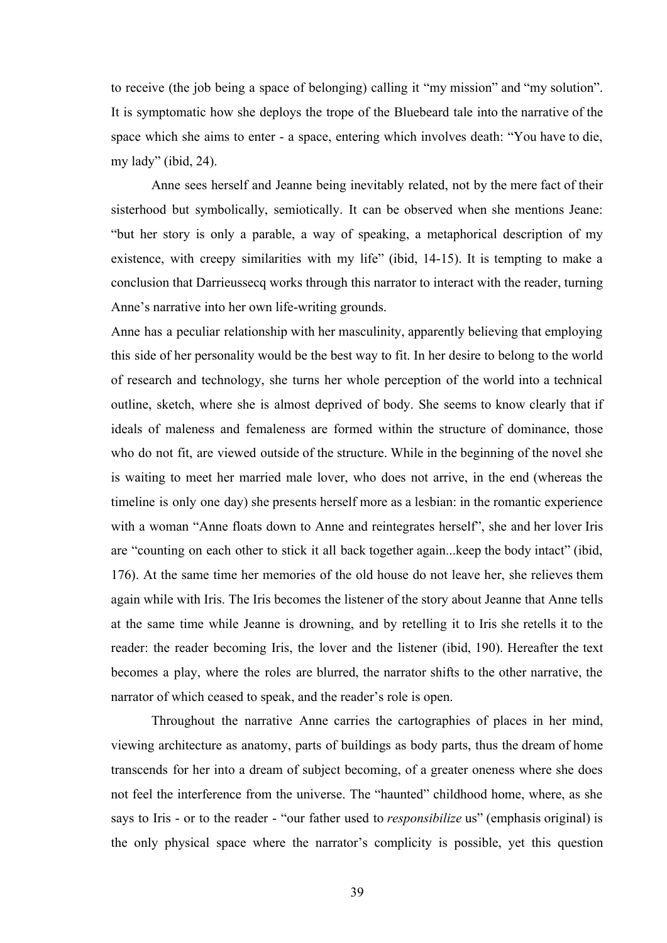to receive (the job being a space of belonging) calling it "my mission" and "my solution". It is symptomatic how she deploys the trope of the Bluebeard tale into the narrative of the space which she aims to enter - a space, entering which involves death: "You have to die, my lady" (ibid, 24).

Anne sees herself and Jeanne being inevitably related, not by the mere fact of their sisterhood but symbolically, semiotically. It can be observed when she mentions Jeane: "but her story is only a parable, a way of speaking, a metaphorical description of my existence, with creepy similarities with my life" (ibid, 14-15). It is tempting to make a conclusion that Darrieussecq works through this narrator to interact with the reader, turning Anne's narrative into her own life-writing grounds.

Anne has a peculiar relationship with her masculinity, apparently believing that employing this side of her personality would be the best way to fit. In her desire to belong to the world of research and technology, she turns her whole perception of the world into a technical outline, sketch, where she is almost deprived of body. She seems to know clearly that if ideals of maleness and femaleness are formed within the structure of dominance, those who do not fit, are viewed outside of the structure. While in the beginning of the novel she is waiting to meet her married male lover, who does not arrive, in the end (whereas the timeline is only one day) she presents herself more as a lesbian: in the romantic experience with a woman "Anne floats down to Anne and reintegrates herself", she and her lover Iris are "counting on each other to stick it all back together again...keep the body intact" (ibid, 176). At the same time her memories of the old house do not leave her, she relieves them again while with Iris. The Iris becomes the listener of the story about Jeanne that Anne tells at the same time while Jeanne is drowning, and by retelling it to Iris she retells it to the reader: the reader becoming Iris, the lover and the listener (ibid, 190). Hereafter the text becomes a play, where the roles are blurred, the narrator shifts to the other narrative, the narrator of which ceased to speak, and the reader's role is open.

Throughout the narrative Anne carries the cartographies of places in her mind, viewing architecture as anatomy, parts of buildings as body parts, thus the dream of home transcends for her into a dream of subject becoming, of a greater oneness where she does not feel the interference from the universe. The "haunted" childhood home, where, as she says to Iris - or to the reader - "our father used to *responsibilize* us" (emphasis original) is the only physical space where the narrator's complicity is possible, yet this question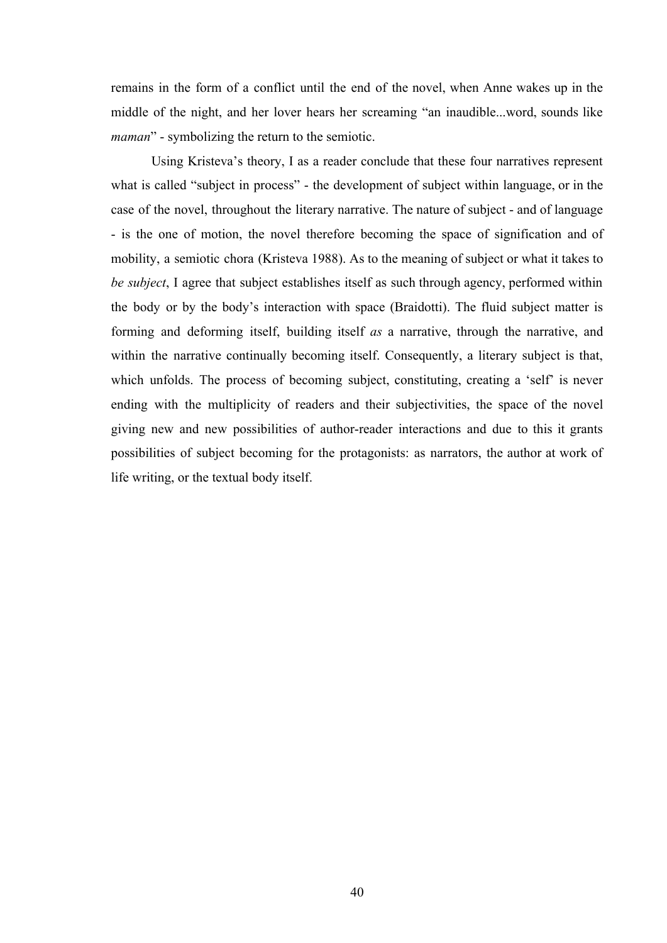remains in the form of a conflict until the end of the novel, when Anne wakes up in the middle of the night, and her lover hears her screaming "an inaudible...word, sounds like *maman*" - symbolizing the return to the semiotic.

Using Kristeva's theory, I as a reader conclude that these four narratives represent what is called "subject in process" - the development of subject within language, or in the case of the novel, throughout the literary narrative. The nature of subject - and of language - is the one of motion, the novel therefore becoming the space of signification and of mobility, a semiotic chora (Kristeva 1988). As to the meaning of subject or what it takes to *be subject*, I agree that subject establishes itself as such through agency, performed within the body or by the body's interaction with space (Braidotti). The fluid subject matter is forming and deforming itself, building itself *as* a narrative, through the narrative, and within the narrative continually becoming itself. Consequently, a literary subject is that, which unfolds. The process of becoming subject, constituting, creating a 'self' is never ending with the multiplicity of readers and their subjectivities, the space of the novel giving new and new possibilities of author-reader interactions and due to this it grants possibilities of subject becoming for the protagonists: as narrators, the author at work of life writing, or the textual body itself.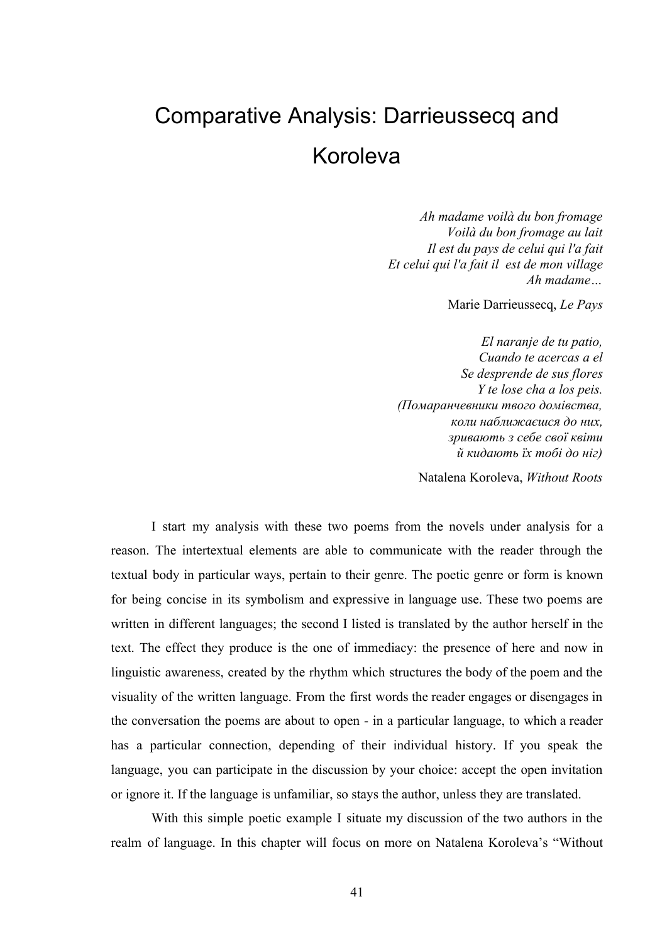# Comparative Analysis: Darrieussecq and Koroleva

*Ah madame voilà du bon fromage Voilà du bon fromage au lait Il est du pays de celui qui l'a fait Et celui qui l'a fait il est de mon village Ah madame…*

Marie Darrieussecq, *Le Pays*

*El naranje de tu patio, Cuando te acercas a el Se desprende de sus flores Y te lose cha a los peis. (Помаранчевники твого домівства, коли наближаєшся до них, зривають з себе свої квіти й кидають їх тобі до ніг)*

Natalena Koroleva, *Without Roots*

I start my analysis with these two poems from the novels under analysis for a reason. The intertextual elements are able to communicate with the reader through the textual body in particular ways, pertain to their genre. The poetic genre or form is known for being concise in its symbolism and expressive in language use. These two poems are written in different languages; the second I listed is translated by the author herself in the text. The effect they produce is the one of immediacy: the presence of here and now in linguistic awareness, created by the rhythm which structures the body of the poem and the visuality of the written language. From the first words the reader engages or disengages in the conversation the poems are about to open - in a particular language, to which a reader has a particular connection, depending of their individual history. If you speak the language, you can participate in the discussion by your choice: accept the open invitation or ignore it. If the language is unfamiliar, so stays the author, unless they are translated.

With this simple poetic example I situate my discussion of the two authors in the realm of language. In this chapter will focus on more on Natalena Koroleva's "Without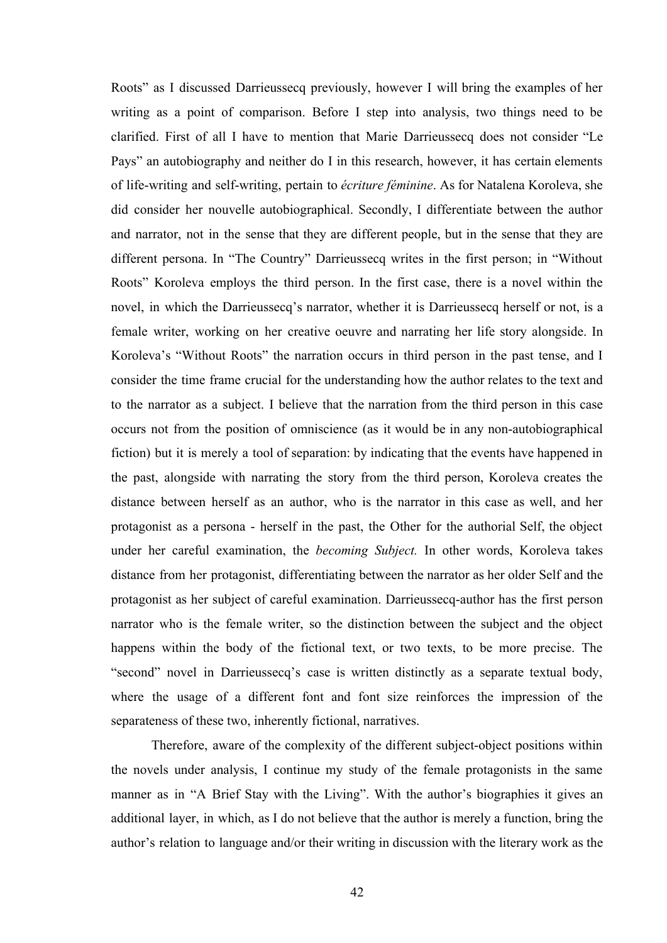Roots" as I discussed Darrieussecq previously, however I will bring the examples of her writing as a point of comparison. Before I step into analysis, two things need to be clarified. First of all I have to mention that Marie Darrieussecq does not consider "Le Pays" an autobiography and neither do I in this research, however, it has certain elements of life-writing and self-writing, pertain to *écriture féminine*. As for Natalena Koroleva, she did consider her nouvelle autobiographical. Secondly, I differentiate between the author and narrator, not in the sense that they are different people, but in the sense that they are different persona. In "The Country" Darrieussecq writes in the first person; in "Without Roots" Koroleva employs the third person. In the first case, there is a novel within the novel, in which the Darrieussecq's narrator, whether it is Darrieussecq herself or not, is a female writer, working on her creative oeuvre and narrating her life story alongside. In Koroleva's "Without Roots" the narration occurs in third person in the past tense, and I consider the time frame crucial for the understanding how the author relates to the text and to the narrator as a subject. I believe that the narration from the third person in this case occurs not from the position of omniscience (as it would be in any non-autobiographical fiction) but it is merely a tool of separation: by indicating that the events have happened in the past, alongside with narrating the story from the third person, Koroleva creates the distance between herself as an author, who is the narrator in this case as well, and her protagonist as a persona - herself in the past, the Other for the authorial Self, the object under her careful examination, the *becoming Subject.* In other words, Koroleva takes distance from her protagonist, differentiating between the narrator as her older Self and the protagonist as her subject of careful examination. Darrieussecq-author has the first person narrator who is the female writer, so the distinction between the subject and the object happens within the body of the fictional text, or two texts, to be more precise. The "second" novel in Darrieussecq's case is written distinctly as a separate textual body, where the usage of a different font and font size reinforces the impression of the separateness of these two, inherently fictional, narratives.

Therefore, aware of the complexity of the different subject-object positions within the novels under analysis, I continue my study of the female protagonists in the same manner as in "A Brief Stay with the Living". With the author's biographies it gives an additional layer, in which, as I do not believe that the author is merely a function, bring the author's relation to language and/or their writing in discussion with the literary work as the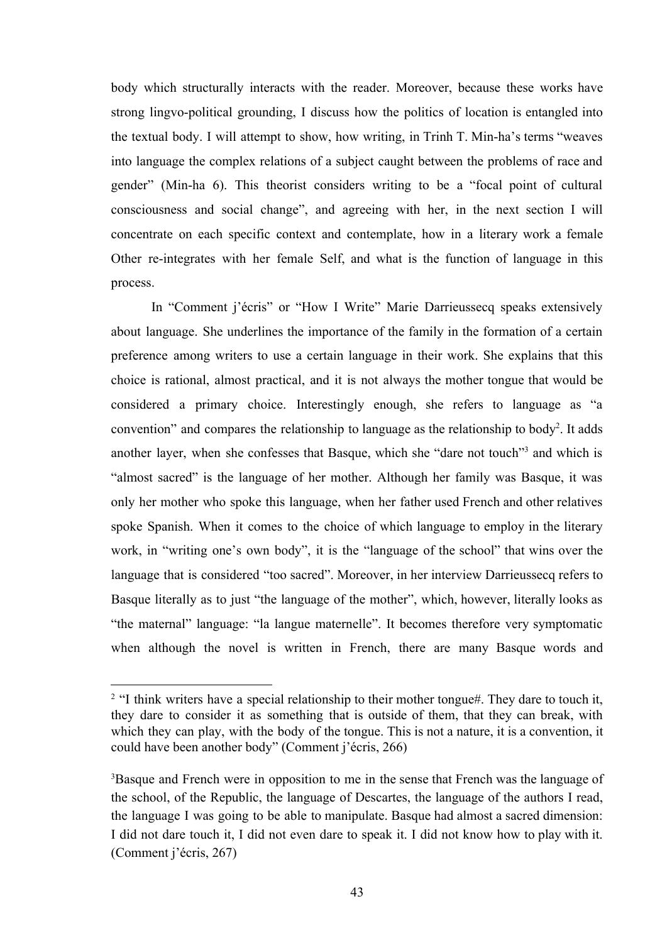body which structurally interacts with the reader. Moreover, because these works have strong lingvo-political grounding, I discuss how the politics of location is entangled into the textual body. I will attempt to show, how writing, in Trinh T. Min-ha's terms "weaves into language the complex relations of a subject caught between the problems of race and gender" (Min-ha 6). This theorist considers writing to be a "focal point of cultural consciousness and social change", and agreeing with her, in the next section I will concentrate on each specific context and contemplate, how in a literary work a female Other re-integrates with her female Self, and what is the function of language in this process.

In "Comment j'écris" or "How I Write" Marie Darrieussecq speaks extensively about language. She underlines the importance of the family in the formation of a certain preference among writers to use a certain language in their work. She explains that this choice is rational, almost practical, and it is not always the mother tongue that would be considered a primary choice. Interestingly enough, she refers to language as "a convention" and compares the relationship to language as the relationship to body<sup>2</sup>. It adds another layer, when she confesses that Basque, which she "dare not touch"<sup>3</sup> and which is "almost sacred" is the language of her mother. Although her family was Basque, it was only her mother who spoke this language, when her father used French and other relatives spoke Spanish. When it comes to the choice of which language to employ in the literary work, in "writing one's own body", it is the "language of the school" that wins over the language that is considered "too sacred". Moreover, in her interview Darrieussecq refers to Basque literally as to just "the language of the mother", which, however, literally looks as "the maternal" language: "la langue maternelle". It becomes therefore very symptomatic when although the novel is written in French, there are many Basque words and

<sup>&</sup>lt;sup>2</sup> "I think writers have a special relationship to their mother tongue#. They dare to touch it, they dare to consider it as something that is outside of them, that they can break, with which they can play, with the body of the tongue. This is not a nature, it is a convention, it could have been another body" (Comment j'écris, 266)

<sup>&</sup>lt;sup>3</sup>Basque and French were in opposition to me in the sense that French was the language of the school, of the Republic, the language of Descartes, the language of the authors I read, the language I was going to be able to manipulate. Basque had almost a sacred dimension: I did not dare touch it, I did not even dare to speak it. I did not know how to play with it. (Comment j'écris, 267)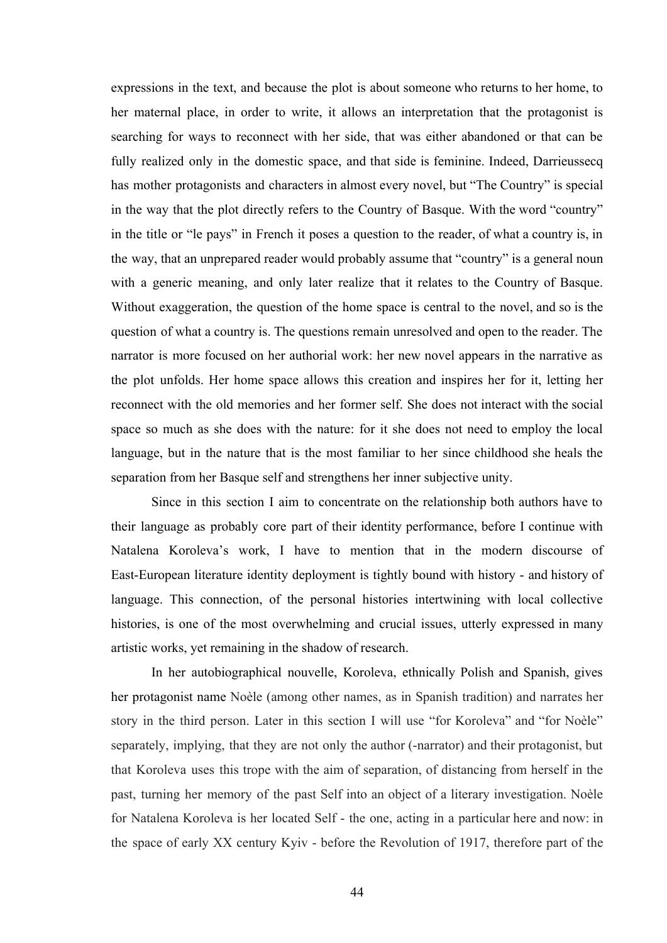expressions in the text, and because the plot is about someone who returns to her home, to her maternal place, in order to write, it allows an interpretation that the protagonist is searching for ways to reconnect with her side, that was either abandoned or that can be fully realized only in the domestic space, and that side is feminine. Indeed, Darrieussecq has mother protagonists and characters in almost every novel, but "The Country" is special in the way that the plot directly refers to the Country of Basque. With the word "country" in the title or "le pays" in French it poses a question to the reader, of what a country is, in the way, that an unprepared reader would probably assume that "country" is a general noun with a generic meaning, and only later realize that it relates to the Country of Basque. Without exaggeration, the question of the home space is central to the novel, and so is the question of what a country is. The questions remain unresolved and open to the reader. The narrator is more focused on her authorial work: her new novel appears in the narrative as the plot unfolds. Her home space allows this creation and inspires her for it, letting her reconnect with the old memories and her former self. She does not interact with the social space so much as she does with the nature: for it she does not need to employ the local language, but in the nature that is the most familiar to her since childhood she heals the separation from her Basque self and strengthens her inner subjective unity.

Since in this section I aim to concentrate on the relationship both authors have to their language as probably core part of their identity performance, before I continue with Natalena Koroleva's work, I have to mention that in the modern discourse of East-European literature identity deployment is tightly bound with history - and history of language. This connection, of the personal histories intertwining with local collective histories, is one of the most overwhelming and crucial issues, utterly expressed in many artistic works, yet remaining in the shadow of research.

In her autobiographical nouvelle, Koroleva, ethnically Polish and Spanish, gives her protagonist name Noèle (among other names, as in Spanish tradition) and narrates her story in the third person. Later in this section I will use "for Koroleva" and "for Noèle" separately, implying, that they are not only the author (-narrator) and their protagonist, but that Koroleva uses this trope with the aim of separation, of distancing from herself in the past, turning her memory of the past Self into an object of a literary investigation. Noèle for Natalena Koroleva is her located Self - the one, acting in a particular here and now: in the space of early XX century Kyiv - before the Revolution of 1917, therefore part of the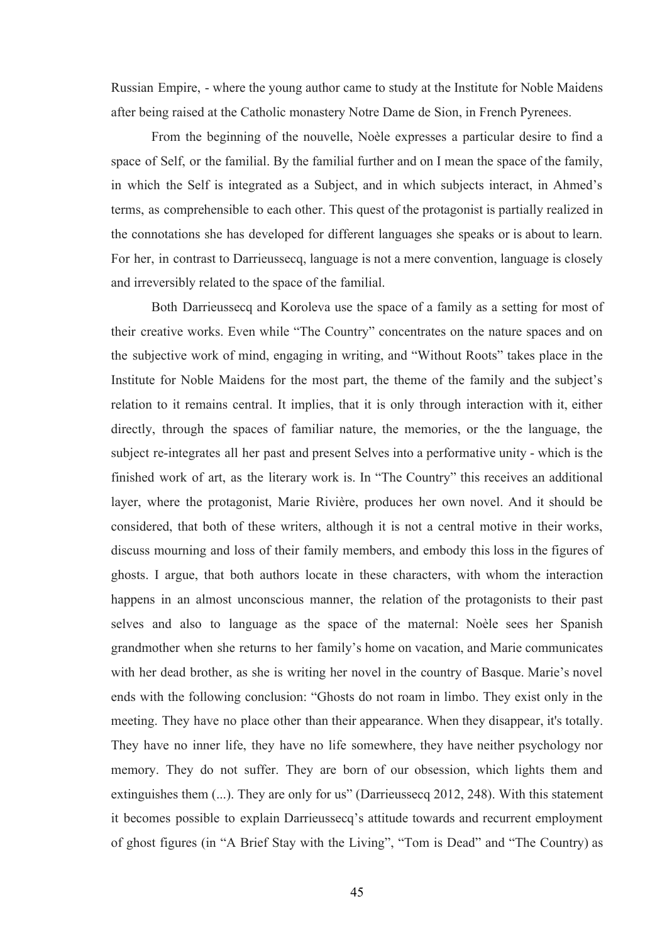Russian Empire, - where the young author came to study at the Institute for Noble Maidens after being raised at the Catholic monastery Notre Dame de Sion, in French Pyrenees.

From the beginning of the nouvelle, Noèle expresses a particular desire to find a space of Self, or the familial. By the familial further and on I mean the space of the family, in which the Self is integrated as a Subject, and in which subjects interact, in Ahmed's terms, as comprehensible to each other. This quest of the protagonist is partially realized in the connotations she has developed for different languages she speaks or is about to learn. For her, in contrast to Darrieussecq, language is not a mere convention, language is closely and irreversibly related to the space of the familial.

Both Darrieussecq and Koroleva use the space of a family as a setting for most of their creative works. Even while "The Country" concentrates on the nature spaces and on the subjective work of mind, engaging in writing, and "Without Roots" takes place in the Institute for Noble Maidens for the most part, the theme of the family and the subject's relation to it remains central. It implies, that it is only through interaction with it, either directly, through the spaces of familiar nature, the memories, or the the language, the subject re-integrates all her past and present Selves into a performative unity - which is the finished work of art, as the literary work is. In "The Country" this receives an additional layer, where the protagonist, Marie Rivière, produces her own novel. And it should be considered, that both of these writers, although it is not a central motive in their works, discuss mourning and loss of their family members, and embody this loss in the figures of ghosts. I argue, that both authors locate in these characters, with whom the interaction happens in an almost unconscious manner, the relation of the protagonists to their past selves and also to language as the space of the maternal: Noèle sees her Spanish grandmother when she returns to her family's home on vacation, and Marie communicates with her dead brother, as she is writing her novel in the country of Basque. Marie's novel ends with the following conclusion: "Ghosts do not roam in limbo. They exist only in the meeting. They have no place other than their appearance. When they disappear, it's totally. They have no inner life, they have no life somewhere, they have neither psychology nor memory. They do not suffer. They are born of our obsession, which lights them and extinguishes them (...). They are only for us" (Darrieussecq 2012, 248). With this statement it becomes possible to explain Darrieussecq's attitude towards and recurrent employment of ghost figures (in "A Brief Stay with the Living", "Tom is Dead" and "The Country) as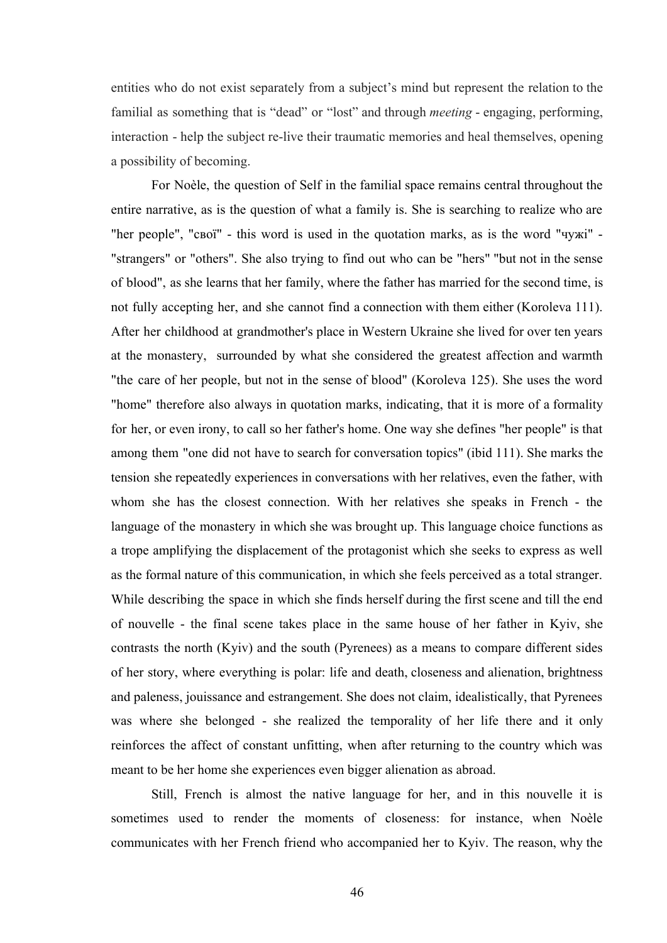entities who do not exist separately from a subject's mind but represent the relation to the familial as something that is "dead" or "lost" and through *meeting* - engaging, performing, interaction - help the subject re-live their traumatic memories and heal themselves, opening a possibility of becoming.

For Noèle, the question of Self in the familial space remains central throughout the entire narrative, as is the question of what a family is. She is searching to realize who are "her people", "свої" - this word is used in the quotation marks, as is the word "чужі" - "strangers" or "others". She also trying to find out who can be "hers" "but not in the sense of blood", as she learns that her family, where the father has married for the second time, is not fully accepting her, and she cannot find a connection with them either (Koroleva 111). After her childhood at grandmother's place in Western Ukraine she lived for over ten years at the monastery, surrounded by what she considered the greatest affection and warmth "the care of her people, but not in the sense of blood" (Koroleva 125). She uses the word "home" therefore also always in quotation marks, indicating, that it is more of a formality for her, or even irony, to call so her father's home. One way she defines "her people" is that among them "one did not have to search for conversation topics" (ibid 111). She marks the tension she repeatedly experiences in conversations with her relatives, even the father, with whom she has the closest connection. With her relatives she speaks in French - the language of the monastery in which she was brought up. This language choice functions as a trope amplifying the displacement of the protagonist which she seeks to express as well as the formal nature of this communication, in which she feels perceived as a total stranger. While describing the space in which she finds herself during the first scene and till the end of nouvelle - the final scene takes place in the same house of her father in Kyiv, she contrasts the north (Kyiv) and the south (Pyrenees) as a means to compare different sides of her story, where everything is polar: life and death, closeness and alienation, brightness and paleness, jouissance and estrangement. She does not claim, idealistically, that Pyrenees was where she belonged - she realized the temporality of her life there and it only reinforces the affect of constant unfitting, when after returning to the country which was meant to be her home she experiences even bigger alienation as abroad.

Still, French is almost the native language for her, and in this nouvelle it is sometimes used to render the moments of closeness: for instance, when Noèle communicates with her French friend who accompanied her to Kyiv. The reason, why the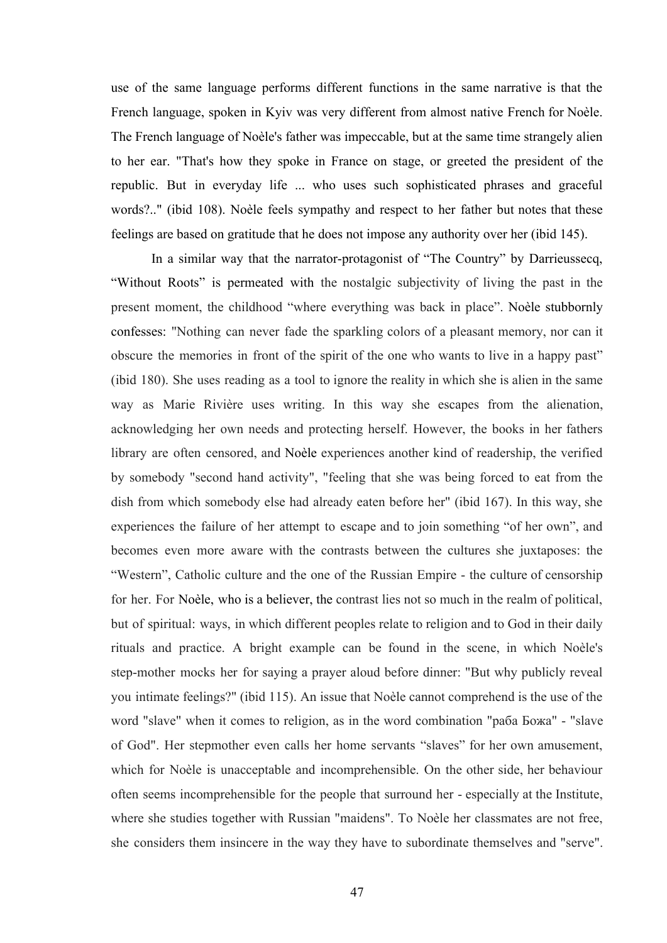use of the same language performs different functions in the same narrative is that the French language, spoken in Kyiv was very different from almost native French for Noèle. The French language of Noèle's father was impeccable, but at the same time strangely alien to her ear. "That's how they spoke in France on stage, or greeted the president of the republic. But in everyday life ... who uses such sophisticated phrases and graceful words?.." (ibid 108). Noèle feels sympathy and respect to her father but notes that these feelings are based on gratitude that he does not impose any authority over her (ibid 145).

In a similar way that the narrator-protagonist of "The Country" by Darrieussecq, "Without Roots" is permeated with the nostalgic subjectivity of living the past in the present moment, the childhood "where everything was back in place". Noèle stubbornly confesses: "Nothing can never fade the sparkling colors of a pleasant memory, nor can it obscure the memories in front of the spirit of the one who wants to live in a happy past" (ibid 180). She uses reading as a tool to ignore the reality in which she is alien in the same way as Marie Rivière uses writing. In this way she escapes from the alienation, acknowledging her own needs and protecting herself. However, the books in her fathers library are often censored, and Noèle experiences another kind of readership, the verified by somebody "second hand activity", "feeling that she was being forced to eat from the dish from which somebody else had already eaten before her" (ibid 167). In this way, she experiences the failure of her attempt to escape and to join something "of her own", and becomes even more aware with the contrasts between the cultures she juxtaposes: the "Western", Catholic culture and the one of the Russian Empire - the culture of censorship for her. For Noèle, who is a believer, the contrast lies not so much in the realm of political, but of spiritual: ways, in which different peoples relate to religion and to God in their daily rituals and practice. A bright example can be found in the scene, in which Noèle's step-mother mocks her for saying a prayer aloud before dinner: "But why publicly reveal you intimate feelings?" (ibid 115). An issue that Noèle cannot comprehend is the use of the word "slave" when it comes to religion, as in the word combination "раба Божа" - "slave of God". Her stepmother even calls her home servants "slaves" for her own amusement, which for Noèle is unacceptable and incomprehensible. On the other side, her behaviour often seems incomprehensible for the people that surround her - especially at the Institute, where she studies together with Russian "maidens". To Noèle her classmates are not free, she considers them insincere in the way they have to subordinate themselves and "serve".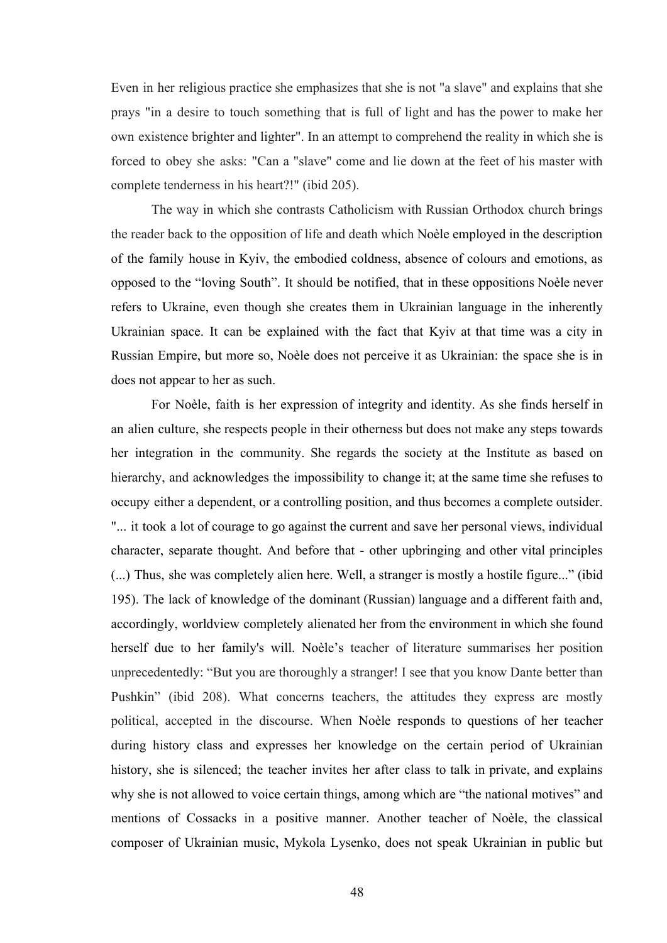Even in her religious practice she emphasizes that she is not "a slave" and explains that she prays "in a desire to touch something that is full of light and has the power to make her own existence brighter and lighter". In an attempt to comprehend the reality in which she is forced to obey she asks: "Can a "slave" come and lie down at the feet of his master with complete tenderness in his heart?!" (ibid 205).

The way in which she contrasts Catholicism with Russian Orthodox church brings the reader back to the opposition of life and death which Noèle employed in the description of the family house in Kyiv, the embodied coldness, absence of colours and emotions, as opposed to the "loving South". It should be notified, that in these oppositions Noèle never refers to Ukraine, even though she creates them in Ukrainian language in the inherently Ukrainian space. It can be explained with the fact that Kyiv at that time was a city in Russian Empire, but more so, Noèle does not perceive it as Ukrainian: the space she is in does not appear to her as such.

For Noèle, faith is her expression of integrity and identity. As she finds herself in an alien culture, she respects people in their otherness but does not make any steps towards her integration in the community. She regards the society at the Institute as based on hierarchy, and acknowledges the impossibility to change it; at the same time she refuses to occupy either a dependent, or a controlling position, and thus becomes a complete outsider. "... it took a lot of courage to go against the current and save her personal views, individual character, separate thought. And before that - other upbringing and other vital principles (...) Thus, she was completely alien here. Well, a stranger is mostly a hostile figure..." (ibid 195). The lack of knowledge of the dominant (Russian) language and a different faith and, accordingly, worldview completely alienated her from the environment in which she found herself due to her family's will. Noèle's teacher of literature summarises her position unprecedentedly: "But you are thoroughly a stranger! I see that you know Dante better than Pushkin" (ibid 208). What concerns teachers, the attitudes they express are mostly political, accepted in the discourse. When Noèle responds to questions of her teacher during history class and expresses her knowledge on the certain period of Ukrainian history, she is silenced; the teacher invites her after class to talk in private, and explains why she is not allowed to voice certain things, among which are "the national motives" and mentions of Cossacks in a positive manner. Another teacher of Noèle, the classical composer of Ukrainian music, Mykola Lysenko, does not speak Ukrainian in public but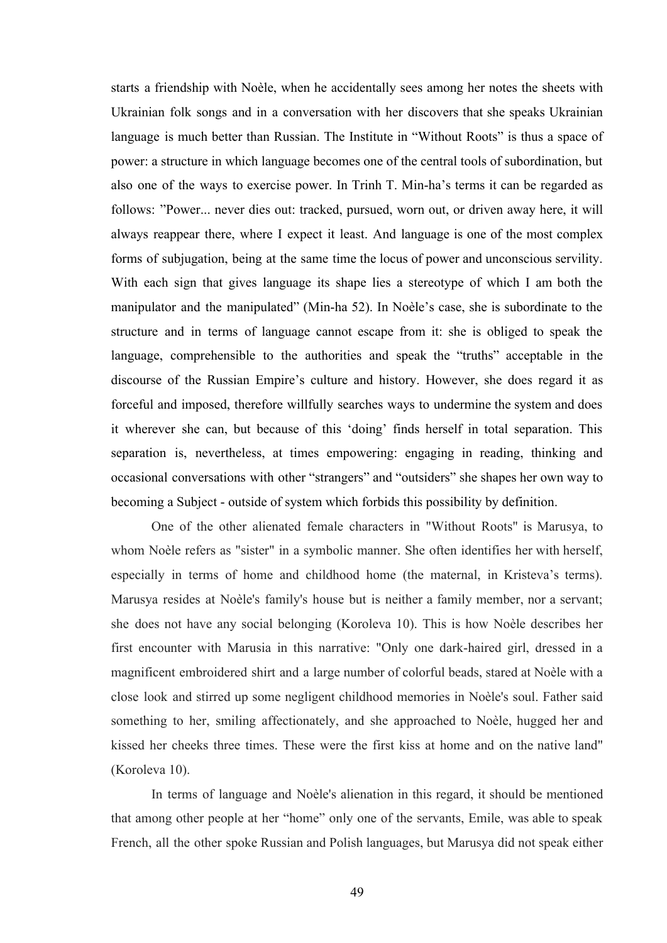starts a friendship with Noèle, when he accidentally sees among her notes the sheets with Ukrainian folk songs and in a conversation with her discovers that she speaks Ukrainian language is much better than Russian. The Institute in "Without Roots" is thus a space of power: a structure in which language becomes one of the central tools of subordination, but also one of the ways to exercise power. In Trinh T. Min-ha's terms it can be regarded as follows: "Power... never dies out: tracked, pursued, worn out, or driven away here, it will always reappear there, where I expect it least. And language is one of the most complex forms of subjugation, being at the same time the locus of power and unconscious servility. With each sign that gives language its shape lies a stereotype of which I am both the manipulator and the manipulated" (Min-ha 52). In Noèle's case, she is subordinate to the structure and in terms of language cannot escape from it: she is obliged to speak the language, comprehensible to the authorities and speak the "truths" acceptable in the discourse of the Russian Empire's culture and history. However, she does regard it as forceful and imposed, therefore willfully searches ways to undermine the system and does it wherever she can, but because of this 'doing' finds herself in total separation. This separation is, nevertheless, at times empowering: engaging in reading, thinking and occasional conversations with other "strangers" and "outsiders" she shapes her own way to becoming a Subject - outside of system which forbids this possibility by definition.

One of the other alienated female characters in "Without Roots" is Marusya, to whom Noèle refers as "sister" in a symbolic manner. She often identifies her with herself, especially in terms of home and childhood home (the maternal, in Kristeva's terms). Marusya resides at Noèle's family's house but is neither a family member, nor a servant; she does not have any social belonging (Koroleva 10). This is how Noèle describes her first encounter with Marusia in this narrative: "Only one dark-haired girl, dressed in a magnificent embroidered shirt and a large number of colorful beads, stared at Noèle with a close look and stirred up some negligent childhood memories in Noèle's soul. Father said something to her, smiling affectionately, and she approached to Noèle, hugged her and kissed her cheeks three times. These were the first kiss at home and on the native land" (Koroleva 10).

In terms of language and Noèle's alienation in this regard, it should be mentioned that among other people at her "home" only one of the servants, Emile, was able to speak French, all the other spoke Russian and Polish languages, but Marusya did not speak either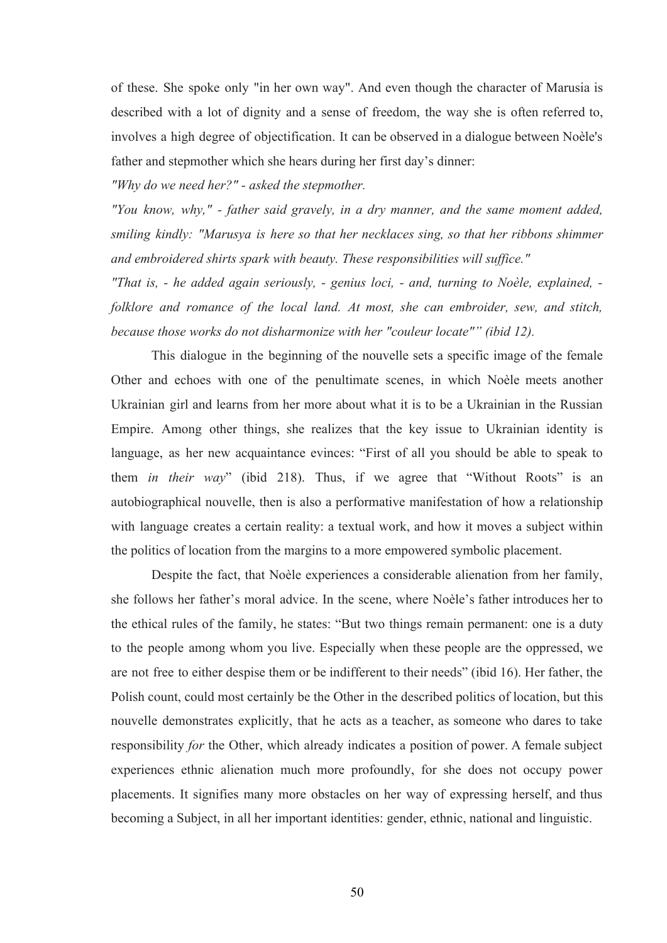of these. She spoke only "in her own way". And even though the character of Marusia is described with a lot of dignity and a sense of freedom, the way she is often referred to, involves a high degree of objectification. It can be observed in a dialogue between Noèle's father and stepmother which she hears during her first day's dinner:

*"Why do we need her?" - asked the stepmother.*

*"You know, why," - father said gravely, in a dry manner, and the same moment added, smiling kindly: "Marusya is here so that her necklaces sing, so that her ribbons shimmer and embroidered shirts spark with beauty. These responsibilities will suffice."*

*"That is, - he added again seriously, - genius loci, - and, turning to Noèle, explained, folklore and romance of the local land. At most, she can embroider, sew, and stitch, because those works do not disharmonize with her "couleur locate"" (ibid 12).*

This dialogue in the beginning of the nouvelle sets a specific image of the female Other and echoes with one of the penultimate scenes, in which Noèle meets another Ukrainian girl and learns from her more about what it is to be a Ukrainian in the Russian Empire. Among other things, she realizes that the key issue to Ukrainian identity is language, as her new acquaintance evinces: "First of all you should be able to speak to them *in their way*" (ibid 218). Thus, if we agree that "Without Roots" is an autobiographical nouvelle, then is also a performative manifestation of how a relationship with language creates a certain reality: a textual work, and how it moves a subject within the politics of location from the margins to a more empowered symbolic placement.

Despite the fact, that Noèle experiences a considerable alienation from her family, she follows her father's moral advice. In the scene, where Noèle's father introduces her to the ethical rules of the family, he states: "But two things remain permanent: one is a duty to the people among whom you live. Especially when these people are the oppressed, we are not free to either despise them or be indifferent to their needs" (ibid 16). Her father, the Polish count, could most certainly be the Other in the described politics of location, but this nouvelle demonstrates explicitly, that he acts as a teacher, as someone who dares to take responsibility *for* the Other, which already indicates a position of power. A female subject experiences ethnic alienation much more profoundly, for she does not occupy power placements. It signifies many more obstacles on her way of expressing herself, and thus becoming a Subject, in all her important identities: gender, ethnic, national and linguistic.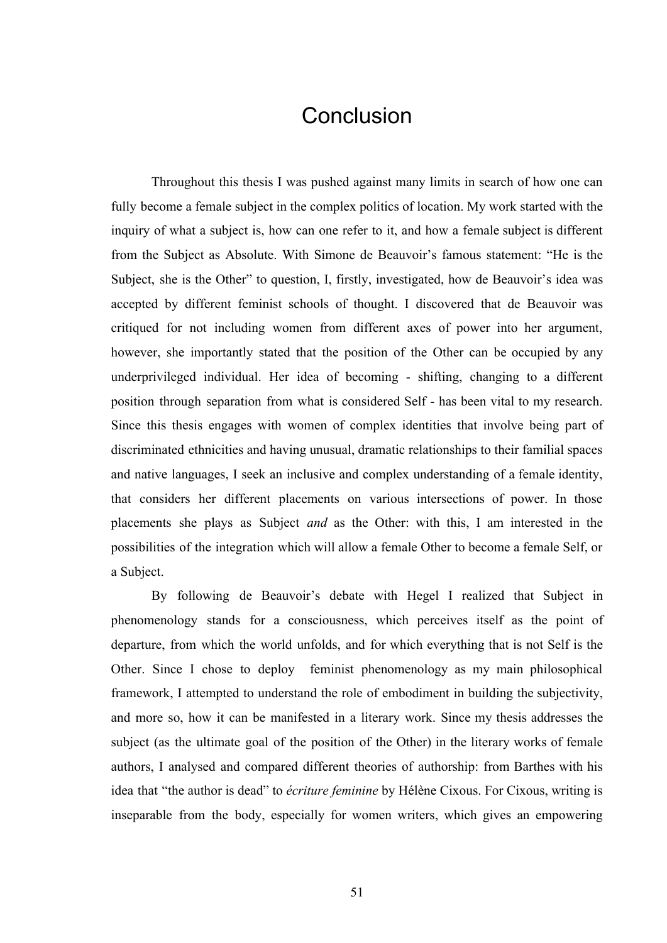#### **Conclusion**

Throughout this thesis I was pushed against many limits in search of how one can fully become a female subject in the complex politics of location. My work started with the inquiry of what a subject is, how can one refer to it, and how a female subject is different from the Subject as Absolute. With Simone de Beauvoir's famous statement: "He is the Subject, she is the Other" to question, I, firstly, investigated, how de Beauvoir's idea was accepted by different feminist schools of thought. I discovered that de Beauvoir was critiqued for not including women from different axes of power into her argument, however, she importantly stated that the position of the Other can be occupied by any underprivileged individual. Her idea of becoming - shifting, changing to a different position through separation from what is considered Self - has been vital to my research. Since this thesis engages with women of complex identities that involve being part of discriminated ethnicities and having unusual, dramatic relationships to their familial spaces and native languages, I seek an inclusive and complex understanding of a female identity, that considers her different placements on various intersections of power. In those placements she plays as Subject *and* as the Other: with this, I am interested in the possibilities of the integration which will allow a female Other to become a female Self, or a Subject.

By following de Beauvoir's debate with Hegel I realized that Subject in phenomenology stands for a consciousness, which perceives itself as the point of departure, from which the world unfolds, and for which everything that is not Self is the Other. Since I chose to deploy feminist phenomenology as my main philosophical framework, I attempted to understand the role of embodiment in building the subjectivity, and more so, how it can be manifested in a literary work. Since my thesis addresses the subject (as the ultimate goal of the position of the Other) in the literary works of female authors, I analysed and compared different theories of authorship: from Barthes with his idea that "the author is dead" to *écriture feminine* by Hélène Cixous. For Cixous, writing is inseparable from the body, especially for women writers, which gives an empowering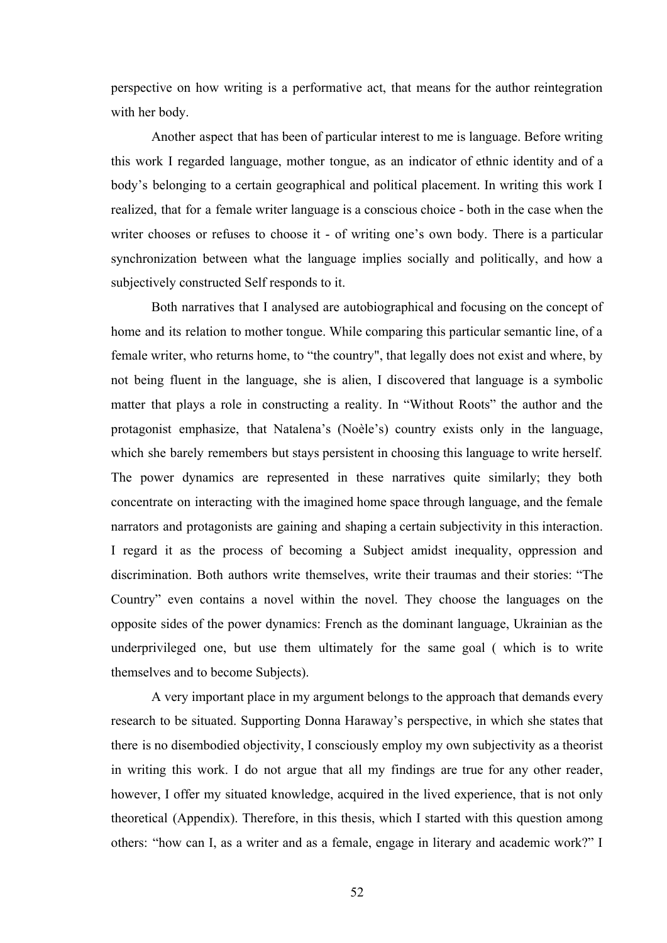perspective on how writing is a performative act, that means for the author reintegration with her body.

Another aspect that has been of particular interest to me is language. Before writing this work I regarded language, mother tongue, as an indicator of ethnic identity and of a body's belonging to a certain geographical and political placement. In writing this work I realized, that for a female writer language is a conscious choice - both in the case when the writer chooses or refuses to choose it - of writing one's own body. There is a particular synchronization between what the language implies socially and politically, and how a subjectively constructed Self responds to it.

Both narratives that I analysed are autobiographical and focusing on the concept of home and its relation to mother tongue. While comparing this particular semantic line, of a female writer, who returns home, to "the country", that legally does not exist and where, by not being fluent in the language, she is alien, I discovered that language is a symbolic matter that plays a role in constructing a reality. In "Without Roots" the author and the protagonist emphasize, that Natalena's (Noèle's) country exists only in the language, which she barely remembers but stays persistent in choosing this language to write herself. The power dynamics are represented in these narratives quite similarly; they both concentrate on interacting with the imagined home space through language, and the female narrators and protagonists are gaining and shaping a certain subjectivity in this interaction. I regard it as the process of becoming a Subject amidst inequality, oppression and discrimination. Both authors write themselves, write their traumas and their stories: "The Country" even contains a novel within the novel. They choose the languages on the opposite sides of the power dynamics: French as the dominant language, Ukrainian as the underprivileged one, but use them ultimately for the same goal ( which is to write themselves and to become Subjects).

A very important place in my argument belongs to the approach that demands every research to be situated. Supporting Donna Haraway's perspective, in which she states that there is no disembodied objectivity, I consciously employ my own subjectivity as a theorist in writing this work. I do not argue that all my findings are true for any other reader, however, I offer my situated knowledge, acquired in the lived experience, that is not only theoretical (Appendix). Therefore, in this thesis, which I started with this question among others: "how can I, as a writer and as a female, engage in literary and academic work?" I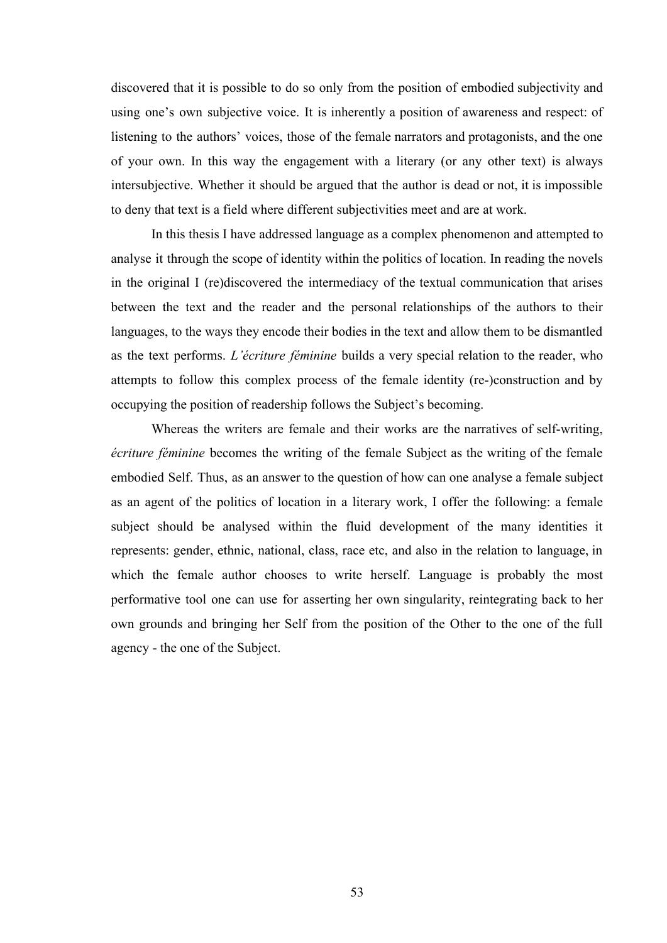discovered that it is possible to do so only from the position of embodied subjectivity and using one's own subjective voice. It is inherently a position of awareness and respect: of listening to the authors' voices, those of the female narrators and protagonists, and the one of your own. In this way the engagement with a literary (or any other text) is always intersubjective. Whether it should be argued that the author is dead or not, it is impossible to deny that text is a field where different subjectivities meet and are at work.

In this thesis I have addressed language as a complex phenomenon and attempted to analyse it through the scope of identity within the politics of location. In reading the novels in the original I (re)discovered the intermediacy of the textual communication that arises between the text and the reader and the personal relationships of the authors to their languages, to the ways they encode their bodies in the text and allow them to be dismantled as the text performs. *L'écriture féminine* builds a very special relation to the reader, who attempts to follow this complex process of the female identity (re-)construction and by occupying the position of readership follows the Subject's becoming.

Whereas the writers are female and their works are the narratives of self-writing, *écriture féminine* becomes the writing of the female Subject as the writing of the female embodied Self. Thus, as an answer to the question of how can one analyse a female subject as an agent of the politics of location in a literary work, I offer the following: a female subject should be analysed within the fluid development of the many identities it represents: gender, ethnic, national, class, race etc, and also in the relation to language, in which the female author chooses to write herself. Language is probably the most performative tool one can use for asserting her own singularity, reintegrating back to her own grounds and bringing her Self from the position of the Other to the one of the full agency - the one of the Subject.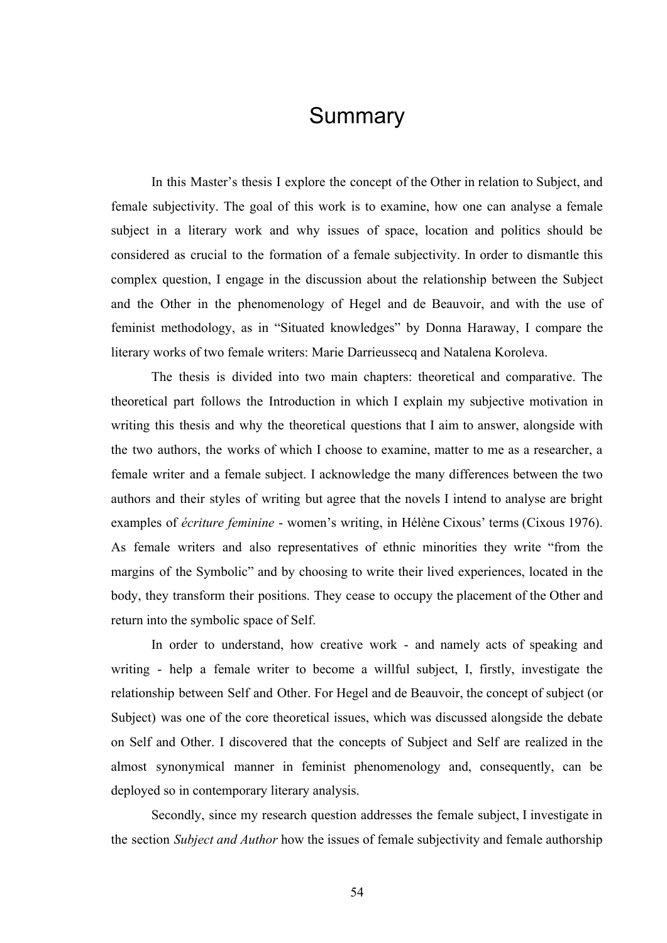### **Summary**

In this Master's thesis I explore the concept of the Other in relation to Subject, and female subjectivity. The goal of this work is to examine, how one can analyse a female subject in a literary work and why issues of space, location and politics should be considered as crucial to the formation of a female subjectivity. In order to dismantle this complex question, I engage in the discussion about the relationship between the Subject and the Other in the phenomenology of Hegel and de Beauvoir, and with the use of feminist methodology, as in "Situated knowledges" by Donna Haraway, I compare the literary works of two female writers: Marie Darrieussecq and Natalena Koroleva.

The thesis is divided into two main chapters: theoretical and comparative. The theoretical part follows the Introduction in which I explain my subjective motivation in writing this thesis and why the theoretical questions that I aim to answer, alongside with the two authors, the works of which I choose to examine, matter to me as a researcher, a female writer and a female subject. I acknowledge the many differences between the two authors and their styles of writing but agree that the novels I intend to analyse are bright examples of *écriture feminine* - women's writing, in Hélène Cixous' terms (Cixous 1976). As female writers and also representatives of ethnic minorities they write "from the margins of the Symbolic" and by choosing to write their lived experiences, located in the body, they transform their positions. They cease to occupy the placement of the Other and return into the symbolic space of Self.

In order to understand, how creative work - and namely acts of speaking and writing - help a female writer to become a willful subject, I, firstly, investigate the relationship between Self and Other. For Hegel and de Beauvoir, the concept of subject (or Subject) was one of the core theoretical issues, which was discussed alongside the debate on Self and Other. I discovered that the concepts of Subject and Self are realized in the almost synonymical manner in feminist phenomenology and, consequently, can be deployed so in contemporary literary analysis.

Secondly, since my research question addresses the female subject, I investigate in the section *Subject and Author* how the issues of female subjectivity and female authorship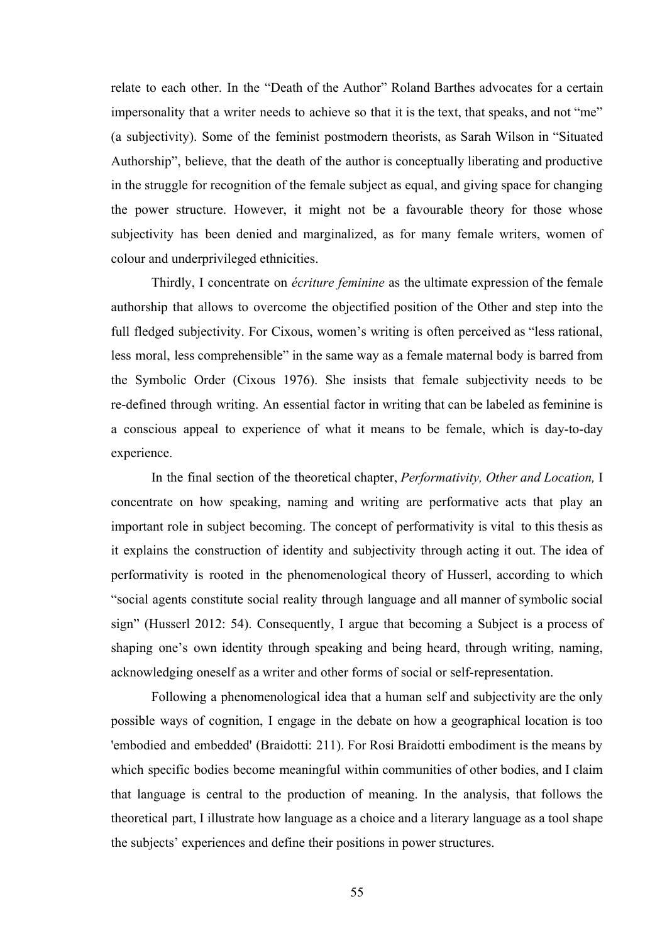relate to each other. In the "Death of the Author" Roland Barthes advocates for a certain impersonality that a writer needs to achieve so that it is the text, that speaks, and not "me" (a subjectivity). Some of the feminist postmodern theorists, as Sarah Wilson in "Situated Authorship", believe, that the death of the author is conceptually liberating and productive in the struggle for recognition of the female subject as equal, and giving space for changing the power structure. However, it might not be a favourable theory for those whose subjectivity has been denied and marginalized, as for many female writers, women of colour and underprivileged ethnicities.

Thirdly, I concentrate on *écriture feminine* as the ultimate expression of the female authorship that allows to overcome the objectified position of the Other and step into the full fledged subjectivity. For Cixous, women's writing is often perceived as "less rational, less moral, less comprehensible" in the same way as a female maternal body is barred from the Symbolic Order (Cixous 1976). She insists that female subjectivity needs to be re-defined through writing. An essential factor in writing that can be labeled as feminine is a conscious appeal to experience of what it means to be female, which is day-to-day experience.

In the final section of the theoretical chapter, *Performativity, Other and Location,* I concentrate on how speaking, naming and writing are performative acts that play an important role in subject becoming. The concept of performativity is vital to this thesis as it explains the construction of identity and subjectivity through acting it out. The idea of performativity is rooted in the phenomenological theory of Husserl, according to which "social agents constitute social reality through language and all manner of symbolic social sign" (Husserl 2012: 54). Consequently, I argue that becoming a Subject is a process of shaping one's own identity through speaking and being heard, through writing, naming, acknowledging oneself as a writer and other forms of social or self-representation.

Following a phenomenological idea that a human self and subjectivity are the only possible ways of cognition, I engage in the debate on how a geographical location is too 'embodied and embedded' (Braidotti: 211). For Rosi Braidotti embodiment is the means by which specific bodies become meaningful within communities of other bodies, and I claim that language is central to the production of meaning. In the analysis, that follows the theoretical part, I illustrate how language as a choice and a literary language as a tool shape the subjects' experiences and define their positions in power structures.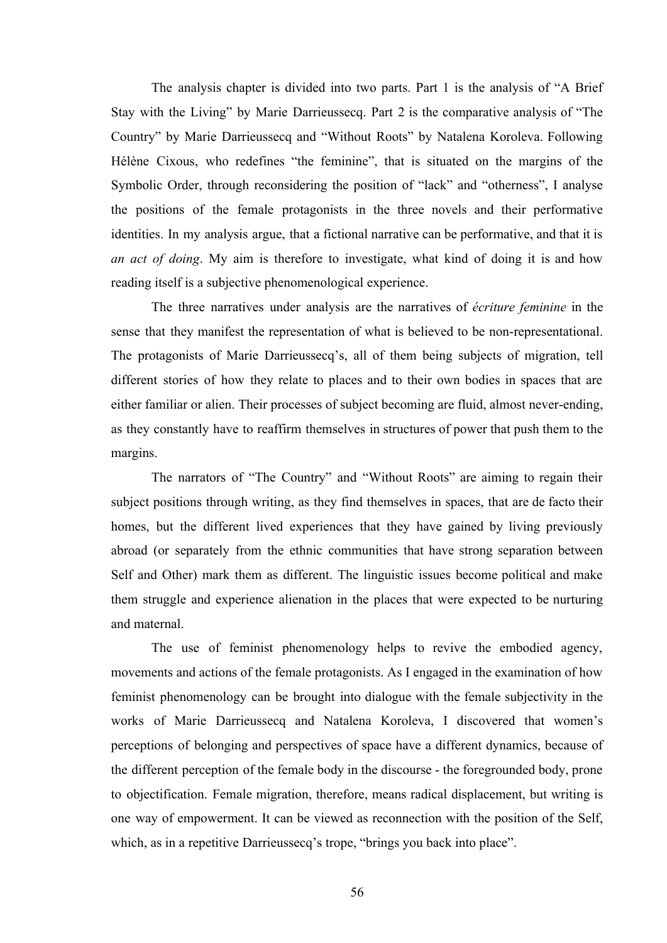The analysis chapter is divided into two parts. Part 1 is the analysis of "A Brief Stay with the Living" by Marie Darrieussecq. Part 2 is the comparative analysis of "The Country" by Marie Darrieussecq and "Without Roots" by Natalena Koroleva. Following Hélène Cixous, who redefines "the feminine", that is situated on the margins of the Symbolic Order, through reconsidering the position of "lack" and "otherness", I analyse the positions of the female protagonists in the three novels and their performative identities. In my analysis argue, that a fictional narrative can be performative, and that it is *an act of doing*. My aim is therefore to investigate, what kind of doing it is and how reading itself is a subjective phenomenological experience.

The three narratives under analysis are the narratives of *écriture feminine* in the sense that they manifest the representation of what is believed to be non-representational. The protagonists of Marie Darrieussecq's, all of them being subjects of migration, tell different stories of how they relate to places and to their own bodies in spaces that are either familiar or alien. Their processes of subject becoming are fluid, almost never-ending, as they constantly have to reaffirm themselves in structures of power that push them to the margins.

The narrators of "The Country" and "Without Roots" are aiming to regain their subject positions through writing, as they find themselves in spaces, that are de facto their homes, but the different lived experiences that they have gained by living previously abroad (or separately from the ethnic communities that have strong separation between Self and Other) mark them as different. The linguistic issues become political and make them struggle and experience alienation in the places that were expected to be nurturing and maternal.

The use of feminist phenomenology helps to revive the embodied agency, movements and actions of the female protagonists. As I engaged in the examination of how feminist phenomenology can be brought into dialogue with the female subjectivity in the works of Marie Darrieussecq and Natalena Koroleva, I discovered that women's perceptions of belonging and perspectives of space have a different dynamics, because of the different perception of the female body in the discourse - the foregrounded body, prone to objectification. Female migration, therefore, means radical displacement, but writing is one way of empowerment. It can be viewed as reconnection with the position of the Self, which, as in a repetitive Darrieussecq's trope, "brings you back into place".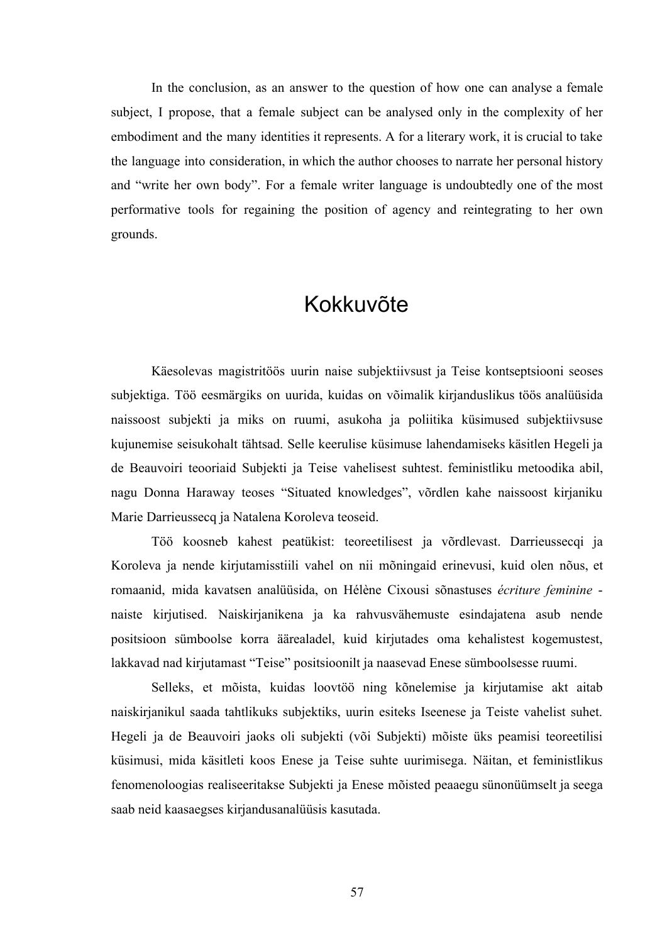In the conclusion, as an answer to the question of how one can analyse a female subject, I propose, that a female subject can be analysed only in the complexity of her embodiment and the many identities it represents. A for a literary work, it is crucial to take the language into consideration, in which the author chooses to narrate her personal history and "write her own body". For a female writer language is undoubtedly one of the most performative tools for regaining the position of agency and reintegrating to her own grounds.

#### Kokkuvõte

Käesolevas magistritöös uurin naise subjektiivsust ja Teise kontseptsiooni seoses subjektiga. Töö eesmärgiks on uurida, kuidas on võimalik kirjanduslikus töös analüüsida naissoost subjekti ja miks on ruumi, asukoha ja poliitika küsimused subjektiivsuse kujunemise seisukohalt tähtsad. Selle keerulise küsimuse lahendamiseks käsitlen Hegeli ja de Beauvoiri teooriaid Subjekti ja Teise vahelisest suhtest. feministliku metoodika abil, nagu Donna Haraway teoses "Situated knowledges", võrdlen kahe naissoost kirjaniku Marie Darrieussecq ja Natalena Koroleva teoseid.

Töö koosneb kahest peatükist: teoreetilisest ja võrdlevast. Darrieussecqi ja Koroleva ja nende kirjutamisstiili vahel on nii mõningaid erinevusi, kuid olen nõus, et romaanid, mida kavatsen analüüsida, on Hélène Cixousi sõnastuses *écriture feminine* naiste kirjutised. Naiskirjanikena ja ka rahvusvähemuste esindajatena asub nende positsioon sümboolse korra äärealadel, kuid kirjutades oma kehalistest kogemustest, lakkavad nad kirjutamast "Teise" positsioonilt ja naasevad Enese sümboolsesse ruumi.

Selleks, et mõista, kuidas loovtöö ning kõnelemise ja kirjutamise akt aitab naiskirjanikul saada tahtlikuks subjektiks, uurin esiteks Iseenese ja Teiste vahelist suhet. Hegeli ja de Beauvoiri jaoks oli subjekti (või Subjekti) mõiste üks peamisi teoreetilisi küsimusi, mida käsitleti koos Enese ja Teise suhte uurimisega. Näitan, et feministlikus fenomenoloogias realiseeritakse Subjekti ja Enese mõisted peaaegu sünonüümselt ja seega saab neid kaasaegses kirjandusanalüüsis kasutada.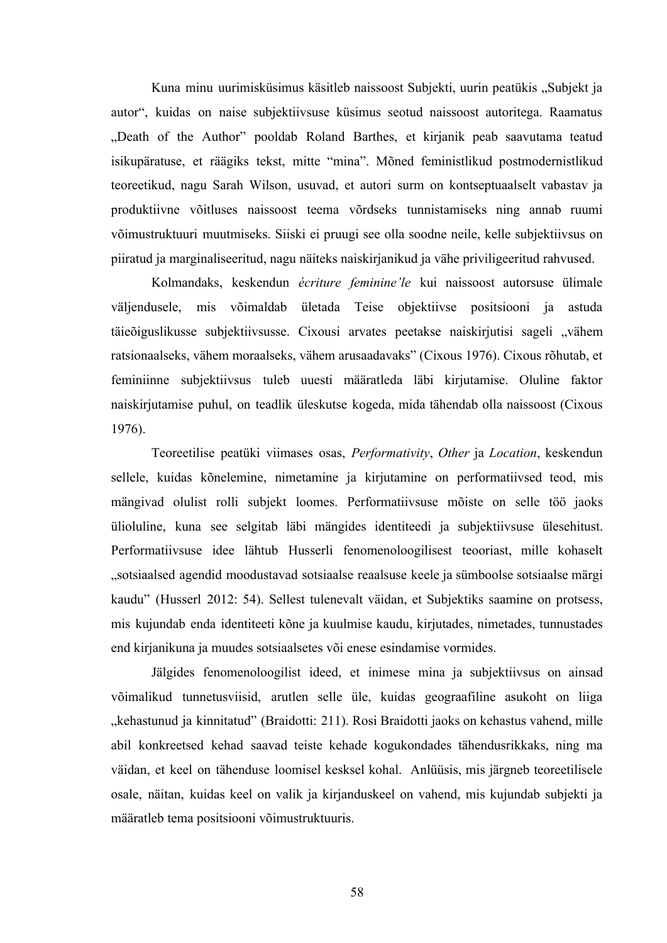Kuna minu uurimisküsimus käsitleb naissoost Subjekti, uurin peatükis "Subjekt ja autor", kuidas on naise subjektiivsuse küsimus seotud naissoost autoritega. Raamatus "Death of the Author" pooldab Roland Barthes, et kirjanik peab saavutama teatud isikupäratuse, et räägiks tekst, mitte "mina". Mõned feministlikud postmodernistlikud teoreetikud, nagu Sarah Wilson, usuvad, et autori surm on kontseptuaalselt vabastav ja produktiivne võitluses naissoost teema võrdseks tunnistamiseks ning annab ruumi võimustruktuuri muutmiseks. Siiski ei pruugi see olla soodne neile, kelle subjektiivsus on piiratud ja marginaliseeritud, nagu näiteks naiskirjanikud ja vähe priviligeeritud rahvused.

Kolmandaks, keskendun *écriture feminine'le* kui naissoost autorsuse ülimale väljendusele, mis võimaldab ületada Teise objektiivse positsiooni ja astuda täieõiguslikusse subjektiivsusse. Cixousi arvates peetakse naiskirjutisi sageli "vähem ratsionaalseks, vähem moraalseks, vähem arusaadavaks" (Cixous 1976). Cixous rõhutab, et feminiinne subjektiivsus tuleb uuesti määratleda läbi kirjutamise. Oluline faktor naiskirjutamise puhul, on teadlik üleskutse kogeda, mida tähendab olla naissoost (Cixous 1976).

Teoreetilise peatüki viimases osas, *Performativity*, *Other* ja *Location*, keskendun sellele, kuidas kõnelemine, nimetamine ja kirjutamine on performatiivsed teod, mis mängivad olulist rolli subjekt loomes. Performatiivsuse mõiste on selle töö jaoks ülioluline, kuna see selgitab läbi mängides identiteedi ja subjektiivsuse ülesehitust. Performatiivsuse idee lähtub Husserli fenomenoloogilisest teooriast, mille kohaselt "sotsiaalsed agendid moodustavad sotsiaalse reaalsuse keele ja sümboolse sotsiaalse märgi kaudu" (Husserl 2012: 54). Sellest tulenevalt väidan, et Subjektiks saamine on protsess, mis kujundab enda identiteeti kõne ja kuulmise kaudu, kirjutades, nimetades, tunnustades end kirjanikuna ja muudes sotsiaalsetes või enese esindamise vormides.

Jälgides fenomenoloogilist ideed, et inimese mina ja subjektiivsus on ainsad võimalikud tunnetusviisid, arutlen selle üle, kuidas geograafiline asukoht on liiga "kehastunud ja kinnitatud" (Braidotti: 211). Rosi Braidotti jaoks on kehastus vahend, mille abil konkreetsed kehad saavad teiste kehade kogukondades tähendusrikkaks, ning ma väidan, et keel on tähenduse loomisel kesksel kohal. Anlüüsis, mis järgneb teoreetilisele osale, näitan, kuidas keel on valik ja kirjanduskeel on vahend, mis kujundab subjekti ja määratleb tema positsiooni võimustruktuuris.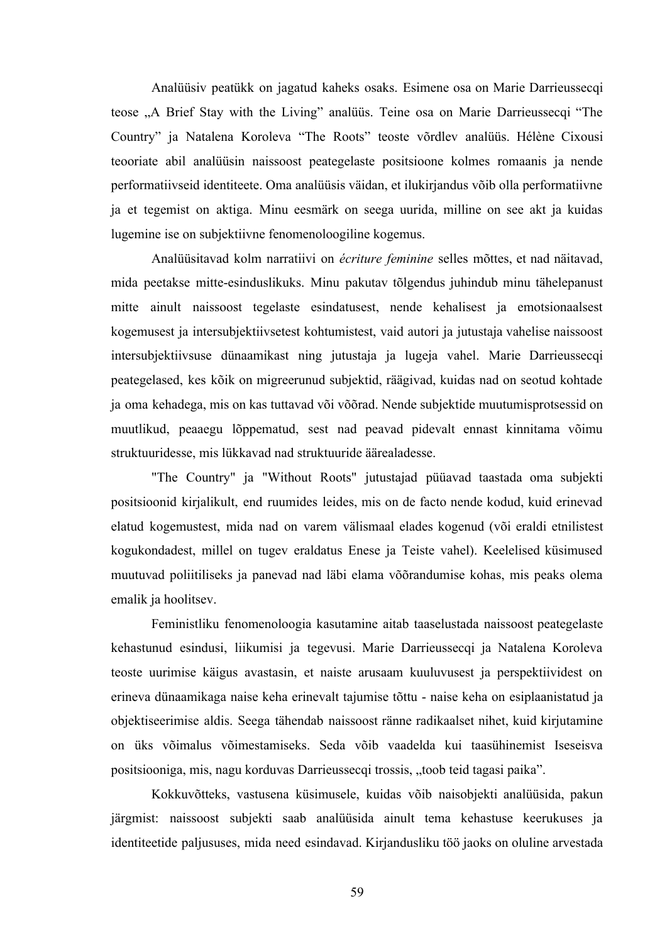Analüüsiv peatükk on jagatud kaheks osaks. Esimene osa on Marie Darrieussecqi teose "A Brief Stay with the Living" analüüs. Teine osa on Marie Darrieussecqi "The Country" ja Natalena Koroleva "The Roots" teoste võrdlev analüüs. Hélène Cixousi teooriate abil analüüsin naissoost peategelaste positsioone kolmes romaanis ja nende performatiivseid identiteete. Oma analüüsis väidan, et ilukirjandus võib olla performatiivne ja et tegemist on aktiga. Minu eesmärk on seega uurida, milline on see akt ja kuidas lugemine ise on subjektiivne fenomenoloogiline kogemus.

Analüüsitavad kolm narratiivi on *écriture feminine* selles mõttes, et nad näitavad, mida peetakse mitte-esinduslikuks. Minu pakutav tõlgendus juhindub minu tähelepanust mitte ainult naissoost tegelaste esindatusest, nende kehalisest ja emotsionaalsest kogemusest ja intersubjektiivsetest kohtumistest, vaid autori ja jutustaja vahelise naissoost intersubjektiivsuse dünaamikast ning jutustaja ja lugeja vahel. Marie Darrieussecqi peategelased, kes kõik on migreerunud subjektid, räägivad, kuidas nad on seotud kohtade ja oma kehadega, mis on kas tuttavad või võõrad. Nende subjektide muutumisprotsessid on muutlikud, peaaegu lõppematud, sest nad peavad pidevalt ennast kinnitama võimu struktuuridesse, mis lükkavad nad struktuuride äärealadesse.

"The Country" ja "Without Roots" jutustajad püüavad taastada oma subjekti positsioonid kirjalikult, end ruumides leides, mis on de facto nende kodud, kuid erinevad elatud kogemustest, mida nad on varem välismaal elades kogenud (või eraldi etnilistest kogukondadest, millel on tugev eraldatus Enese ja Teiste vahel). Keelelised küsimused muutuvad poliitiliseks ja panevad nad läbi elama võõrandumise kohas, mis peaks olema emalik ja hoolitsev.

Feministliku fenomenoloogia kasutamine aitab taaselustada naissoost peategelaste kehastunud esindusi, liikumisi ja tegevusi. Marie Darrieussecqi ja Natalena Koroleva teoste uurimise käigus avastasin, et naiste arusaam kuuluvusest ja perspektiividest on erineva dünaamikaga naise keha erinevalt tajumise tõttu - naise keha on esiplaanistatud ja objektiseerimise aldis. Seega tähendab naissoost ränne radikaalset nihet, kuid kirjutamine on üks võimalus võimestamiseks. Seda võib vaadelda kui taasühinemist Iseseisva positsiooniga, mis, nagu korduvas Darrieussecqi trossis, "toob teid tagasi paika".

Kokkuvõtteks, vastusena küsimusele, kuidas võib naisobjekti analüüsida, pakun järgmist: naissoost subjekti saab analüüsida ainult tema kehastuse keerukuses ja identiteetide paljususes, mida need esindavad. Kirjandusliku töö jaoks on oluline arvestada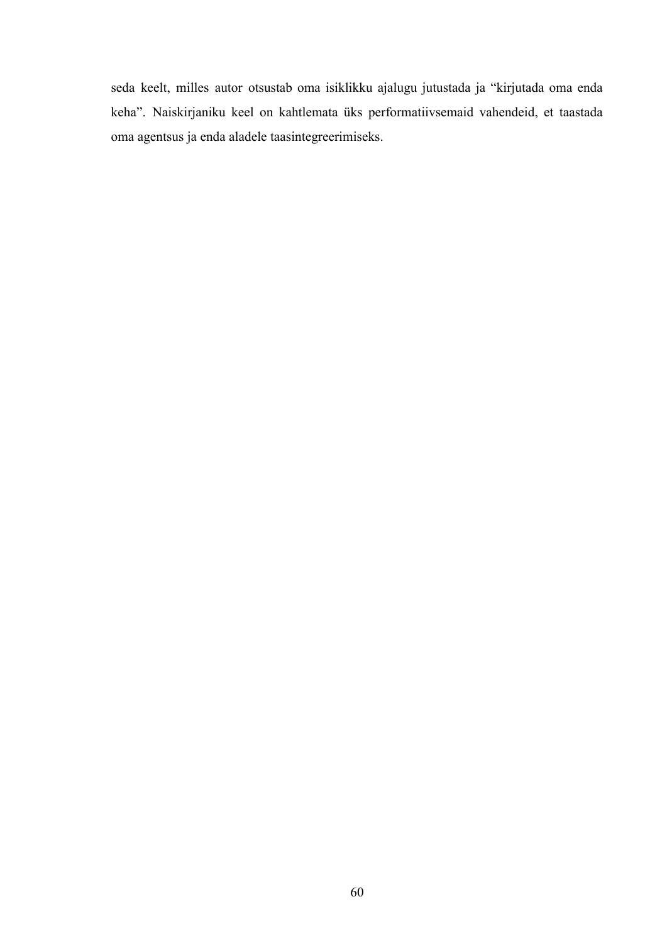seda keelt, milles autor otsustab oma isiklikku ajalugu jutustada ja "kirjutada oma enda keha". Naiskirjaniku keel on kahtlemata üks performatiivsemaid vahendeid, et taastada oma agentsus ja enda aladele taasintegreerimiseks.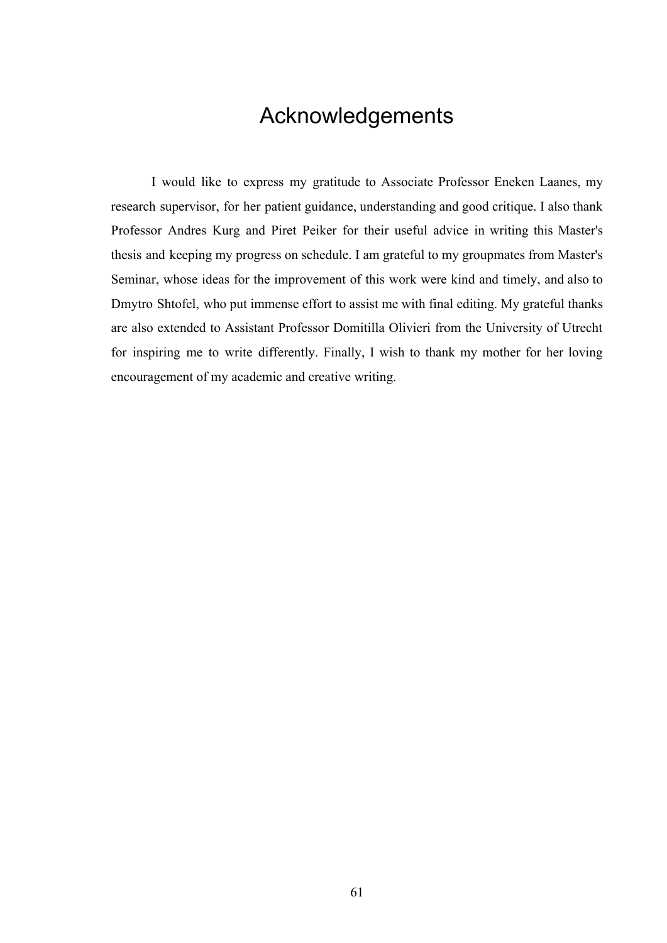### Acknowledgements

I would like to express my gratitude to Associate Professor Eneken Laanes, my research supervisor, for her patient guidance, understanding and good critique. I also thank Professor Andres Kurg and Piret Peiker for their useful advice in writing this Master's thesis and keeping my progress on schedule. I am grateful to my groupmates from Master's Seminar, whose ideas for the improvement of this work were kind and timely, and also to Dmytro Shtofel, who put immense effort to assist me with final editing. My grateful thanks are also extended to Assistant Professor Domitilla Olivieri from the University of Utrecht for inspiring me to write differently. Finally, I wish to thank my mother for her loving encouragement of my academic and creative writing.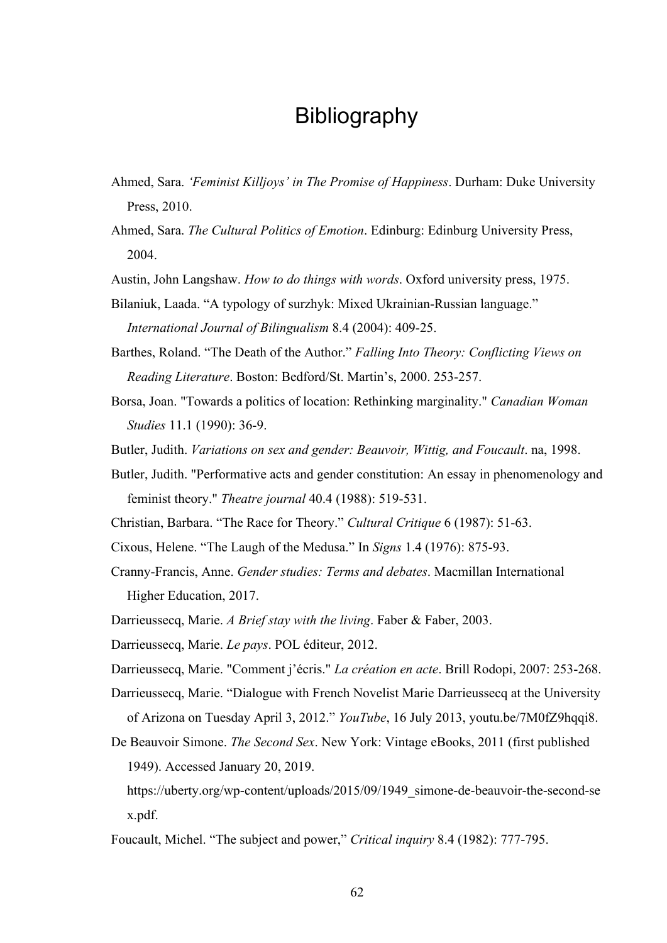### Bibliography

- Ahmed, Sara. *'Feminist Killjoys' in The Promise of Happiness*. Durham: Duke University Press, 2010.
- Ahmed, Sara. *The Cultural Politics of Emotion*. Edinburg: Edinburg University Press, 2004.
- Austin, John Langshaw. *How to do things with words*. Oxford university press, 1975.
- Bilaniuk, Laada. "A typology of surzhyk: Mixed Ukrainian-Russian language." *International Journal of Bilingualism* 8.4 (2004): 409-25.
- Barthes, Roland. "The Death of the Author." *Falling Into Theory: Conflicting Views on Reading Literature*. Boston: Bedford/St. Martin's, 2000. 253-257.
- Borsa, Joan. "Towards a politics of location: Rethinking marginality." *Canadian Woman Studies* 11.1 (1990): 36-9.
- Butler, Judith. *Variations on sex and gender: Beauvoir, Wittig, and Foucault*. na, 1998.
- Butler, Judith. "Performative acts and gender constitution: An essay in phenomenology and feminist theory." *Theatre journal* 40.4 (1988): 519-531.
- Christian, Barbara. "The Race for Theory." *Cultural Critique* 6 (1987): 51-63.
- Cixous, Helene. "The Laugh of the Medusa." In *Signs* 1.4 (1976): 875-93.
- Cranny-Francis, Anne. *Gender studies: Terms and debates*. Macmillan International Higher Education, 2017.
- Darrieussecq, Marie. *A Brief stay with the living*. Faber & Faber, 2003.
- Darrieussecq, Marie. *Le pays*. POL éditeur, 2012.
- Darrieussecq, Marie. "Comment j'écris." *La création en acte*. Brill Rodopi, 2007: 253-268.
- Darrieussecq, Marie. "Dialogue with French Novelist Marie Darrieussecq at the University of Arizona on Tuesday April 3, 2012." *YouTube*, 16 July 2013, youtu.be/7M0fZ9hqqi8.
- De Beauvoir Simone. *The Second Sex*. New York: Vintage eBooks, 2011 (first published 1949). Accessed January 20, 2019.
- https://uberty.org/wp-content/uploads/2015/09/1949\_simone-de-beauvoir-the-second-se x.pdf.
- Foucault, Michel. "The subject and power," *Critical inquiry* 8.4 (1982): 777-795.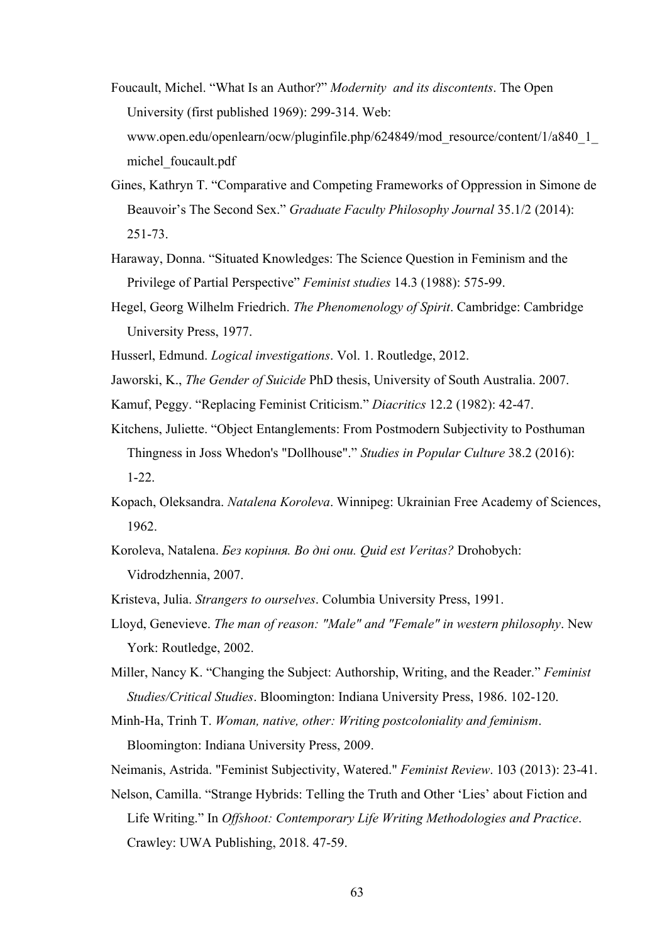- Foucault, Michel. "What Is an Author?" *Modernity and its discontents*. The Open University (first published 1969): 299-314. Web: www.open.edu/openlearn/ocw/pluginfile.php/624849/mod\_resource/content/1/a840\_1\_ michel\_foucault.pdf
- Gines, Kathryn T. "Comparative and Competing Frameworks of Oppression in Simone de Beauvoir's The Second Sex." *Graduate Faculty Philosophy Journal* 35.1/2 (2014): 251-73.
- Haraway, Donna. "Situated Knowledges: The Science Question in Feminism and the Privilege of Partial Perspective" *Feminist studies* 14.3 (1988): 575-99.
- Hegel, Georg Wilhelm Friedrich. *The Phenomenology of Spirit*. Cambridge: Cambridge University Press, 1977.
- Husserl, Edmund. *Logical investigations*. Vol. 1. Routledge, 2012.
- Jaworski, K., *The Gender of Suicide* PhD thesis, University of South Australia. 2007.
- Kamuf, Peggy. "Replacing Feminist Criticism." *Diacritics* 12.2 (1982): 42-47.
- Kitchens, Juliette. "Object Entanglements: From Postmodern Subjectivity to Posthuman Thingness in Joss Whedon's "Dollhouse"." *Studies in Popular Culture* 38.2 (2016): 1-22.
- Kopach, Oleksandra. *Natalena Koroleva*. Winnipeg: Ukrainian Free Academy of Sciences, 1962.
- Koroleva, Natalena. *Без коріння. Во дні они. Quid est Veritas?* Drohobych: Vidrodzhennia, 2007.
- Kristeva, Julia. *Strangers to ourselves*. Columbia University Press, 1991.
- Lloyd, Genevieve. *The man of reason: "Male" and "Female" in western philosophy*. New York: Routledge, 2002.
- Miller, Nancy K. "Changing the Subject: Authorship, Writing, and the Reader." *Feminist Studies/Critical Studies*. Bloomington: Indiana University Press, 1986. 102-120.
- Minh-Ha, Trinh T. *Woman, native, other: Writing postcoloniality and feminism*. Bloomington: Indiana University Press, 2009.
- Neimanis, Astrida. "Feminist Subjectivity, Watered." *Feminist Review*. 103 (2013): 23-41.
- Nelson, Camilla. "Strange Hybrids: Telling the Truth and Other 'Lies' about Fiction and Life Writing." In *Offshoot: Contemporary Life Writing Methodologies and Practice*. Crawley: UWA Publishing, 2018. 47-59.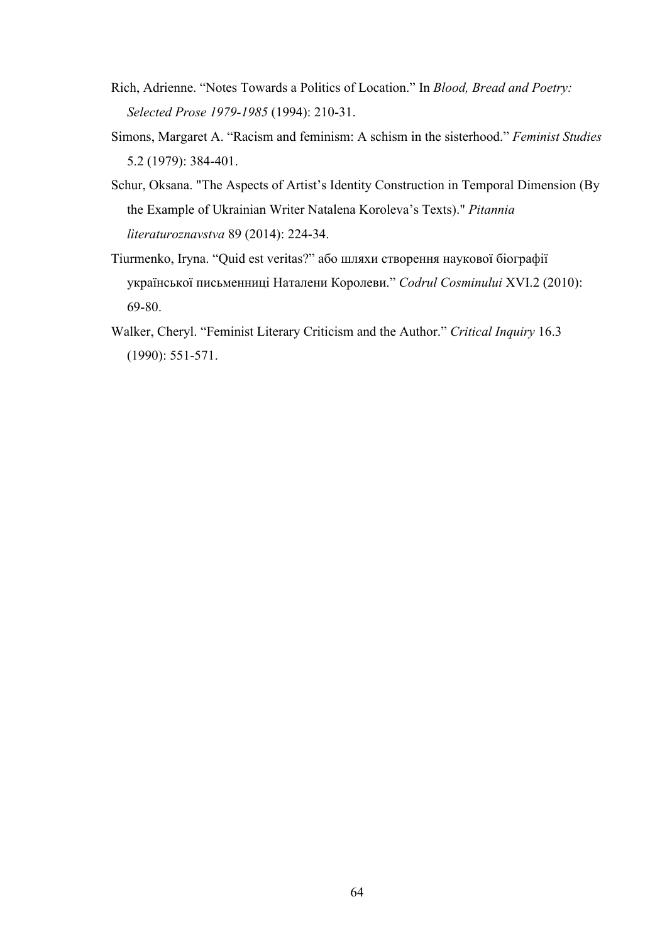- Rich, Adrienne. "Notes Towards a Politics of Location." In *Blood, Bread and Poetry: Selected Prose 1979-1985* (1994): 210-31.
- Simons, Margaret A. "Racism and feminism: A schism in the sisterhood." *Feminist Studies* 5.2 (1979): 384-401.
- Schur, Oksana. "The Aspects of Artist's Identity Construction in Temporal Dimension (By the Example of Ukrainian Writer Natalena Koroleva's Texts)." *Pitannia lìteraturoznavstva* 89 (2014): 224-34.
- Tiurmenko, Iryna. "Quid est veritas?" або шляхи створення наукової біографії української письменниці Наталени Королеви." *Codrul Cosminului* XVI.2 (2010): 69-80.
- Walker, Cheryl. "Feminist Literary Criticism and the Author." *Critical Inquiry* 16.3 (1990): 551-571.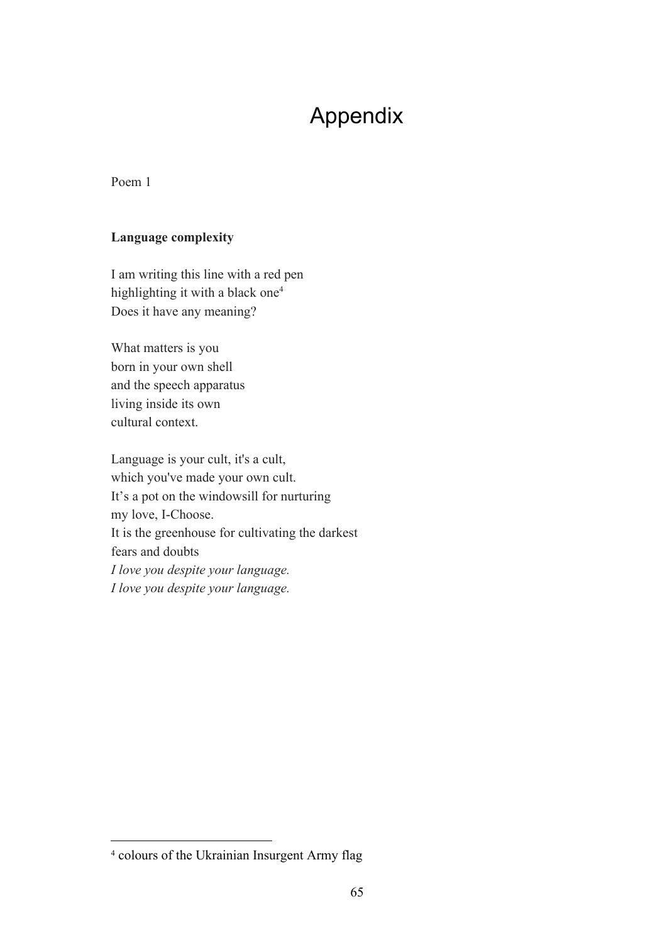## Appendix

#### Poem 1

#### **Language complexity**

I am writing this line with a red pen highlighting it with a black one<sup>4</sup> Does it have any meaning?

What matters is you born in your own shell and the speech apparatus living inside its own cultural context.

Language is your cult, it's a cult, which you've made your own cult. It's a pot on the windowsill for nurturing my love, I-Choose. It is the greenhouse for cultivating the darkest fears and doubts *I love you despite your language. I love you despite your language.*

<sup>4</sup> colours of the Ukrainian Insurgent Army flag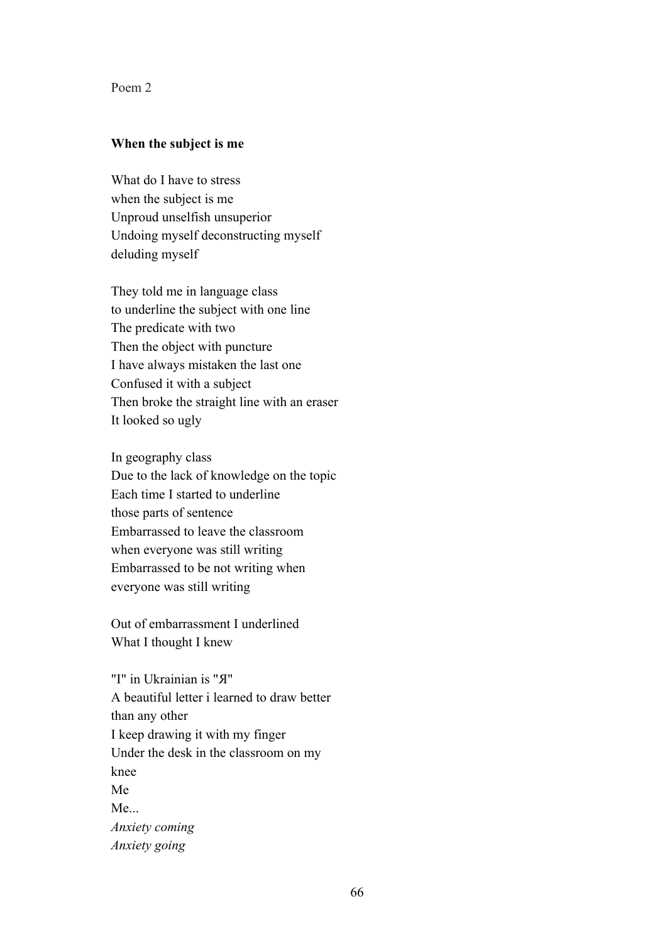Poem 2

#### **When the subject is me**

What do I have to stress when the subject is me Unproud unselfish unsuperior Undoing myself deconstructing myself deluding myself

They told me in language class to underline the subject with one line The predicate with two Then the object with puncture I have always mistaken the last one Confused it with a subject Then broke the straight line with an eraser It looked so ugly

In geography class Due to the lack of knowledge on the topic Each time I started to underline those parts of sentence Embarrassed to leave the classroom when everyone was still writing Embarrassed to be not writing when everyone was still writing

Out of embarrassment I underlined What I thought I knew

"I" in Ukrainian is "Я" A beautiful letter i learned to draw better than any other I keep drawing it with my finger Under the desk in the classroom on my knee Me Me... *Anxiety coming Anxiety going*